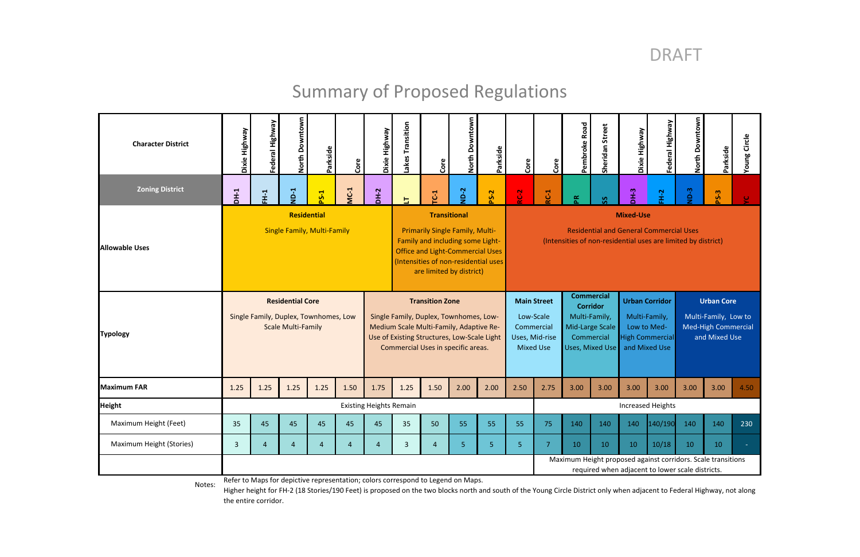# DRAFT

# Summary of Proposed Regulations

| <b>Character District</b> | Dixie Highway                                                                                 | Federal Highway                                                                                                  | North Downtown | Parkside       | Core                                                                                                                                                                                                             | Dixie Highway                                                                                                                                                                                    | akes Transition | Core                                                                                                                                | North Downtown   | Parkside                                                        | Core                               | Core                                                                | Pembroke Road                                           | Sheridan Street                       | Dixie Highway | Federal Highway                                                                   | North Downtown | Parkside    | Young Circle                |
|---------------------------|-----------------------------------------------------------------------------------------------|------------------------------------------------------------------------------------------------------------------|----------------|----------------|------------------------------------------------------------------------------------------------------------------------------------------------------------------------------------------------------------------|--------------------------------------------------------------------------------------------------------------------------------------------------------------------------------------------------|-----------------|-------------------------------------------------------------------------------------------------------------------------------------|------------------|-----------------------------------------------------------------|------------------------------------|---------------------------------------------------------------------|---------------------------------------------------------|---------------------------------------|---------------|-----------------------------------------------------------------------------------|----------------|-------------|-----------------------------|
| <b>Zoning District</b>    | $D + 1$                                                                                       | FH-1                                                                                                             | $N-1$          | $PS-1$         | <b>MC-1</b>                                                                                                                                                                                                      | DH-2                                                                                                                                                                                             | 出               | $\overline{C}$                                                                                                                      | $N-D-2$          | <b>PS-2</b>                                                     | RC-2                               | <b>RC-1</b>                                                         | $\mathbf{R}$                                            | ပ္တ                                   | DH-3          | FH-2                                                                              | $ND-3$         | <b>PS-3</b> |                             |
| <b>Allowable Uses</b>     | <b>Residential</b><br><b>Single Family, Multi-Family</b>                                      |                                                                                                                  |                |                | <b>Transitional</b><br><b>Primarily Single Family, Multi-</b><br>Family and including some Light-<br><b>Office and Light-Commercial Uses</b><br>(Intensities of non-residential uses<br>are limited by district) |                                                                                                                                                                                                  |                 | <b>Mixed-Use</b><br><b>Residential and General Commercial Uses</b><br>(Intensities of non-residential uses are limited by district) |                  |                                                                 |                                    |                                                                     |                                                         |                                       |               |                                                                                   |                |             |                             |
| <b>Typology</b>           | <b>Residential Core</b><br>Single Family, Duplex, Townhomes, Low<br><b>Scale Multi-Family</b> |                                                                                                                  |                |                |                                                                                                                                                                                                                  | <b>Transition Zone</b><br>Single Family, Duplex, Townhomes, Low-<br>Medium Scale Multi-Family, Adaptive Re-<br>Use of Existing Structures, Low-Scale Light<br>Commercial Uses in specific areas. |                 |                                                                                                                                     | <b>Mixed Use</b> | <b>Main Street</b><br>Low-Scale<br>Commercial<br>Uses, Mid-rise | <b>Commercial</b><br>Multi-Family, | <b>Corridor</b><br>Mid-Large Scale<br>Commercial<br>Uses, Mixed Use | <b>Urban Corridor</b><br>Multi-Family,<br>and Mixed Use | Low to Med-<br><b>High Commercial</b> |               | <b>Urban Core</b><br>Multi-Family, Low to<br>Med-High Commercial<br>and Mixed Use |                |             |                             |
| <b>Maximum FAR</b>        | 1.25                                                                                          | 1.25                                                                                                             | 1.25           | 1.25           | 1.50                                                                                                                                                                                                             | 1.75                                                                                                                                                                                             | 1.25            | 1.50                                                                                                                                | 2.00             | 2.00                                                            | 2.50                               | 2.75                                                                | 3.00                                                    | 3.00                                  | 3.00          | 3.00                                                                              | 3.00           | 3.00        | 4.50                        |
| <b>Height</b>             |                                                                                               | <b>Increased Heights</b><br><b>Existing Heights Remain</b>                                                       |                |                |                                                                                                                                                                                                                  |                                                                                                                                                                                                  |                 |                                                                                                                                     |                  |                                                                 |                                    |                                                                     |                                                         |                                       |               |                                                                                   |                |             |                             |
| Maximum Height (Feet)     | 35                                                                                            | 45                                                                                                               | 45             | 45             | 45                                                                                                                                                                                                               | 45                                                                                                                                                                                               | 35              | 50                                                                                                                                  | 55               | 55                                                              | 55                                 | 75                                                                  | 140                                                     | 140                                   | 140           | 140/190                                                                           | 140            | 140         | 230                         |
| Maximum Height (Stories)  | $\overline{3}$                                                                                | $\boldsymbol{\Lambda}$                                                                                           | $\overline{4}$ | $\overline{4}$ | $\overline{4}$                                                                                                                                                                                                   | $\overline{4}$                                                                                                                                                                                   | $\overline{3}$  | $\overline{4}$                                                                                                                      | 5 <sub>1</sub>   | 5 <sub>o</sub>                                                  | 5 <sub>5</sub>                     | 7                                                                   | 10                                                      | 10                                    | 10            | 10/18                                                                             | 10             | 10          | $\mathcal{L}_{\mathcal{A}}$ |
|                           |                                                                                               | Maximum Height proposed against corridors. Scale transitions<br>required when adjacent to lower scale districts. |                |                |                                                                                                                                                                                                                  |                                                                                                                                                                                                  |                 |                                                                                                                                     |                  |                                                                 |                                    |                                                                     |                                                         |                                       |               |                                                                                   |                |             |                             |

Higher height for FH‐2 (18 Stories/190 Feet) is proposed on the two blocks north and south of the Young Circle District only when adjacent to Federal Highway, not along the entire corridor.

Refer to Maps for depictive representation; colors correspond to Legend on Maps. Notes: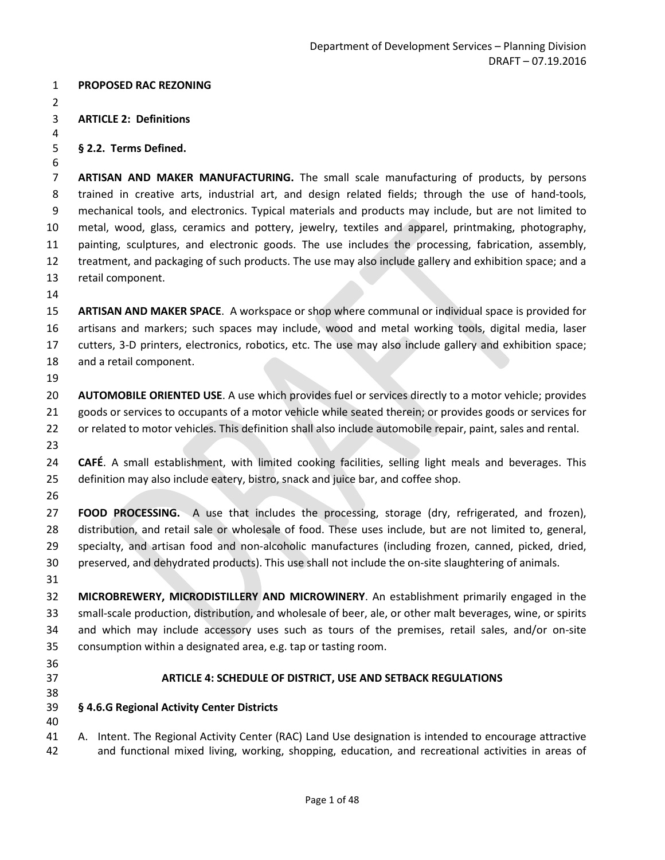#### **PROPOSED RAC REZONING**

**ARTICLE 2: Definitions**

#### **§ 2.2. Terms Defined.**

**ARTISAN AND MAKER MANUFACTURING.** The small scale manufacturing of products, by persons 8 trained in creative arts, industrial art, and design related fields; through the use of hand-tools, 9 mechanical tools, and electronics. Typical materials and products may include, but are not limited to metal, wood, glass, ceramics and pottery, jewelry, textiles and apparel, printmaking, photography, painting, sculptures, and electronic goods. The use includes the processing, fabrication, assembly, treatment, and packaging of such products. The use may also include gallery and exhibition space; and a retail component.

 **ARTISAN AND MAKER SPACE**. A workspace or shop where communal or individual space is provided for artisans and markers; such spaces may include, wood and metal working tools, digital media, laser cutters, 3-D printers, electronics, robotics, etc. The use may also include gallery and exhibition space; and a retail component.

 **AUTOMOBILE ORIENTED USE**. A use which provides fuel or services directly to a motor vehicle; provides goods or services to occupants of a motor vehicle while seated therein; or provides goods or services for or related to motor vehicles. This definition shall also include automobile repair, paint, sales and rental. 

- **CAFÉ**. A small establishment, with limited cooking facilities, selling light meals and beverages. This definition may also include eatery, bistro, snack and juice bar, and coffee shop.
- 

 **FOOD PROCESSING.** A use that includes the processing, storage (dry, refrigerated, and frozen), distribution, and retail sale or wholesale of food. These uses include, but are not limited to, general, specialty, and artisan food and non-alcoholic manufactures (including frozen, canned, picked, dried, preserved, and dehydrated products). This use shall not include the on-site slaughtering of animals.

 **MICROBREWERY, MICRODISTILLERY AND MICROWINERY**. An establishment primarily engaged in the small-scale production, distribution, and wholesale of beer, ale, or other malt beverages, wine, or spirits and which may include accessory uses such as tours of the premises, retail sales, and/or on-site consumption within a designated area, e.g. tap or tasting room.

- 
- 

#### **ARTICLE 4: SCHEDULE OF DISTRICT, USE AND SETBACK REGULATIONS**

- **§ 4.6.G Regional Activity Center Districts**
- 

 A. Intent. The Regional Activity Center (RAC) Land Use designation is intended to encourage attractive and functional mixed living, working, shopping, education, and recreational activities in areas of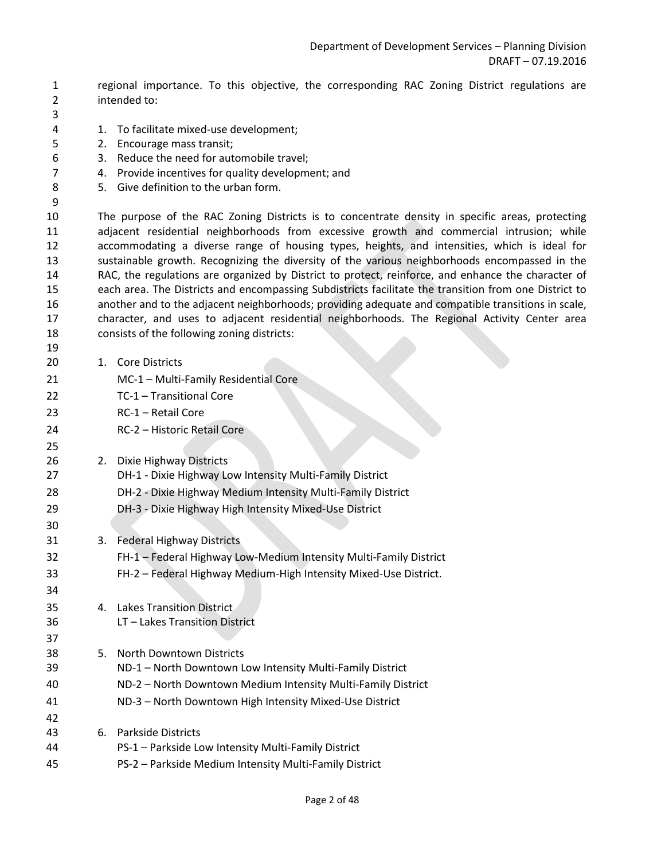- 1 regional importance. To this objective, the corresponding RAC Zoning District regulations are 2 intended to:
- 

4 1. To facilitate mixed-use development;

- 5 2. Encourage mass transit;
- 6 3. Reduce the need for automobile travel;
- 7 4. Provide incentives for quality development; and
- 8 5. Give definition to the urban form.
- 

 The purpose of the RAC Zoning Districts is to concentrate density in specific areas, protecting adjacent residential neighborhoods from excessive growth and commercial intrusion; while accommodating a diverse range of housing types, heights, and intensities, which is ideal for sustainable growth. Recognizing the diversity of the various neighborhoods encompassed in the RAC, the regulations are organized by District to protect, reinforce, and enhance the character of each area. The Districts and encompassing Subdistricts facilitate the transition from one District to another and to the adjacent neighborhoods; providing adequate and compatible transitions in scale, character, and uses to adjacent residential neighborhoods. The Regional Activity Center area consists of the following zoning districts:

- 1. Core Districts
- MC-1 Multi-Family Residential Core
- TC-1 Transitional Core
- RC-1 Retail Core
- RC-2 Historic Retail Core
- 2. Dixie Highway Districts
- DH-1 Dixie Highway Low Intensity Multi-Family District
- DH-2 Dixie Highway Medium Intensity Multi-Family District
- DH-3 Dixie Highway High Intensity Mixed-Use District
- 3. Federal Highway Districts
- FH-1 Federal Highway Low-Medium Intensity Multi-Family District
- FH-2 Federal Highway Medium-High Intensity Mixed-Use District.
- 4. Lakes Transition District
- LT Lakes Transition District
- 5. North Downtown Districts
- ND-1 North Downtown Low Intensity Multi-Family District
- ND-2 North Downtown Medium Intensity Multi-Family District
- ND-3 North Downtown High Intensity Mixed-Use District
- 6. Parkside Districts
- PS-1 Parkside Low Intensity Multi-Family District
- PS-2 Parkside Medium Intensity Multi-Family District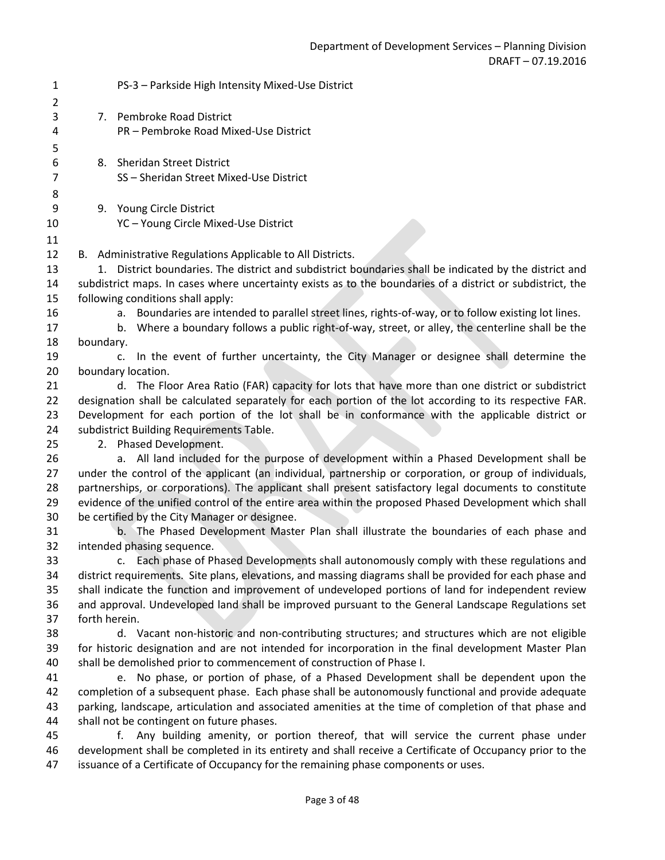| $\mathbf{1}$<br>$\overline{2}$ |               | PS-3 - Parkside High Intensity Mixed-Use District                                                                                                                                                   |
|--------------------------------|---------------|-----------------------------------------------------------------------------------------------------------------------------------------------------------------------------------------------------|
| 3                              |               | 7. Pembroke Road District                                                                                                                                                                           |
| 4                              |               | PR - Pembroke Road Mixed-Use District                                                                                                                                                               |
| 5                              |               |                                                                                                                                                                                                     |
| 6                              |               | 8. Sheridan Street District                                                                                                                                                                         |
| $\overline{7}$                 |               | SS-Sheridan Street Mixed-Use District                                                                                                                                                               |
| 8                              |               |                                                                                                                                                                                                     |
| 9                              |               | 9. Young Circle District                                                                                                                                                                            |
| 10                             |               | YC - Young Circle Mixed-Use District                                                                                                                                                                |
| 11                             |               |                                                                                                                                                                                                     |
| 12                             |               | B. Administrative Regulations Applicable to All Districts.                                                                                                                                          |
| 13                             |               | 1. District boundaries. The district and subdistrict boundaries shall be indicated by the district and                                                                                              |
| 14                             |               | subdistrict maps. In cases where uncertainty exists as to the boundaries of a district or subdistrict, the                                                                                          |
| 15                             |               | following conditions shall apply:                                                                                                                                                                   |
| 16                             |               | a. Boundaries are intended to parallel street lines, rights-of-way, or to follow existing lot lines.                                                                                                |
| 17                             |               | b. Where a boundary follows a public right-of-way, street, or alley, the centerline shall be the                                                                                                    |
| 18                             | boundary.     |                                                                                                                                                                                                     |
| 19                             |               | In the event of further uncertainty, the City Manager or designee shall determine the<br>$\mathsf{C}$ .                                                                                             |
| 20                             |               | boundary location.                                                                                                                                                                                  |
| 21                             |               | d. The Floor Area Ratio (FAR) capacity for lots that have more than one district or subdistrict                                                                                                     |
| 22                             |               | designation shall be calculated separately for each portion of the lot according to its respective FAR.                                                                                             |
| 23                             |               | Development for each portion of the lot shall be in conformance with the applicable district or                                                                                                     |
| 24                             |               | subdistrict Building Requirements Table.                                                                                                                                                            |
| 25                             |               | 2. Phased Development.                                                                                                                                                                              |
| 26<br>27                       |               | a. All land included for the purpose of development within a Phased Development shall be<br>under the control of the applicant (an individual, partnership or corporation, or group of individuals, |
| 28                             |               | partnerships, or corporations). The applicant shall present satisfactory legal documents to constitute                                                                                              |
| 29                             |               | evidence of the unified control of the entire area within the proposed Phased Development which shall                                                                                               |
| 30                             |               | be certified by the City Manager or designee.                                                                                                                                                       |
| 31                             |               | b. The Phased Development Master Plan shall illustrate the boundaries of each phase and                                                                                                             |
| 32                             |               | intended phasing sequence.                                                                                                                                                                          |
| 33                             |               | c. Each phase of Phased Developments shall autonomously comply with these regulations and                                                                                                           |
| 34                             |               | district requirements. Site plans, elevations, and massing diagrams shall be provided for each phase and                                                                                            |
| 35                             |               | shall indicate the function and improvement of undeveloped portions of land for independent review                                                                                                  |
| 36                             |               | and approval. Undeveloped land shall be improved pursuant to the General Landscape Regulations set                                                                                                  |
| 37                             | forth herein. |                                                                                                                                                                                                     |
| 38                             |               | d. Vacant non-historic and non-contributing structures; and structures which are not eligible                                                                                                       |
| 39                             |               | for historic designation and are not intended for incorporation in the final development Master Plan                                                                                                |
| 40                             |               | shall be demolished prior to commencement of construction of Phase I.                                                                                                                               |
| 41                             |               | e. No phase, or portion of phase, of a Phased Development shall be dependent upon the                                                                                                               |
| 42                             |               | completion of a subsequent phase. Each phase shall be autonomously functional and provide adequate                                                                                                  |
| 43                             |               | parking, landscape, articulation and associated amenities at the time of completion of that phase and                                                                                               |
| 44                             |               | shall not be contingent on future phases.                                                                                                                                                           |
| 45                             |               | Any building amenity, or portion thereof, that will service the current phase under<br>f.                                                                                                           |
| 46                             |               | development shall be completed in its entirety and shall receive a Certificate of Occupancy prior to the                                                                                            |
| 47                             |               | issuance of a Certificate of Occupancy for the remaining phase components or uses.                                                                                                                  |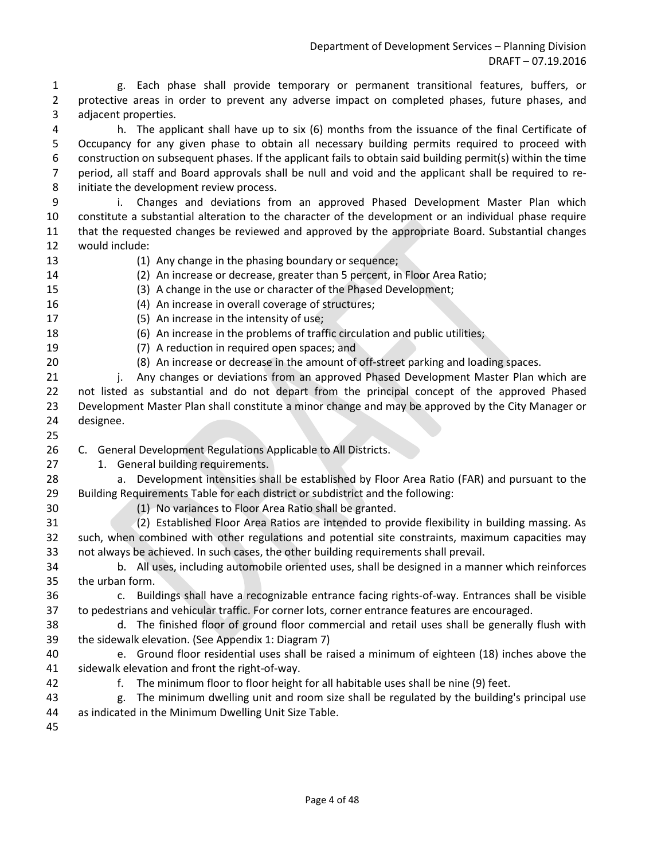1 g. Each phase shall provide temporary or permanent transitional features, buffers, or 2 protective areas in order to prevent any adverse impact on completed phases, future phases, and 3 adjacent properties.

4 h. The applicant shall have up to six (6) months from the issuance of the final Certificate of 5 Occupancy for any given phase to obtain all necessary building permits required to proceed with 6 construction on subsequent phases. If the applicant fails to obtain said building permit(s) within the time 7 period, all staff and Board approvals shall be null and void and the applicant shall be required to re-8 initiate the development review process.

9 i. Changes and deviations from an approved Phased Development Master Plan which constitute a substantial alteration to the character of the development or an individual phase require that the requested changes be reviewed and approved by the appropriate Board. Substantial changes would include:

- 
- (1) Any change in the phasing boundary or sequence;
- (2) An increase or decrease, greater than 5 percent, in Floor Area Ratio;
- (3) A change in the use or character of the Phased Development;
- (4) An increase in overall coverage of structures;
- (5) An increase in the intensity of use;
- (6) An increase in the problems of traffic circulation and public utilities;
- (7) A reduction in required open spaces; and
- (8) An increase or decrease in the amount of off-street parking and loading spaces.
- 21 i. Any changes or deviations from an approved Phased Development Master Plan which are not listed as substantial and do not depart from the principal concept of the approved Phased Development Master Plan shall constitute a minor change and may be approved by the City Manager or designee.
- 
- C. General Development Regulations Applicable to All Districts.
- 27 1. General building requirements.
- a. Development intensities shall be established by Floor Area Ratio (FAR) and pursuant to the Building Requirements Table for each district or subdistrict and the following:
- (1) No variances to Floor Area Ratio shall be granted.
- (2) Established Floor Area Ratios are intended to provide flexibility in building massing. As such, when combined with other regulations and potential site constraints, maximum capacities may not always be achieved. In such cases, the other building requirements shall prevail.
- b. All uses, including automobile oriented uses, shall be designed in a manner which reinforces the urban form.
- c. Buildings shall have a recognizable entrance facing rights-of-way. Entrances shall be visible to pedestrians and vehicular traffic. For corner lots, corner entrance features are encouraged.
- d. The finished floor of ground floor commercial and retail uses shall be generally flush with the sidewalk elevation. (See Appendix 1: Diagram 7)
- e. Ground floor residential uses shall be raised a minimum of eighteen (18) inches above the sidewalk elevation and front the right-of-way.
- f. The minimum floor to floor height for all habitable uses shall be nine (9) feet.
- g. The minimum dwelling unit and room size shall be regulated by the building's principal use as indicated in the Minimum Dwelling Unit Size Table.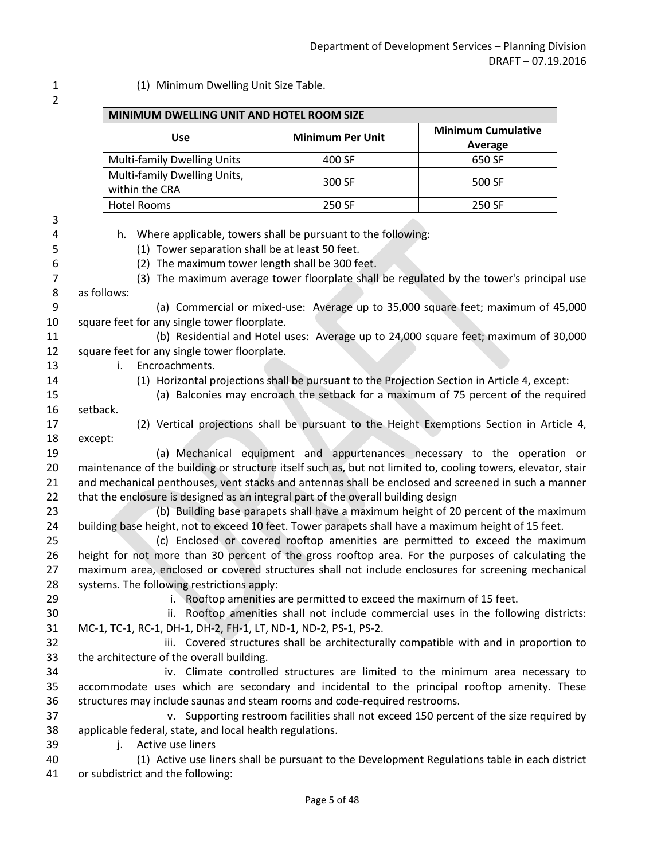1 (1) Minimum Dwelling Unit Size Table.

| MINIMUM DWELLING UNIT AND HOTEL ROOM SIZE                                                                         |                                                                                                                                                             |                                             |
|-------------------------------------------------------------------------------------------------------------------|-------------------------------------------------------------------------------------------------------------------------------------------------------------|---------------------------------------------|
| <b>Use</b>                                                                                                        | <b>Minimum Per Unit</b>                                                                                                                                     | <b>Minimum Cumulative</b><br><b>Average</b> |
| <b>Multi-family Dwelling Units</b>                                                                                | 400 SF                                                                                                                                                      | 650 SF                                      |
| Multi-family Dwelling Units,                                                                                      | 300 SF                                                                                                                                                      | 500 SF                                      |
| within the CRA                                                                                                    |                                                                                                                                                             |                                             |
| <b>Hotel Rooms</b>                                                                                                | 250 SF                                                                                                                                                      | 250 SF                                      |
| (1) Tower separation shall be at least 50 feet.<br>(2) The maximum tower length shall be 300 feet.<br>as follows: | h. Where applicable, towers shall be pursuant to the following:<br>(3) The maximum average tower floorplate shall be regulated by the tower's principal use |                                             |
|                                                                                                                   | (a) Commercial or mixed-use: Average up to 35,000 square feet; maximum of 45,000                                                                            |                                             |
| square feet for any single tower floorplate.                                                                      |                                                                                                                                                             |                                             |
|                                                                                                                   | (b) Residential and Hotel uses: Average up to 24,000 square feet; maximum of 30,000                                                                         |                                             |
| square feet for any single tower floorplate.                                                                      |                                                                                                                                                             |                                             |
| Encroachments.<br>i.                                                                                              |                                                                                                                                                             |                                             |
|                                                                                                                   | (1) Horizontal projections shall be pursuant to the Projection Section in Article 4, except:                                                                |                                             |
|                                                                                                                   | (a) Balconies may encroach the setback for a maximum of 75 percent of the required                                                                          |                                             |
| setback.                                                                                                          |                                                                                                                                                             |                                             |
|                                                                                                                   | (2) Vertical projections shall be pursuant to the Height Exemptions Section in Article 4,                                                                   |                                             |
| except:                                                                                                           | (a) Mechanical equipment and appurtenances necessary to the operation or                                                                                    |                                             |
| maintenance of the building or structure itself such as, but not limited to, cooling towers, elevator, stair      |                                                                                                                                                             |                                             |
| and mechanical penthouses, vent stacks and antennas shall be enclosed and screened in such a manner               |                                                                                                                                                             |                                             |
| that the enclosure is designed as an integral part of the overall building design                                 |                                                                                                                                                             |                                             |
|                                                                                                                   | (b) Building base parapets shall have a maximum height of 20 percent of the maximum                                                                         |                                             |
| building base height, not to exceed 10 feet. Tower parapets shall have a maximum height of 15 feet.               |                                                                                                                                                             |                                             |
| height for not more than 30 percent of the gross rooftop area. For the purposes of calculating the                | (c) Enclosed or covered rooftop amenities are permitted to exceed the maximum                                                                               |                                             |
| maximum area, enclosed or covered structures shall not include enclosures for screening mechanical                |                                                                                                                                                             |                                             |
| systems. The following restrictions apply:                                                                        |                                                                                                                                                             |                                             |
|                                                                                                                   | i. Rooftop amenities are permitted to exceed the maximum of 15 feet.                                                                                        |                                             |
|                                                                                                                   | ii. Rooftop amenities shall not include commercial uses in the following districts:                                                                         |                                             |
| MC-1, TC-1, RC-1, DH-1, DH-2, FH-1, LT, ND-1, ND-2, PS-1, PS-2.                                                   |                                                                                                                                                             |                                             |
|                                                                                                                   | iii. Covered structures shall be architecturally compatible with and in proportion to                                                                       |                                             |
| the architecture of the overall building.                                                                         |                                                                                                                                                             |                                             |
|                                                                                                                   | iv. Climate controlled structures are limited to the minimum area necessary to                                                                              |                                             |
| accommodate uses which are secondary and incidental to the principal rooftop amenity. These                       |                                                                                                                                                             |                                             |
| structures may include saunas and steam rooms and code-required restrooms.                                        | v. Supporting restroom facilities shall not exceed 150 percent of the size required by                                                                      |                                             |
| applicable federal, state, and local health regulations.                                                          |                                                                                                                                                             |                                             |
| j. Active use liners                                                                                              |                                                                                                                                                             |                                             |
|                                                                                                                   | (1) Active use liners shall be pursuant to the Development Regulations table in each district                                                               |                                             |
|                                                                                                                   |                                                                                                                                                             |                                             |
| or subdistrict and the following:                                                                                 |                                                                                                                                                             |                                             |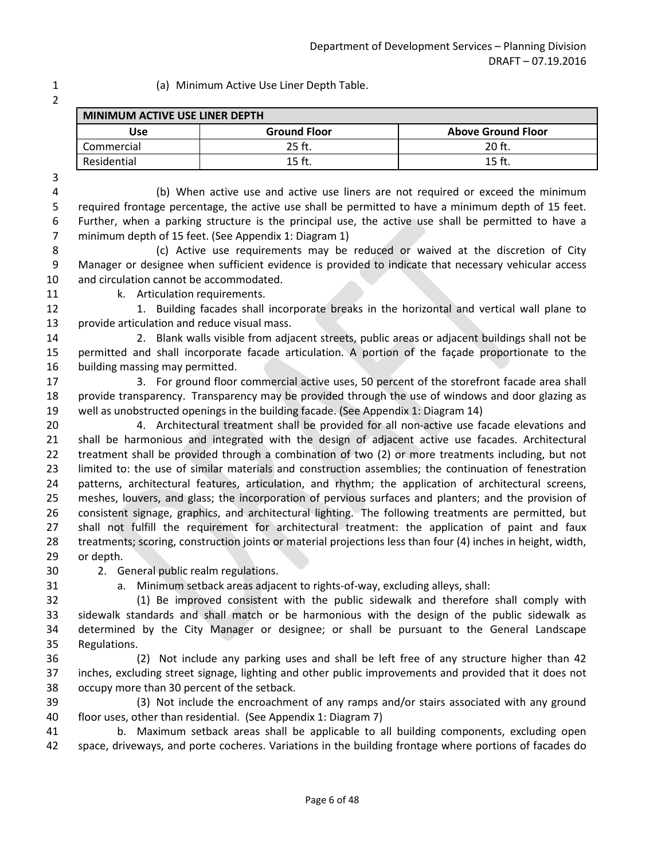1 (a) Minimum Active Use Liner Depth Table.

| <b>MINIMUM ACTIVE USE LINER DEPTH</b> |                     |                           |  |  |
|---------------------------------------|---------------------|---------------------------|--|--|
| Use                                   | <b>Ground Floor</b> | <b>Above Ground Floor</b> |  |  |
| Commercial                            | 25 ft.              | 20 <sub>ft</sub>          |  |  |
| Residential                           | 15 ft               | 15 ft                     |  |  |

4 (b) When active use and active use liners are not required or exceed the minimum 5 required frontage percentage, the active use shall be permitted to have a minimum depth of 15 feet. 6 Further, when a parking structure is the principal use, the active use shall be permitted to have a 7 minimum depth of 15 feet. (See Appendix 1: Diagram 1)

8 (c) Active use requirements may be reduced or waived at the discretion of City 9 Manager or designee when sufficient evidence is provided to indicate that necessary vehicular access and circulation cannot be accommodated.

11 k. Articulation requirements.

12 1. Building facades shall incorporate breaks in the horizontal and vertical wall plane to provide articulation and reduce visual mass.

 2. Blank walls visible from adjacent streets, public areas or adjacent buildings shall not be permitted and shall incorporate facade articulation. A portion of the façade proportionate to the building massing may permitted.

 3. For ground floor commercial active uses, 50 percent of the storefront facade area shall provide transparency. Transparency may be provided through the use of windows and door glazing as well as unobstructed openings in the building facade. (See Appendix 1: Diagram 14)

 4. Architectural treatment shall be provided for all non-active use facade elevations and shall be harmonious and integrated with the design of adjacent active use facades. Architectural treatment shall be provided through a combination of two (2) or more treatments including, but not limited to: the use of similar materials and construction assemblies; the continuation of fenestration patterns, architectural features, articulation, and rhythm; the application of architectural screens, meshes, louvers, and glass; the incorporation of pervious surfaces and planters; and the provision of consistent signage, graphics, and architectural lighting. The following treatments are permitted, but shall not fulfill the requirement for architectural treatment: the application of paint and faux treatments; scoring, construction joints or material projections less than four (4) inches in height, width, or depth.

2. General public realm regulations.

a. Minimum setback areas adjacent to rights-of-way, excluding alleys, shall:

 (1) Be improved consistent with the public sidewalk and therefore shall comply with sidewalk standards and shall match or be harmonious with the design of the public sidewalk as determined by the City Manager or designee; or shall be pursuant to the General Landscape Regulations.

 (2) Not include any parking uses and shall be left free of any structure higher than 42 inches, excluding street signage, lighting and other public improvements and provided that it does not occupy more than 30 percent of the setback.

 (3) Not include the encroachment of any ramps and/or stairs associated with any ground floor uses, other than residential. (See Appendix 1: Diagram 7)

 b. Maximum setback areas shall be applicable to all building components, excluding open space, driveways, and porte cocheres. Variations in the building frontage where portions of facades do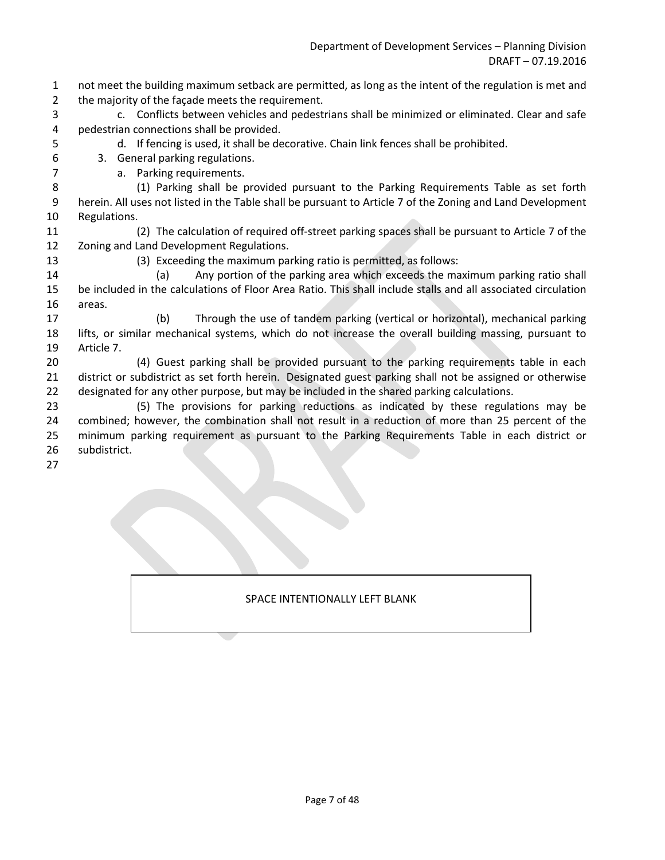- 1 not meet the building maximum setback are permitted, as long as the intent of the regulation is met and 2 the majority of the façade meets the requirement.
- 3 c. Conflicts between vehicles and pedestrians shall be minimized or eliminated. Clear and safe 4 pedestrian connections shall be provided.
- 5 d. If fencing is used, it shall be decorative. Chain link fences shall be prohibited.
- 6 3. General parking regulations.
- 7 a. Parking requirements.
- 8 (1) Parking shall be provided pursuant to the Parking Requirements Table as set forth 9 herein. All uses not listed in the Table shall be pursuant to Article 7 of the Zoning and Land Development 10 Regulations.
- 11 (2) The calculation of required off-street parking spaces shall be pursuant to Article 7 of the 12 Zoning and Land Development Regulations.
- 
- 13 (3) Exceeding the maximum parking ratio is permitted, as follows:
- 14 (a) Any portion of the parking area which exceeds the maximum parking ratio shall 15 be included in the calculations of Floor Area Ratio. This shall include stalls and all associated circulation 16 areas.
- 17 (b) Through the use of tandem parking (vertical or horizontal), mechanical parking 18 lifts, or similar mechanical systems, which do not increase the overall building massing, pursuant to 19 Article 7.
- 20 (4) Guest parking shall be provided pursuant to the parking requirements table in each 21 district or subdistrict as set forth herein. Designated guest parking shall not be assigned or otherwise 22 designated for any other purpose, but may be included in the shared parking calculations.
- 23 (5) The provisions for parking reductions as indicated by these regulations may be 24 combined; however, the combination shall not result in a reduction of more than 25 percent of the 25 minimum parking requirement as pursuant to the Parking Requirements Table in each district or 26 subdistrict.
- 27

### SPACE INTENTIONALLY LEFT BLANK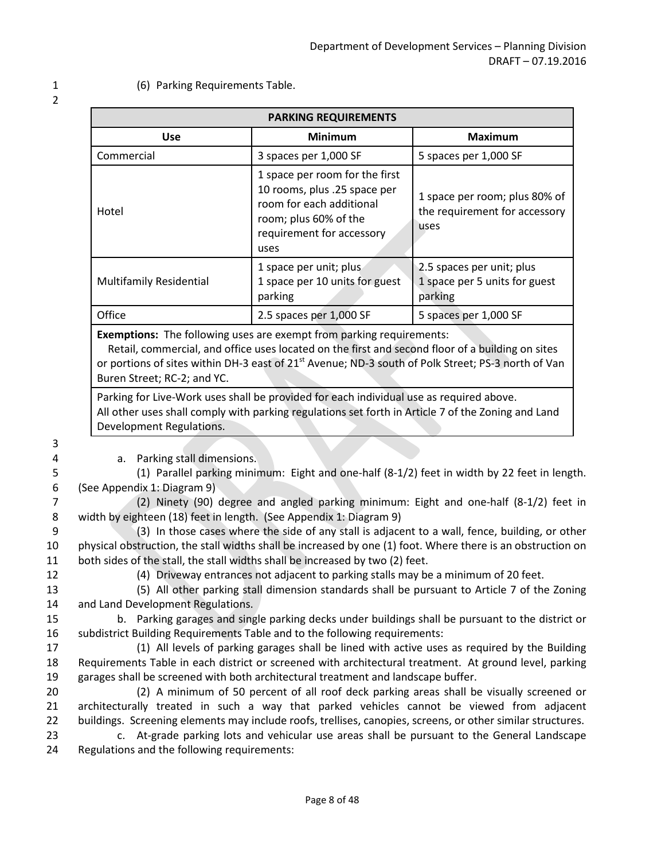1 (6) Parking Requirements Table.

| <b>PARKING REQUIREMENTS</b>                                                 |                                                                                                                                                          |                                                                        |  |  |  |  |
|-----------------------------------------------------------------------------|----------------------------------------------------------------------------------------------------------------------------------------------------------|------------------------------------------------------------------------|--|--|--|--|
| <b>Use</b>                                                                  | <b>Minimum</b>                                                                                                                                           | <b>Maximum</b>                                                         |  |  |  |  |
| Commercial                                                                  | 3 spaces per 1,000 SF                                                                                                                                    | 5 spaces per 1,000 SF                                                  |  |  |  |  |
| Hotel                                                                       | 1 space per room for the first<br>10 rooms, plus .25 space per<br>room for each additional<br>room; plus 60% of the<br>requirement for accessory<br>uses | 1 space per room; plus 80% of<br>the requirement for accessory<br>uses |  |  |  |  |
| <b>Multifamily Residential</b>                                              | 1 space per unit; plus<br>1 space per 10 units for guest<br>parking                                                                                      | 2.5 spaces per unit; plus<br>1 space per 5 units for guest<br>parking  |  |  |  |  |
| Office                                                                      | 2.5 spaces per 1,000 SF                                                                                                                                  | 5 spaces per 1,000 SF                                                  |  |  |  |  |
| <b>Exemptions:</b> The following uses are exempt from parking requirements: |                                                                                                                                                          |                                                                        |  |  |  |  |

 Retail, commercial, and office uses located on the first and second floor of a building on sites or portions of sites within DH-3 east of 21<sup>st</sup> Avenue; ND-3 south of Polk Street; PS-3 north of Van Buren Street; RC-2; and YC.

Parking for Live-Work uses shall be provided for each individual use as required above. All other uses shall comply with parking regulations set forth in Article 7 of the Zoning and Land Development Regulations.

3

4 a. Parking stall dimensions.

5 (1) Parallel parking minimum: Eight and one-half (8-1/2) feet in width by 22 feet in length. 6 (See Appendix 1: Diagram 9)

7 (2) Ninety (90) degree and angled parking minimum: Eight and one-half (8-1/2) feet in 8 width by eighteen (18) feet in length. (See Appendix 1: Diagram 9)

9 (3) In those cases where the side of any stall is adjacent to a wall, fence, building, or other 10 physical obstruction, the stall widths shall be increased by one (1) foot. Where there is an obstruction on 11 both sides of the stall, the stall widths shall be increased by two (2) feet.

12 (4) Driveway entrances not adjacent to parking stalls may be a minimum of 20 feet.

13 (5) All other parking stall dimension standards shall be pursuant to Article 7 of the Zoning 14 and Land Development Regulations.

15 b. Parking garages and single parking decks under buildings shall be pursuant to the district or 16 subdistrict Building Requirements Table and to the following requirements:

17 (1) All levels of parking garages shall be lined with active uses as required by the Building 18 Requirements Table in each district or screened with architectural treatment. At ground level, parking 19 garages shall be screened with both architectural treatment and landscape buffer.

20 (2) A minimum of 50 percent of all roof deck parking areas shall be visually screened or 21 architecturally treated in such a way that parked vehicles cannot be viewed from adjacent 22 buildings. Screening elements may include roofs, trellises, canopies, screens, or other similar structures.

23 c. At-grade parking lots and vehicular use areas shall be pursuant to the General Landscape 24 Regulations and the following requirements: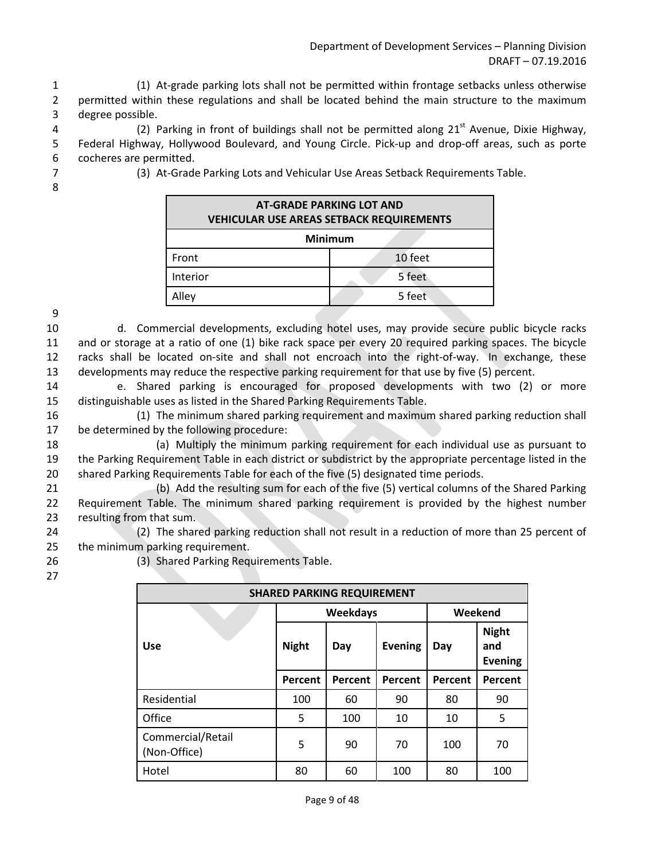1 (1) At-grade parking lots shall not be permitted within frontage setbacks unless otherwise 2 permitted within these regulations and shall be located behind the main structure to the maximum 3 degree possible.

4 (2) Parking in front of buildings shall not be permitted along  $21<sup>st</sup>$  Avenue, Dixie Highway, 5 Federal Highway, Hollywood Boulevard, and Young Circle. Pick-up and drop-off areas, such as porte 6 cocheres are permitted.

8

7 (3) At-Grade Parking Lots and Vehicular Use Areas Setback Requirements Table.

| <b>AT-GRADE PARKING LOT AND</b><br><b>VEHICULAR USE AREAS SETBACK REQUIREMENTS</b> |         |  |  |  |
|------------------------------------------------------------------------------------|---------|--|--|--|
| <b>Minimum</b>                                                                     |         |  |  |  |
| Front                                                                              | 10 feet |  |  |  |
| Interior                                                                           | 5 feet  |  |  |  |
| Alley                                                                              | 5 feet  |  |  |  |

9

 d. Commercial developments, excluding hotel uses, may provide secure public bicycle racks and or storage at a ratio of one (1) bike rack space per every 20 required parking spaces. The bicycle racks shall be located on-site and shall not encroach into the right-of-way. In exchange, these developments may reduce the respective parking requirement for that use by five (5) percent.

14 e. Shared parking is encouraged for proposed developments with two (2) or more 15 distinguishable uses as listed in the Shared Parking Requirements Table.

16 (1) The minimum shared parking requirement and maximum shared parking reduction shall 17 be determined by the following procedure:

18 (a) Multiply the minimum parking requirement for each individual use as pursuant to 19 the Parking Requirement Table in each district or subdistrict by the appropriate percentage listed in the 20 shared Parking Requirements Table for each of the five (5) designated time periods.

21 (b) Add the resulting sum for each of the five (5) vertical columns of the Shared Parking 22 Requirement Table. The minimum shared parking requirement is provided by the highest number 23 resulting from that sum.

24 (2) The shared parking reduction shall not result in a reduction of more than 25 percent of 25 the minimum parking requirement.

26 (3) Shared Parking Requirements Table.

| <b>SHARED PARKING REQUIREMENT</b> |              |                 |                |         |                                       |  |
|-----------------------------------|--------------|-----------------|----------------|---------|---------------------------------------|--|
|                                   |              | <b>Weekdays</b> | Weekend        |         |                                       |  |
| <b>Use</b>                        | <b>Night</b> | Day             | <b>Evening</b> | Day     | <b>Night</b><br>and<br><b>Evening</b> |  |
|                                   | Percent      | Percent         | Percent        | Percent | Percent                               |  |
| Residential                       | 100          | 60              | 90             | 80      | 90                                    |  |
| Office                            | 5            | 100             | 10             | 10      | 5                                     |  |
| Commercial/Retail<br>(Non-Office) | 5            | 90              | 70             | 100     | 70                                    |  |
| Hotel                             | 80           | 60              | 100            | 80      | 100                                   |  |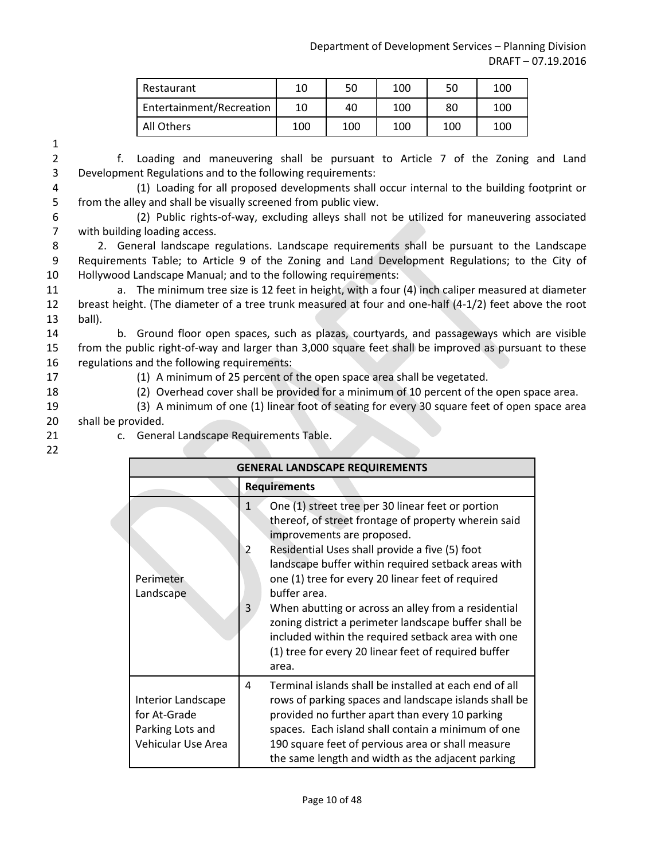| Restaurant               | 10  | 50  | 100 | 50  | 100 |
|--------------------------|-----|-----|-----|-----|-----|
| Entertainment/Recreation | 10  | 40  | 100 | 80  | 100 |
| All Others               | 100 | 100 | 100 | 100 | 100 |

2 f. Loading and maneuvering shall be pursuant to Article 7 of the Zoning and Land 3 Development Regulations and to the following requirements:

4 (1) Loading for all proposed developments shall occur internal to the building footprint or 5 from the alley and shall be visually screened from public view.

6 (2) Public rights-of-way, excluding alleys shall not be utilized for maneuvering associated 7 with building loading access.

8 2. General landscape regulations. Landscape requirements shall be pursuant to the Landscape 9 Requirements Table; to Article 9 of the Zoning and Land Development Regulations; to the City of 10 Hollywood Landscape Manual; and to the following requirements:

11 a. The minimum tree size is 12 feet in height, with a four (4) inch caliper measured at diameter 12 breast height. (The diameter of a tree trunk measured at four and one-half (4-1/2) feet above the root 13 ball).

14 b. Ground floor open spaces, such as plazas, courtyards, and passageways which are visible 15 from the public right-of-way and larger than 3,000 square feet shall be improved as pursuant to these 16 regulations and the following requirements:

17 (1) A minimum of 25 percent of the open space area shall be vegetated.

18 (2) Overhead cover shall be provided for a minimum of 10 percent of the open space area.

- 19 (3) A minimum of one (1) linear foot of seating for every 30 square feet of open space area 20 shall be provided.
- 
- 21 c. General Landscape Requirements Table.
- 22

| <b>GENERAL LANDSCAPE REQUIREMENTS</b>                                        |                                                                                                                                                                                                                                                                                                                                                                                                                                                                                                                                                                                        |  |  |  |  |  |
|------------------------------------------------------------------------------|----------------------------------------------------------------------------------------------------------------------------------------------------------------------------------------------------------------------------------------------------------------------------------------------------------------------------------------------------------------------------------------------------------------------------------------------------------------------------------------------------------------------------------------------------------------------------------------|--|--|--|--|--|
|                                                                              | <b>Requirements</b>                                                                                                                                                                                                                                                                                                                                                                                                                                                                                                                                                                    |  |  |  |  |  |
| Perimeter<br>Landscape                                                       | One (1) street tree per 30 linear feet or portion<br>$\mathbf{1}$<br>thereof, of street frontage of property wherein said<br>improvements are proposed.<br>Residential Uses shall provide a five (5) foot<br>2<br>landscape buffer within required setback areas with<br>one (1) tree for every 20 linear feet of required<br>buffer area.<br>When abutting or across an alley from a residential<br>3<br>zoning district a perimeter landscape buffer shall be<br>included within the required setback area with one<br>(1) tree for every 20 linear feet of required buffer<br>area. |  |  |  |  |  |
| Interior Landscape<br>for At-Grade<br>Parking Lots and<br>Vehicular Use Area | Terminal islands shall be installed at each end of all<br>4<br>rows of parking spaces and landscape islands shall be<br>provided no further apart than every 10 parking<br>spaces. Each island shall contain a minimum of one<br>190 square feet of pervious area or shall measure<br>the same length and width as the adjacent parking                                                                                                                                                                                                                                                |  |  |  |  |  |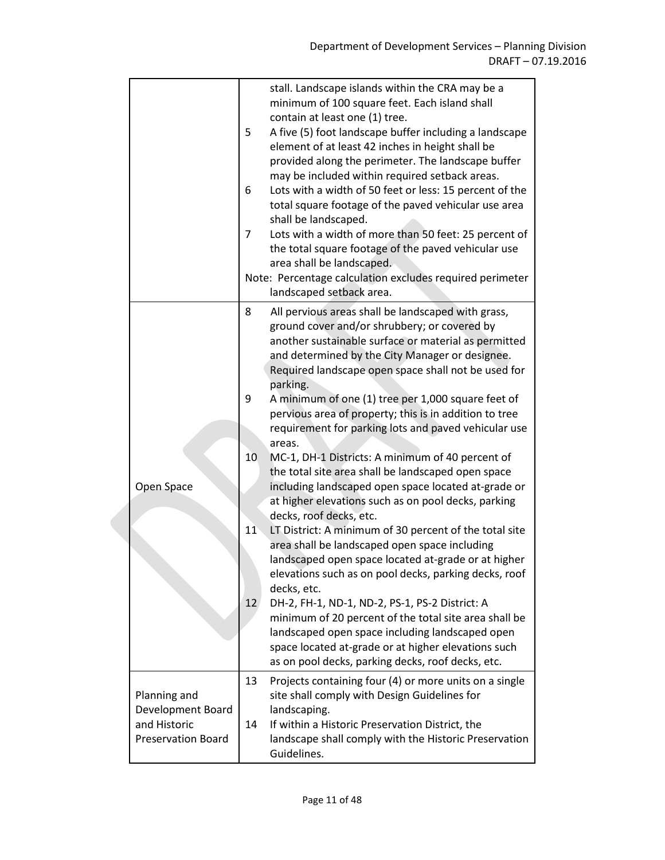|                                                                                | 5<br>6<br>7              | stall. Landscape islands within the CRA may be a<br>minimum of 100 square feet. Each island shall<br>contain at least one (1) tree.<br>A five (5) foot landscape buffer including a landscape<br>element of at least 42 inches in height shall be<br>provided along the perimeter. The landscape buffer<br>may be included within required setback areas.<br>Lots with a width of 50 feet or less: 15 percent of the<br>total square footage of the paved vehicular use area<br>shall be landscaped.<br>Lots with a width of more than 50 feet: 25 percent of<br>the total square footage of the paved vehicular use<br>area shall be landscaped.                                                                                                                                                                                                                                                                                                                                                                                                                                                                                                                                                                                         |
|--------------------------------------------------------------------------------|--------------------------|-------------------------------------------------------------------------------------------------------------------------------------------------------------------------------------------------------------------------------------------------------------------------------------------------------------------------------------------------------------------------------------------------------------------------------------------------------------------------------------------------------------------------------------------------------------------------------------------------------------------------------------------------------------------------------------------------------------------------------------------------------------------------------------------------------------------------------------------------------------------------------------------------------------------------------------------------------------------------------------------------------------------------------------------------------------------------------------------------------------------------------------------------------------------------------------------------------------------------------------------|
|                                                                                |                          | Note: Percentage calculation excludes required perimeter<br>landscaped setback area.                                                                                                                                                                                                                                                                                                                                                                                                                                                                                                                                                                                                                                                                                                                                                                                                                                                                                                                                                                                                                                                                                                                                                      |
| Open Space                                                                     | 8<br>9<br>10<br>11<br>12 | All pervious areas shall be landscaped with grass,<br>ground cover and/or shrubbery; or covered by<br>another sustainable surface or material as permitted<br>and determined by the City Manager or designee.<br>Required landscape open space shall not be used for<br>parking.<br>A minimum of one (1) tree per 1,000 square feet of<br>pervious area of property; this is in addition to tree<br>requirement for parking lots and paved vehicular use<br>areas.<br>MC-1, DH-1 Districts: A minimum of 40 percent of<br>the total site area shall be landscaped open space<br>including landscaped open space located at-grade or<br>at higher elevations such as on pool decks, parking<br>decks, roof decks, etc.<br>LT District: A minimum of 30 percent of the total site<br>area shall be landscaped open space including<br>landscaped open space located at-grade or at higher<br>elevations such as on pool decks, parking decks, roof<br>decks, etc.<br>DH-2, FH-1, ND-1, ND-2, PS-1, PS-2 District: A<br>minimum of 20 percent of the total site area shall be<br>landscaped open space including landscaped open<br>space located at-grade or at higher elevations such<br>as on pool decks, parking decks, roof decks, etc. |
| Planning and<br>Development Board<br>and Historic<br><b>Preservation Board</b> | 13<br>14                 | Projects containing four (4) or more units on a single<br>site shall comply with Design Guidelines for<br>landscaping.<br>If within a Historic Preservation District, the<br>landscape shall comply with the Historic Preservation<br>Guidelines.                                                                                                                                                                                                                                                                                                                                                                                                                                                                                                                                                                                                                                                                                                                                                                                                                                                                                                                                                                                         |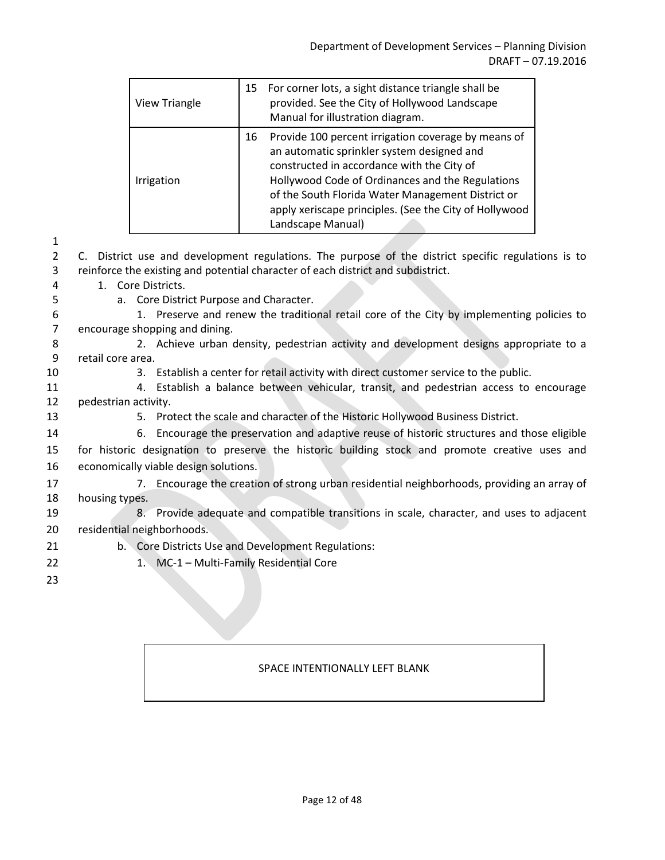| <b>View Triangle</b> | 15 | For corner lots, a sight distance triangle shall be<br>provided. See the City of Hollywood Landscape<br>Manual for illustration diagram.                                                                                                                                                                                                |
|----------------------|----|-----------------------------------------------------------------------------------------------------------------------------------------------------------------------------------------------------------------------------------------------------------------------------------------------------------------------------------------|
| Irrigation           | 16 | Provide 100 percent irrigation coverage by means of<br>an automatic sprinkler system designed and<br>constructed in accordance with the City of<br>Hollywood Code of Ordinances and the Regulations<br>of the South Florida Water Management District or<br>apply xeriscape principles. (See the City of Hollywood<br>Landscape Manual) |

2 C. District use and development regulations. The purpose of the district specific regulations is to 3 reinforce the existing and potential character of each district and subdistrict.

4 1. Core Districts.

- 
- 5 a. Core District Purpose and Character.

6 1. Preserve and renew the traditional retail core of the City by implementing policies to 7 encourage shopping and dining.

- 8 2. Achieve urban density, pedestrian activity and development designs appropriate to a 9 retail core area.
- 
- 10 3. Establish a center for retail activity with direct customer service to the public.
- 11 4. Establish a balance between vehicular, transit, and pedestrian access to encourage 12 pedestrian activity.
- 

13 5. Protect the scale and character of the Historic Hollywood Business District.

- 14 6. Encourage the preservation and adaptive reuse of historic structures and those eligible 15 for historic designation to preserve the historic building stock and promote creative uses and 16 economically viable design solutions.
- 17 17 2. Encourage the creation of strong urban residential neighborhoods, providing an array of 18 housing types.
- 19 8. Provide adequate and compatible transitions in scale, character, and uses to adjacent 20 residential neighborhoods.
- 21 b. Core Districts Use and Development Regulations:
- 22 1. MC-1 Multi-Family Residential Core
- 23

# SPACE INTENTIONALLY LEFT BLANK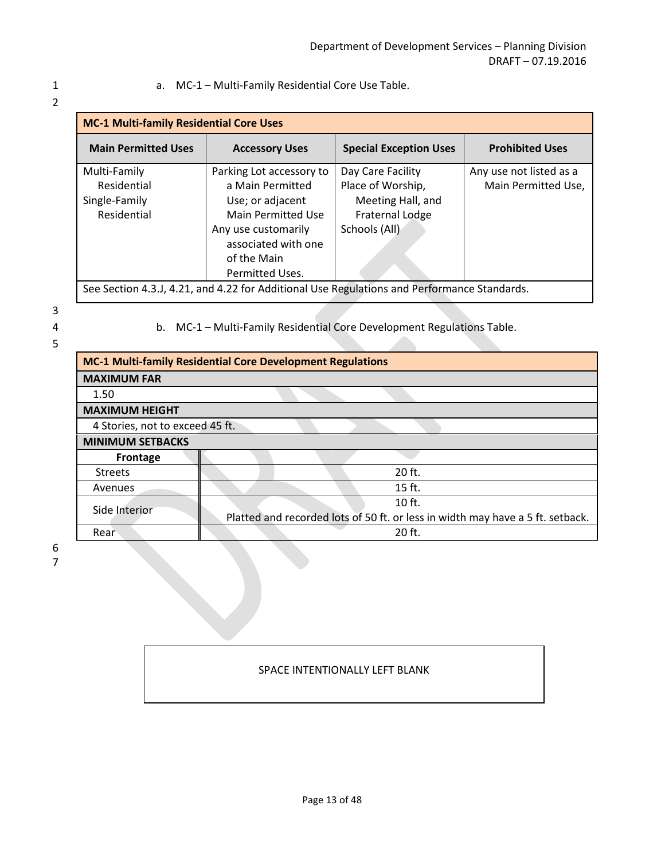#### 1 a. MC-1 – Multi-Family Residential Core Use Table.

| <b>MC-1 Multi-family Residential Core Uses</b> |                          |                                                                                             |                         |
|------------------------------------------------|--------------------------|---------------------------------------------------------------------------------------------|-------------------------|
| <b>Main Permitted Uses</b>                     | <b>Accessory Uses</b>    | <b>Special Exception Uses</b>                                                               | <b>Prohibited Uses</b>  |
| Multi-Family                                   | Parking Lot accessory to | Day Care Facility                                                                           | Any use not listed as a |
| Residential                                    | a Main Permitted         | Place of Worship,                                                                           | Main Permitted Use,     |
| Single-Family                                  | Use; or adjacent         | Meeting Hall, and                                                                           |                         |
| Residential                                    | Main Permitted Use       | Fraternal Lodge                                                                             |                         |
|                                                | Any use customarily      | Schools (All)                                                                               |                         |
|                                                | associated with one      |                                                                                             |                         |
|                                                | of the Main              |                                                                                             |                         |
|                                                | Permitted Uses.          |                                                                                             |                         |
|                                                |                          | See Section 4.3.J. 4.21, and 4.22 for Additional Use Regulations and Performance Standards. |                         |

See Section 4.3.J, 4.21, and 4.22 for Additional Use Regulations and Performance Standards.

3

5

4 b. MC-1 – Multi-Family Residential Core Development Regulations Table.

| <b>MC-1 Multi-family Residential Core Development Regulations</b> |                                                                                |  |  |
|-------------------------------------------------------------------|--------------------------------------------------------------------------------|--|--|
| <b>MAXIMUM FAR</b>                                                |                                                                                |  |  |
| 1.50                                                              |                                                                                |  |  |
| <b>MAXIMUM HEIGHT</b>                                             |                                                                                |  |  |
| 4 Stories, not to exceed 45 ft.                                   |                                                                                |  |  |
| <b>MINIMUM SETBACKS</b>                                           |                                                                                |  |  |
| Frontage                                                          |                                                                                |  |  |
| <b>Streets</b>                                                    | 20 ft.                                                                         |  |  |
| Avenues                                                           | $15$ ft.                                                                       |  |  |
| Side Interior                                                     | $10$ ft.                                                                       |  |  |
|                                                                   | Platted and recorded lots of 50 ft. or less in width may have a 5 ft. setback. |  |  |
| Rear                                                              | $20$ ft.                                                                       |  |  |

 6 7

#### SPACE INTENTIONALLY LEFT BLANK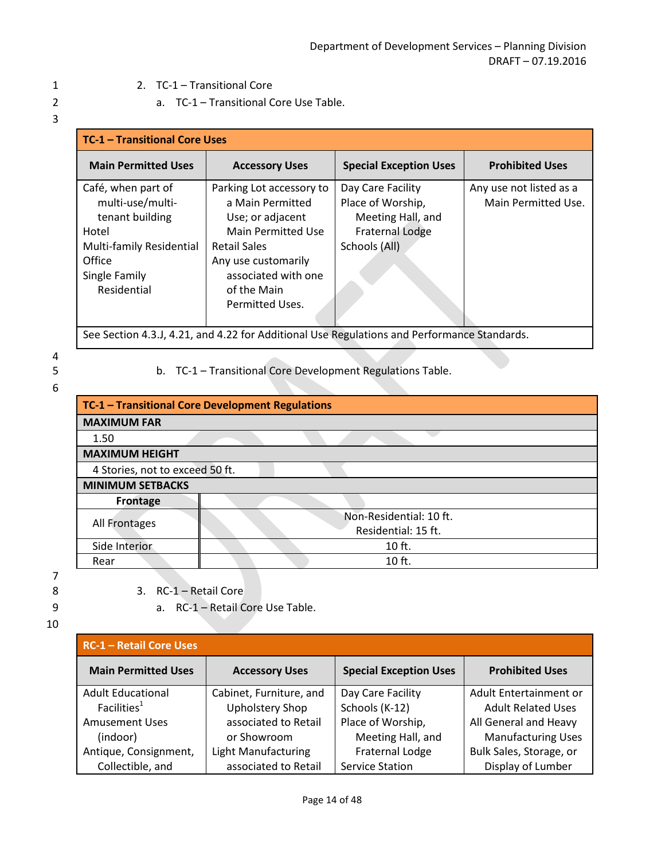1 2. TC-1 – Transitional Core

2 a. TC-1 – Transitional Core Use Table.

# 3

| <b>TC-1 - Transitional Core Uses</b>                                                                                                     |                                                                                                                                                                                               |                                                                                                        |                                                |
|------------------------------------------------------------------------------------------------------------------------------------------|-----------------------------------------------------------------------------------------------------------------------------------------------------------------------------------------------|--------------------------------------------------------------------------------------------------------|------------------------------------------------|
| <b>Main Permitted Uses</b>                                                                                                               | <b>Accessory Uses</b>                                                                                                                                                                         | <b>Special Exception Uses</b>                                                                          | <b>Prohibited Uses</b>                         |
| Café, when part of<br>multi-use/multi-<br>tenant building<br>Hotel<br>Multi-family Residential<br>Office<br>Single Family<br>Residential | Parking Lot accessory to<br>a Main Permitted<br>Use; or adjacent<br>Main Permitted Use<br><b>Retail Sales</b><br>Any use customarily<br>associated with one<br>of the Main<br>Permitted Uses. | Day Care Facility<br>Place of Worship,<br>Meeting Hall, and<br><b>Fraternal Lodge</b><br>Schools (All) | Any use not listed as a<br>Main Permitted Use. |
| See Section 4.3.J, 4.21, and 4.22 for Additional Use Regulations and Performance Standards.                                              |                                                                                                                                                                                               |                                                                                                        |                                                |

## 4

- 6
- 5 b. TC-1 Transitional Core Development Regulations Table.

|                                      | TC-1 - Transitional Core Development Regulations |  |
|--------------------------------------|--------------------------------------------------|--|
| <b>MAXIMUM FAR</b>                   |                                                  |  |
| 1.50                                 |                                                  |  |
| <b>MAXIMUM HEIGHT</b>                |                                                  |  |
| 4 Stories, not to exceed 50 ft.      |                                                  |  |
| <b>MINIMUM SETBACKS</b>              |                                                  |  |
| Frontage                             |                                                  |  |
|                                      | Non-Residential: 10 ft.                          |  |
| All Frontages<br>Residential: 15 ft. |                                                  |  |
| Side Interior                        | 10 ft.                                           |  |
| Rear                                 | $10$ ft.                                         |  |

7

- 8 3. RC-1 Retail Core
- 9 a. RC-1 Retail Core Use Table.

| <b>RC-1 - Retail Core Uses</b> |                            |                               |                           |  |
|--------------------------------|----------------------------|-------------------------------|---------------------------|--|
| <b>Main Permitted Uses</b>     | <b>Accessory Uses</b>      | <b>Special Exception Uses</b> | <b>Prohibited Uses</b>    |  |
| <b>Adult Educational</b>       | Cabinet, Furniture, and    | Day Care Facility             | Adult Entertainment or    |  |
| Facilities <sup>1</sup>        | <b>Upholstery Shop</b>     | Schools (K-12)                | <b>Adult Related Uses</b> |  |
| <b>Amusement Uses</b>          | associated to Retail       | Place of Worship,             | All General and Heavy     |  |
| (indoor)                       | or Showroom                | Meeting Hall, and             | <b>Manufacturing Uses</b> |  |
| Antique, Consignment,          | <b>Light Manufacturing</b> | <b>Fraternal Lodge</b>        | Bulk Sales, Storage, or   |  |
| Collectible, and               | associated to Retail       | <b>Service Station</b>        | Display of Lumber         |  |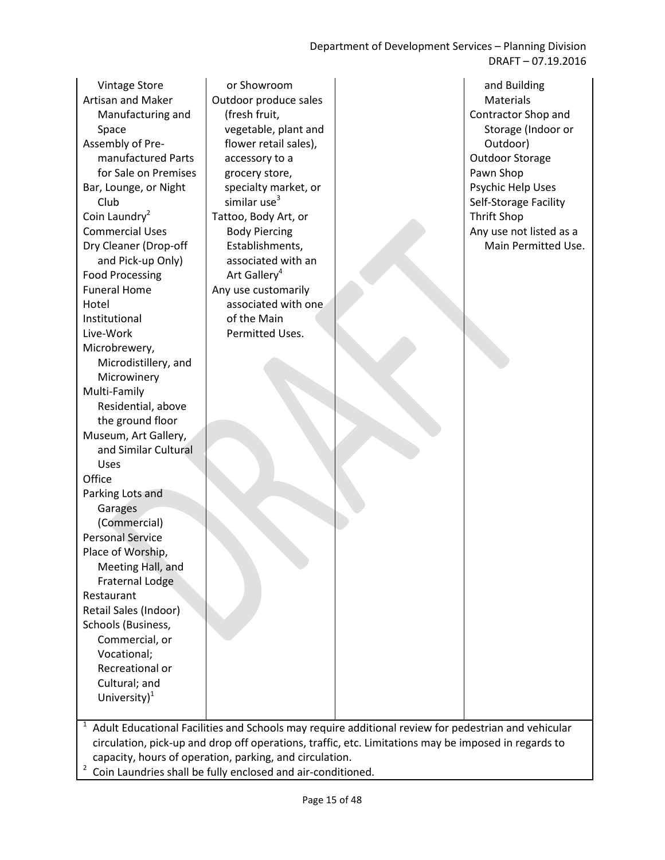Department of Development Services – Planning Division DRAFT – 07.19.2016

Vintage Store Artisan and Maker Manufacturing and Space Assembly of Premanufactured Parts for Sale on Premises Bar, Lounge, or Night Club Coin Laundry $2$ Commercial Uses Dry Cleaner (Drop-off and Pick-up Only) Food Processing Funeral Home Hotel Institutional Live-Work Microbrewery, Microdistillery, and Microwinery Multi-Family Residential, above the ground floor Museum, Art Gallery, and Similar Cultural Uses **Office** Parking Lots and **Garages** (Commercial) Personal Service Place of Worship, Meeting Hall, and Fraternal Lodge Restaurant Retail Sales (Indoor) Schools (Business, Commercial, or Vocational; Recreational or Cultural; and University)<sup>1</sup>

or Showroom Outdoor produce sales (fresh fruit, vegetable, plant and flower retail sales), accessory to a grocery store, specialty market, or similar use $3$ Tattoo, Body Art, or Body Piercing Establishments, associated with an Art Gallery<sup>4</sup> Any use customarily associated with one of the Main Permitted Uses.

and Building Materials Contractor Shop and Storage (Indoor or Outdoor) Outdoor Storage Pawn Shop Psychic Help Uses Self-Storage Facility Thrift Shop Any use not listed as a Main Permitted Use.

 $1$  Adult Educational Facilities and Schools may require additional review for pedestrian and vehicular circulation, pick-up and drop off operations, traffic, etc. Limitations may be imposed in regards to capacity, hours of operation, parking, and circulation.

2 Coin Laundries shall be fully enclosed and air-conditioned.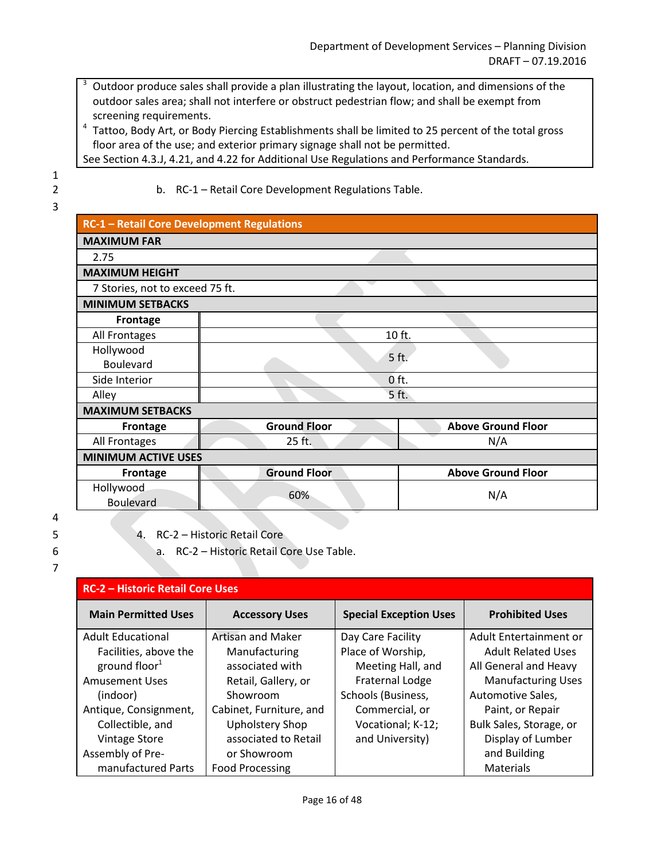- 3 Outdoor produce sales shall provide a plan illustrating the layout, location, and dimensions of the outdoor sales area; shall not interfere or obstruct pedestrian flow; and shall be exempt from screening requirements.
- <sup>4</sup> Tattoo, Body Art, or Body Piercing Establishments shall be limited to 25 percent of the total gross floor area of the use; and exterior primary signage shall not be permitted.
- See Section 4.3.J, 4.21, and 4.22 for Additional Use Regulations and Performance Standards.

 1 2 b. RC-1 – Retail Core Development Regulations Table. 3

- **RC-1 Retail Core Development Regulations MAXIMUM FAR** 2.75 **MAXIMUM HEIGHT** 7 Stories, not to exceed 75 ft. **MINIMUM SETBACKS Frontage** All Frontages **10 ft.** 20 ft. Hollywood Boulevard Boulevard 5 ft. Side Interior **contract of the Contract of the Contract of the Contract of the Contract of the Contract of the Contract of the Contract of the Contract of the Contract of the Contract of the Contract of the Contract of the** Alley **Alley Side Alley Alley MAXIMUM SETBACKS Frontage Ground Floor Above Ground Floor** All Frontages N/A **MINIMUM ACTIVE USES Frontage Cround Floor Above Ground Floor** Hollywood Roulevard 60% N/A
- 4
- 5 4. RC-2 Historic Retail Core
- 6 a. RC-2 Historic Retail Core Use Table.

| <b>RC-2 - Historic Retail Core Uses</b> |                         |                               |                           |  |
|-----------------------------------------|-------------------------|-------------------------------|---------------------------|--|
| <b>Main Permitted Uses</b>              | <b>Accessory Uses</b>   | <b>Special Exception Uses</b> | <b>Prohibited Uses</b>    |  |
| <b>Adult Educational</b>                | Artisan and Maker       | Day Care Facility             | Adult Entertainment or    |  |
| Facilities, above the                   | Manufacturing           | Place of Worship,             | <b>Adult Related Uses</b> |  |
| ground floor $1$                        | associated with         | Meeting Hall, and             | All General and Heavy     |  |
| <b>Amusement Uses</b>                   | Retail, Gallery, or     | Fraternal Lodge               | <b>Manufacturing Uses</b> |  |
| (indoor)                                | Showroom                | Schools (Business,            | Automotive Sales,         |  |
| Antique, Consignment,                   | Cabinet, Furniture, and | Commercial, or                | Paint, or Repair          |  |
| Collectible, and                        | <b>Upholstery Shop</b>  | Vocational; K-12;             | Bulk Sales, Storage, or   |  |
| <b>Vintage Store</b>                    | associated to Retail    | and University)               | Display of Lumber         |  |
| Assembly of Pre-                        | or Showroom             |                               | and Building              |  |
| manufactured Parts                      | <b>Food Processing</b>  |                               | Materials                 |  |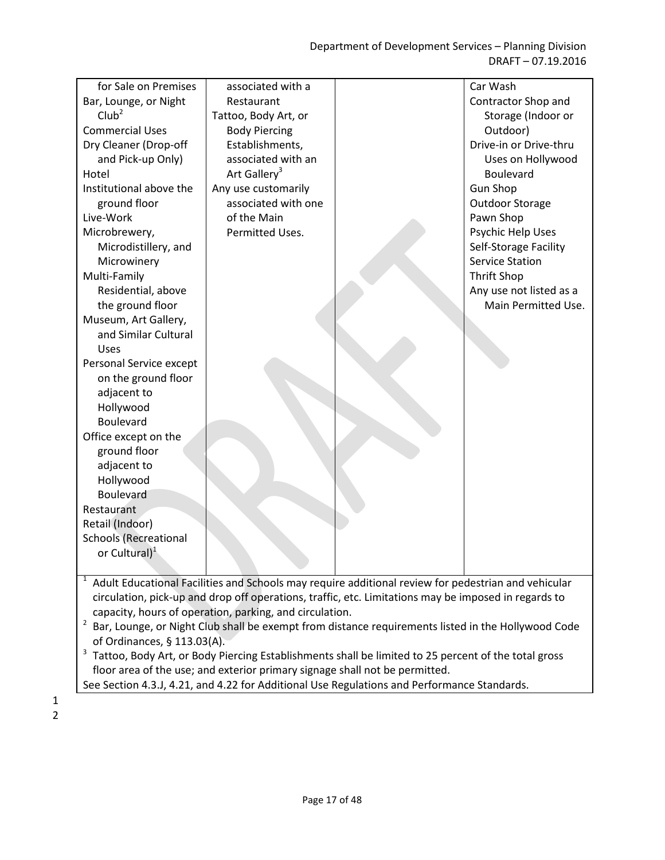| for Sale on Premises         | associated with a                                       |                                                                                                      | Car Wash                |
|------------------------------|---------------------------------------------------------|------------------------------------------------------------------------------------------------------|-------------------------|
| Bar, Lounge, or Night        | Restaurant                                              |                                                                                                      | Contractor Shop and     |
| Club <sup>2</sup>            | Tattoo, Body Art, or                                    |                                                                                                      | Storage (Indoor or      |
| <b>Commercial Uses</b>       | <b>Body Piercing</b>                                    |                                                                                                      | Outdoor)                |
| Dry Cleaner (Drop-off        | Establishments,                                         |                                                                                                      | Drive-in or Drive-thru  |
| and Pick-up Only)            | associated with an                                      |                                                                                                      | Uses on Hollywood       |
| Hotel                        | Art Gallery <sup>3</sup>                                |                                                                                                      | Boulevard               |
| Institutional above the      | Any use customarily                                     |                                                                                                      | <b>Gun Shop</b>         |
| ground floor                 | associated with one                                     |                                                                                                      | <b>Outdoor Storage</b>  |
| Live-Work                    | of the Main                                             |                                                                                                      | Pawn Shop               |
| Microbrewery,                | Permitted Uses.                                         |                                                                                                      | Psychic Help Uses       |
| Microdistillery, and         |                                                         |                                                                                                      | Self-Storage Facility   |
| Microwinery                  |                                                         |                                                                                                      | <b>Service Station</b>  |
| Multi-Family                 |                                                         |                                                                                                      | <b>Thrift Shop</b>      |
| Residential, above           |                                                         |                                                                                                      | Any use not listed as a |
| the ground floor             |                                                         |                                                                                                      | Main Permitted Use.     |
| Museum, Art Gallery,         |                                                         |                                                                                                      |                         |
| and Similar Cultural         |                                                         |                                                                                                      |                         |
| Uses                         |                                                         |                                                                                                      |                         |
| Personal Service except      |                                                         |                                                                                                      |                         |
| on the ground floor          |                                                         |                                                                                                      |                         |
| adjacent to                  |                                                         |                                                                                                      |                         |
| Hollywood                    |                                                         |                                                                                                      |                         |
| Boulevard                    |                                                         |                                                                                                      |                         |
| Office except on the         |                                                         |                                                                                                      |                         |
| ground floor                 |                                                         |                                                                                                      |                         |
| adjacent to                  |                                                         |                                                                                                      |                         |
| Hollywood                    |                                                         |                                                                                                      |                         |
| <b>Boulevard</b>             |                                                         |                                                                                                      |                         |
| Restaurant                   |                                                         |                                                                                                      |                         |
| Retail (Indoor)              |                                                         |                                                                                                      |                         |
| <b>Schools (Recreational</b> |                                                         |                                                                                                      |                         |
| or Cultural) <sup>1</sup>    |                                                         |                                                                                                      |                         |
|                              |                                                         |                                                                                                      |                         |
|                              |                                                         | Adult Educational Facilities and Schools may require additional review for pedestrian and vehicular  |                         |
|                              |                                                         | circulation, pick-up and drop off operations, traffic, etc. Limitations may be imposed in regards to |                         |
|                              | capacity, hours of operation, parking, and circulation. |                                                                                                      |                         |
| $\overline{a}$               |                                                         | Bar, Lounge, or Night Club shall be exempt from distance requirements listed in the Hollywood Code   |                         |
|                              |                                                         |                                                                                                      |                         |

of Ordinances, § 113.03(A).<br><sup>3</sup> Tattoo, Body Art, or Body Piercing Establishments shall be limited to 25 percent of the total gross floor area of the use; and exterior primary signage shall not be permitted.

See Section 4.3.J, 4.21, and 4.22 for Additional Use Regulations and Performance Standards.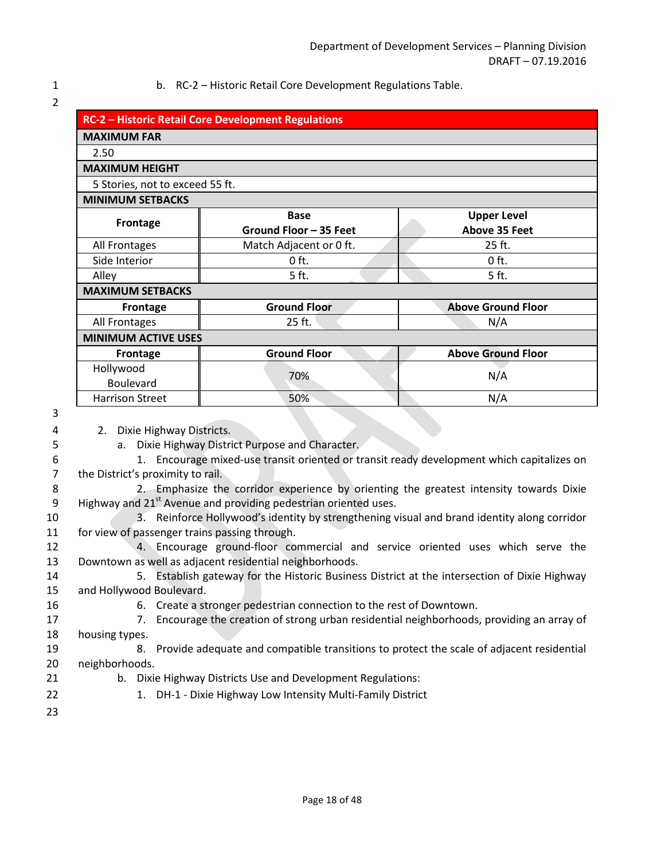1 b. RC-2 – Historic Retail Core Development Regulations Table.

|                                 | <b>RC-2 - Historic Retail Core Development Regulations</b> |                           |  |  |
|---------------------------------|------------------------------------------------------------|---------------------------|--|--|
| <b>MAXIMUM FAR</b>              |                                                            |                           |  |  |
| 2.50                            |                                                            |                           |  |  |
| <b>MAXIMUM HEIGHT</b>           |                                                            |                           |  |  |
| 5 Stories, not to exceed 55 ft. |                                                            |                           |  |  |
| <b>MINIMUM SETBACKS</b>         |                                                            |                           |  |  |
|                                 | <b>Base</b>                                                | <b>Upper Level</b>        |  |  |
| <b>Frontage</b>                 | Ground Floor - 35 Feet                                     | <b>Above 35 Feet</b>      |  |  |
| All Frontages                   | Match Adjacent or 0 ft.                                    | 25 ft.                    |  |  |
| Side Interior                   | $0$ ft.                                                    | $0$ ft.                   |  |  |
| Alley                           | 5 ft.                                                      | 5 ft.                     |  |  |
| <b>MAXIMUM SETBACKS</b>         |                                                            |                           |  |  |
| <b>Frontage</b>                 | <b>Ground Floor</b>                                        | <b>Above Ground Floor</b> |  |  |
| All Frontages                   | 25 ft.                                                     | N/A                       |  |  |
| <b>MINIMUM ACTIVE USES</b>      |                                                            |                           |  |  |
| <b>Frontage</b>                 | <b>Ground Floor</b>                                        | <b>Above Ground Floor</b> |  |  |
| Hollywood                       | 70%                                                        | N/A                       |  |  |
| <b>Boulevard</b>                |                                                            |                           |  |  |
| <b>Harrison Street</b>          | 50%                                                        | N/A                       |  |  |

3

4 2. Dixie Highway Districts.

5 a. Dixie Highway District Purpose and Character.

- 6 1. Encourage mixed-use transit oriented or transit ready development which capitalizes on 7 the District's proximity to rail.
- 8 2. Emphasize the corridor experience by orienting the greatest intensity towards Dixie 9 Highway and  $21^{st}$  Avenue and providing pedestrian oriented uses.
- 10 3. Reinforce Hollywood's identity by strengthening visual and brand identity along corridor 11 for view of passenger trains passing through.

12 4. Encourage ground-floor commercial and service oriented uses which serve the 13 Downtown as well as adjacent residential neighborhoods.

- 14 5. Establish gateway for the Historic Business District at the intersection of Dixie Highway 15 and Hollywood Boulevard.
- 16 6. Create a stronger pedestrian connection to the rest of Downtown.
- 17 17 2. Encourage the creation of strong urban residential neighborhoods, providing an array of 18 housing types.
- 19 8. Provide adequate and compatible transitions to protect the scale of adjacent residential 20 neighborhoods.
- 21 b. Dixie Highway Districts Use and Development Regulations:
- 22 1. DH-1 Dixie Highway Low Intensity Multi-Family District
- 23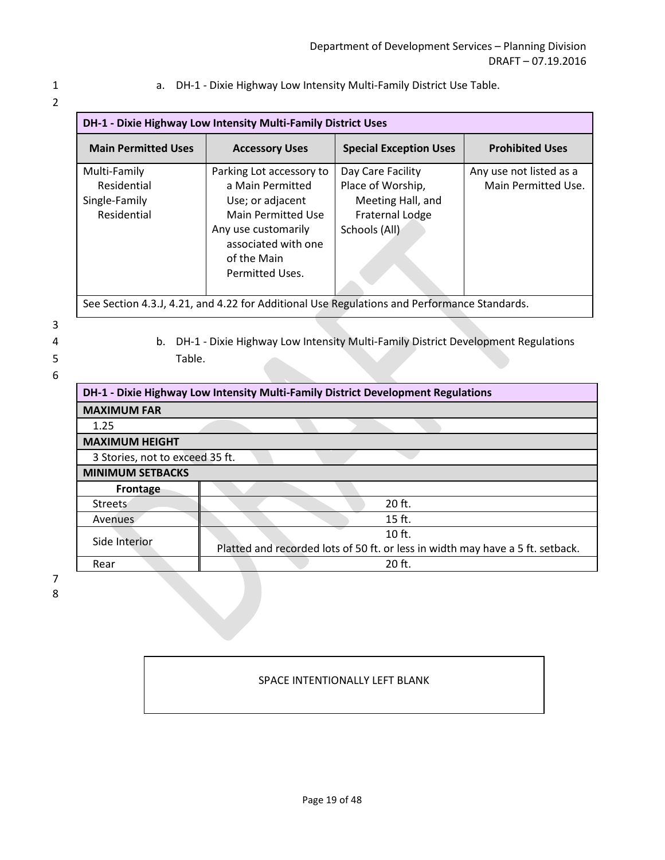1 a. DH-1 - Dixie Highway Low Intensity Multi-Family District Use Table.

|  |  | I |
|--|--|---|
|  |  |   |
|  |  |   |
|  |  |   |
|  |  |   |

| <b>DH-1 - Dixie Highway Low Intensity Multi-Family District Uses</b>                                           |                                                                                                                                                                        |                                                                                                        |                                                |  |
|----------------------------------------------------------------------------------------------------------------|------------------------------------------------------------------------------------------------------------------------------------------------------------------------|--------------------------------------------------------------------------------------------------------|------------------------------------------------|--|
| <b>Main Permitted Uses</b><br><b>Special Exception Uses</b><br><b>Prohibited Uses</b><br><b>Accessory Uses</b> |                                                                                                                                                                        |                                                                                                        |                                                |  |
| Multi-Family<br>Residential<br>Single-Family<br>Residential                                                    | Parking Lot accessory to<br>a Main Permitted<br>Use; or adjacent<br>Main Permitted Use<br>Any use customarily<br>associated with one<br>of the Main<br>Permitted Uses. | Day Care Facility<br>Place of Worship,<br>Meeting Hall, and<br><b>Fraternal Lodge</b><br>Schools (All) | Any use not listed as a<br>Main Permitted Use. |  |
| See Section 4.3.J, 4.21, and 4.22 for Additional Use Regulations and Performance Standards.                    |                                                                                                                                                                        |                                                                                                        |                                                |  |

See Section 4.3.J, 4.21, and 4.22 for Additional Use Regulations and Performance Standards.

3

4 b. DH-1 - Dixie Highway Low Intensity Multi-Family District Development Regulations 5 Table.

6

| DH-1 - Dixie Highway Low Intensity Multi-Family District Development Regulations |                                                                                |  |  |
|----------------------------------------------------------------------------------|--------------------------------------------------------------------------------|--|--|
| <b>MAXIMUM FAR</b>                                                               |                                                                                |  |  |
| 1.25                                                                             |                                                                                |  |  |
| <b>MAXIMUM HEIGHT</b>                                                            |                                                                                |  |  |
| 3 Stories, not to exceed 35 ft.                                                  |                                                                                |  |  |
| <b>MINIMUM SETBACKS</b>                                                          |                                                                                |  |  |
| <b>Frontage</b>                                                                  |                                                                                |  |  |
| <b>Streets</b>                                                                   | $20$ ft.                                                                       |  |  |
| <b>Avenues</b>                                                                   | 15 ft.                                                                         |  |  |
| Side Interior                                                                    | $10$ ft.                                                                       |  |  |
|                                                                                  | Platted and recorded lots of 50 ft. or less in width may have a 5 ft. setback. |  |  |
| Rear                                                                             | $20$ ft.                                                                       |  |  |

 7 8

#### SPACE INTENTIONALLY LEFT BLANK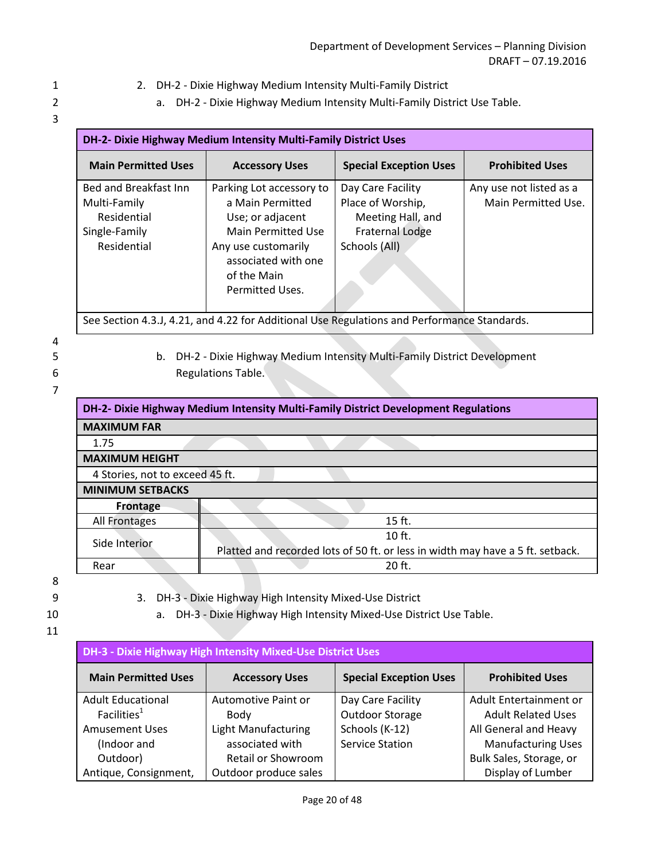- 1 2. DH-2 Dixie Highway Medium Intensity Multi-Family District
- 2 a. DH-2 Dixie Highway Medium Intensity Multi-Family District Use Table.
- 3

| DH-2- Dixie Highway Medium Intensity Multi-Family District Uses                             |                                                                                                                                                                               |                                                                                                        |                                                |  |
|---------------------------------------------------------------------------------------------|-------------------------------------------------------------------------------------------------------------------------------------------------------------------------------|--------------------------------------------------------------------------------------------------------|------------------------------------------------|--|
| <b>Main Permitted Uses</b>                                                                  | <b>Accessory Uses</b>                                                                                                                                                         | <b>Special Exception Uses</b>                                                                          | <b>Prohibited Uses</b>                         |  |
| Bed and Breakfast Inn<br>Multi-Family<br>Residential<br>Single-Family<br>Residential        | Parking Lot accessory to<br>a Main Permitted<br>Use; or adjacent<br><b>Main Permitted Use</b><br>Any use customarily<br>associated with one<br>of the Main<br>Permitted Uses. | Day Care Facility<br>Place of Worship,<br>Meeting Hall, and<br><b>Fraternal Lodge</b><br>Schools (All) | Any use not listed as a<br>Main Permitted Use. |  |
| See Section 4.3.J, 4.21, and 4.22 for Additional Use Regulations and Performance Standards. |                                                                                                                                                                               |                                                                                                        |                                                |  |

- 4
- 
- 5 b. DH-2 Dixie Highway Medium Intensity Multi-Family District Development 6 Regulations Table.

| DH-2- Dixie Highway Medium Intensity Multi-Family District Development Regulations |          |  |  |  |  |
|------------------------------------------------------------------------------------|----------|--|--|--|--|
| <b>MAXIMUM FAR</b>                                                                 |          |  |  |  |  |
| 1.75                                                                               |          |  |  |  |  |
| <b>MAXIMUM HEIGHT</b>                                                              |          |  |  |  |  |
| 4 Stories, not to exceed 45 ft.                                                    |          |  |  |  |  |
| <b>MINIMUM SETBACKS</b>                                                            |          |  |  |  |  |
| <b>Frontage</b>                                                                    |          |  |  |  |  |
| All Frontages                                                                      | $15$ ft. |  |  |  |  |
| $10$ ft.<br>Side Interior                                                          |          |  |  |  |  |
| Platted and recorded lots of 50 ft. or less in width may have a 5 ft. setback.     |          |  |  |  |  |
| Rear                                                                               | 20 ft.   |  |  |  |  |

- 
- 9 3. DH-3 Dixie Highway High Intensity Mixed-Use District
- 10 a. DH-3 Dixie Highway High Intensity Mixed-Use District Use Table.
- 11

| <b>DH-3 - Dixie Highway High Intensity Mixed-Use District Uses</b> |                                                                                  |                        |                           |  |  |  |
|--------------------------------------------------------------------|----------------------------------------------------------------------------------|------------------------|---------------------------|--|--|--|
| <b>Main Permitted Uses</b>                                         | <b>Special Exception Uses</b><br><b>Prohibited Uses</b><br><b>Accessory Uses</b> |                        |                           |  |  |  |
| <b>Adult Educational</b>                                           | Automotive Paint or                                                              | Day Care Facility      | Adult Entertainment or    |  |  |  |
| Facilities <sup>1</sup>                                            | Body                                                                             | <b>Outdoor Storage</b> | <b>Adult Related Uses</b> |  |  |  |
| <b>Amusement Uses</b>                                              | <b>Light Manufacturing</b>                                                       | Schools (K-12)         | All General and Heavy     |  |  |  |
| (Indoor and                                                        | associated with                                                                  | <b>Service Station</b> | <b>Manufacturing Uses</b> |  |  |  |
| Outdoor)                                                           | Retail or Showroom                                                               |                        | Bulk Sales, Storage, or   |  |  |  |
| Antique, Consignment,                                              | Outdoor produce sales                                                            |                        | Display of Lumber         |  |  |  |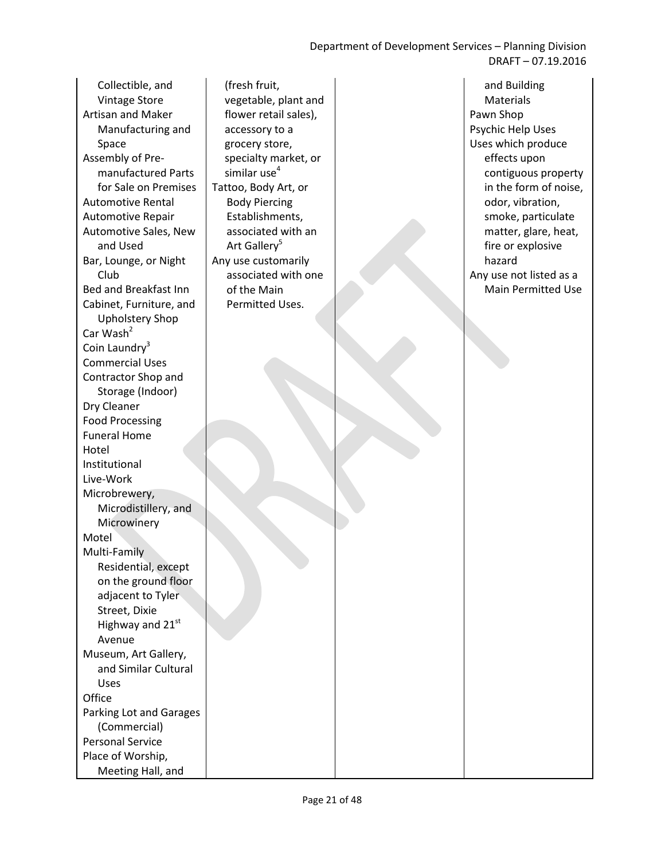Department of Development Services – Planning Division DRAFT – 07.19.2016

Collectible, and Vintage Store Artisan and Maker Manufacturing and Space Assembly of Premanufactured Parts for Sale on Premises Automotive Rental Automotive Repair Automotive Sales, New and Used Bar, Lounge, or Night Club Bed and Breakfast Inn Cabinet, Furniture, and Upholstery Shop Car Wash<sup>2</sup> Coin Laundry $3$ Commercial Uses Contractor Shop and Storage (Indoor) Dry Cleaner Food Processing Funeral Home Hotel Institutional Live-Work Microbrewery, Microdistillery, and Microwinery Motel Multi-Family Residential, except on the ground floor adjacent to Tyler Street, Dixie Highway and 21st Avenue Museum, Art Gallery, and Similar Cultural Uses **Office** Parking Lot and Garages (Commercial) Personal Service Place of Worship,

Meeting Hall, and

(fresh fruit, vegetable, plant and flower retail sales), accessory to a grocery store, specialty market, or similar use $4$ Tattoo, Body Art, or Body Piercing Establishments, associated with an Art Gallery<sup>5</sup> Any use customarily associated with one of the Main Permitted Uses.

and Building Materials Pawn Shop Psychic Help Uses Uses which produce effects upon contiguous property in the form of noise, odor, vibration, smoke, particulate matter, glare, heat, fire or explosive hazard Any use not listed as a Main Permitted Use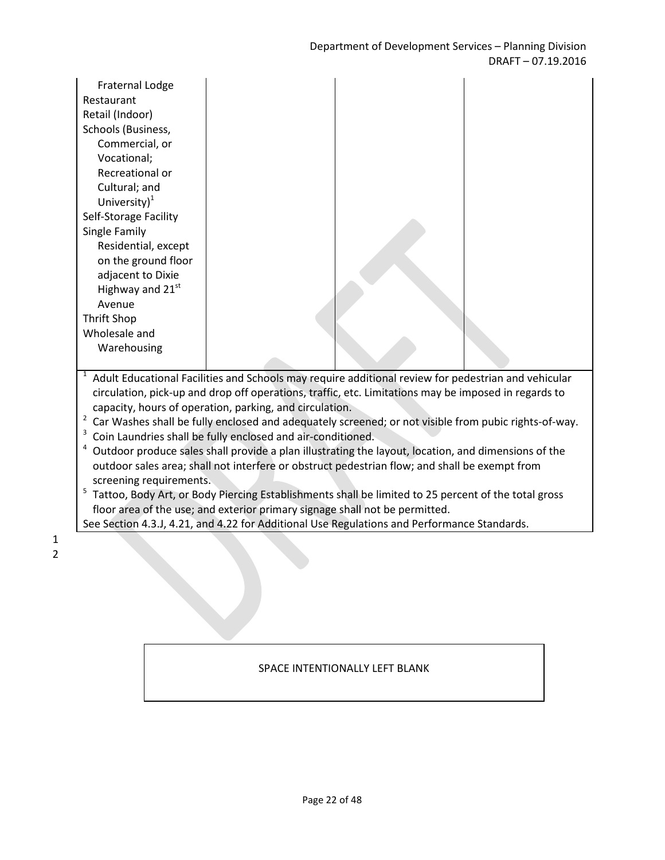| <b>Fraternal Lodge</b><br>Restaurant<br>Retail (Indoor)<br>Schools (Business,<br>Commercial, or<br>Vocational;<br>Recreational or<br>Cultural; and<br>University $)^{1}$<br>Self-Storage Facility<br>Single Family<br>Residential, except<br>on the ground floor<br>adjacent to Dixie<br>Highway and 21 <sup>st</sup><br>Avenue<br><b>Thrift Shop</b><br>Wholesale and<br>Warehousing |  |                                                                                                      |  |  |
|---------------------------------------------------------------------------------------------------------------------------------------------------------------------------------------------------------------------------------------------------------------------------------------------------------------------------------------------------------------------------------------|--|------------------------------------------------------------------------------------------------------|--|--|
| $\mathbf{1}$                                                                                                                                                                                                                                                                                                                                                                          |  | Adult Educational Facilities and Schools may require additional review for pedestrian and vehicular  |  |  |
|                                                                                                                                                                                                                                                                                                                                                                                       |  | circulation, pick-up and drop off operations, traffic, etc. Limitations may be imposed in regards to |  |  |
| capacity, hours of operation, parking, and circulation.                                                                                                                                                                                                                                                                                                                               |  |                                                                                                      |  |  |
| $\overline{2}$<br>Car Washes shall be fully enclosed and adequately screened; or not visible from pubic rights-of-way.<br>3                                                                                                                                                                                                                                                           |  |                                                                                                      |  |  |
| Coin Laundries shall be fully enclosed and air-conditioned.<br>4                                                                                                                                                                                                                                                                                                                      |  |                                                                                                      |  |  |
| Outdoor produce sales shall provide a plan illustrating the layout, location, and dimensions of the<br>outdoor sales area; shall not interfere or obstruct pedestrian flow; and shall be exempt from                                                                                                                                                                                  |  |                                                                                                      |  |  |
| screening requirements.                                                                                                                                                                                                                                                                                                                                                               |  |                                                                                                      |  |  |
| 5<br>Tattoo, Body Art, or Body Piercing Establishments shall be limited to 25 percent of the total gross                                                                                                                                                                                                                                                                              |  |                                                                                                      |  |  |
| floor area of the use; and exterior primary signage shall not be permitted.                                                                                                                                                                                                                                                                                                           |  |                                                                                                      |  |  |

#### SPACE INTENTIONALLY LEFT BLANK

See Section 4.3.J, 4.21, and 4.22 for Additional Use Regulations and Performance Standards.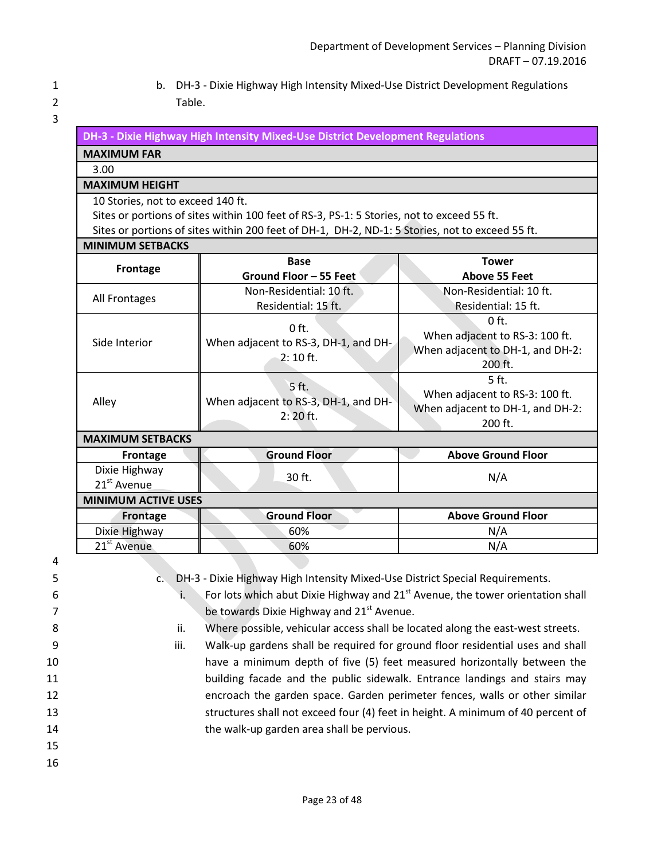1 b. DH-3 - Dixie Highway High Intensity Mixed-Use District Development Regulations 2 Table.

| DH-3 - Dixie Highway High Intensity Mixed-Use District Development Regulations |
|--------------------------------------------------------------------------------|
|                                                                                |

#### **MAXIMUM FAR** 3.00

#### **MAXIMUM HEIGHT**

10 Stories, not to exceed 140 ft.

Sites or portions of sites within 100 feet of RS-3, PS-1: 5 Stories, not to exceed 55 ft.

Sites or portions of sites within 200 feet of DH-1, DH-2, ND-1: 5 Stories, not to exceed 55 ft.

#### **MINIMUM SETBACKS**

| <b>Frontage</b>                          | <b>Base</b>                                                   | <b>Tower</b>                                                                             |  |  |  |
|------------------------------------------|---------------------------------------------------------------|------------------------------------------------------------------------------------------|--|--|--|
|                                          | Ground Floor - 55 Feet                                        | <b>Above 55 Feet</b>                                                                     |  |  |  |
| All Frontages                            | Non-Residential: 10 ft.                                       | Non-Residential: 10 ft.                                                                  |  |  |  |
|                                          | Residential: 15 ft.                                           | Residential: 15 ft.                                                                      |  |  |  |
| Side Interior                            | $0$ ft.<br>When adjacent to RS-3, DH-1, and DH-<br>$2:10$ ft. | $0$ ft.<br>When adjacent to RS-3: 100 ft.<br>When adjacent to DH-1, and DH-2:<br>200 ft. |  |  |  |
| Alley                                    | 5 ft.<br>When adjacent to RS-3, DH-1, and DH-<br>$2:20$ ft.   | 5 ft.<br>When adjacent to RS-3: 100 ft.<br>When adjacent to DH-1, and DH-2:<br>200 ft.   |  |  |  |
| <b>MAXIMUM SETBACKS</b>                  |                                                               |                                                                                          |  |  |  |
| <b>Frontage</b>                          | <b>Ground Floor</b>                                           | <b>Above Ground Floor</b>                                                                |  |  |  |
| Dixie Highway<br>21 <sup>st</sup> Avenue | 30 ft.                                                        | N/A                                                                                      |  |  |  |
| <b>MINIMUM ACTIVE USES</b>               |                                                               |                                                                                          |  |  |  |
| <b>Frontage</b>                          | <b>Ground Floor</b>                                           | <b>Above Ground Floor</b>                                                                |  |  |  |
| Dixie Highway                            | 60%                                                           | N/A                                                                                      |  |  |  |
| 21 <sup>st</sup> Avenue                  | 60%                                                           | N/A                                                                                      |  |  |  |

 4 5 c. DH-3 - Dixie Highway High Intensity Mixed-Use District Special Requirements.  $\ddot{\textbf{i}}$  For lots which abut Dixie Highway and 21<sup>st</sup> Avenue, the tower orientation shall  $\overline{z}$  be towards Dixie Highway and 21st Avenue. 8 ii. Where possible, vehicular access shall be located along the east-west streets. 9 iii. Walk-up gardens shall be required for ground floor residential uses and shall 10 have a minimum depth of five (5) feet measured horizontally between the

- 11 building facade and the public sidewalk. Entrance landings and stairs may 12 encroach the garden space. Garden perimeter fences, walls or other similar
- 13 structures shall not exceed four (4) feet in height. A minimum of 40 percent of 14 the walk-up garden area shall be pervious.
- 15
- 16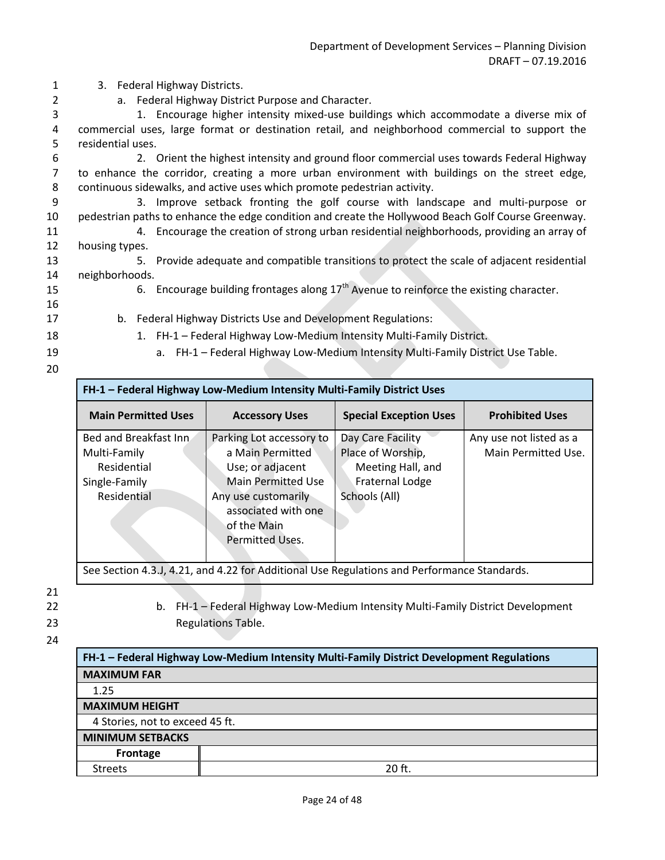1 3. Federal Highway Districts.

2 a. Federal Highway District Purpose and Character.

3 1. Encourage higher intensity mixed-use buildings which accommodate a diverse mix of 4 commercial uses, large format or destination retail, and neighborhood commercial to support the 5 residential uses.

6 2. Orient the highest intensity and ground floor commercial uses towards Federal Highway 7 to enhance the corridor, creating a more urban environment with buildings on the street edge, 8 continuous sidewalks, and active uses which promote pedestrian activity.

9 3. Improve setback fronting the golf course with landscape and multi-purpose or 10 pedestrian paths to enhance the edge condition and create the Hollywood Beach Golf Course Greenway.

- 11 4. Encourage the creation of strong urban residential neighborhoods, providing an array of 12 housing types.
- 13 5. Provide adequate and compatible transitions to protect the scale of adjacent residential 14 neighborhoods. 15 6. Encourage building frontages along  $17<sup>th</sup>$  Avenue to reinforce the existing character.
- 
- 16
- 
- 
- 17 b. Federal Highway Districts Use and Development Regulations: 18 1. FH-1 – Federal Highway Low-Medium Intensity Multi-Family District.
- 
- 19 a. FH-1 Federal Highway Low-Medium Intensity Multi-Family District Use Table.
- 20

| <b>Main Permitted Uses</b><br><b>Special Exception Uses</b><br><b>Prohibited Uses</b><br><b>Accessory Uses</b><br>Bed and Breakfast Inn<br>Day Care Facility<br>Any use not listed as a<br>Parking Lot accessory to<br>Place of Worship,<br>Main Permitted Use.<br>a Main Permitted<br>Multi-Family<br>Meeting Hall, and<br>Residential<br>Use; or adjacent<br>Fraternal Lodge<br><b>Main Permitted Use</b><br>Single-Family<br>Residential<br>Schools (All)<br>Any use customarily<br>associated with one<br>of the Main<br>Permitted Uses. | FH-1 - Federal Highway Low-Medium Intensity Multi-Family District Uses |  |  |  |  |
|----------------------------------------------------------------------------------------------------------------------------------------------------------------------------------------------------------------------------------------------------------------------------------------------------------------------------------------------------------------------------------------------------------------------------------------------------------------------------------------------------------------------------------------------|------------------------------------------------------------------------|--|--|--|--|
|                                                                                                                                                                                                                                                                                                                                                                                                                                                                                                                                              |                                                                        |  |  |  |  |
|                                                                                                                                                                                                                                                                                                                                                                                                                                                                                                                                              |                                                                        |  |  |  |  |

See Section 4.3.J, 4.21, and 4.22 for Additional Use Regulations and Performance Standards.

21

22 b. FH-1 – Federal Highway Low-Medium Intensity Multi-Family District Development 23 Regulations Table.

| FH-1 - Federal Highway Low-Medium Intensity Multi-Family District Development Regulations |          |  |  |  |
|-------------------------------------------------------------------------------------------|----------|--|--|--|
| <b>MAXIMUM FAR</b>                                                                        |          |  |  |  |
| 1.25                                                                                      |          |  |  |  |
| <b>MAXIMUM HEIGHT</b>                                                                     |          |  |  |  |
| 4 Stories, not to exceed 45 ft.                                                           |          |  |  |  |
| <b>MINIMUM SETBACKS</b>                                                                   |          |  |  |  |
| Frontage                                                                                  |          |  |  |  |
| <b>Streets</b>                                                                            | $20$ ft. |  |  |  |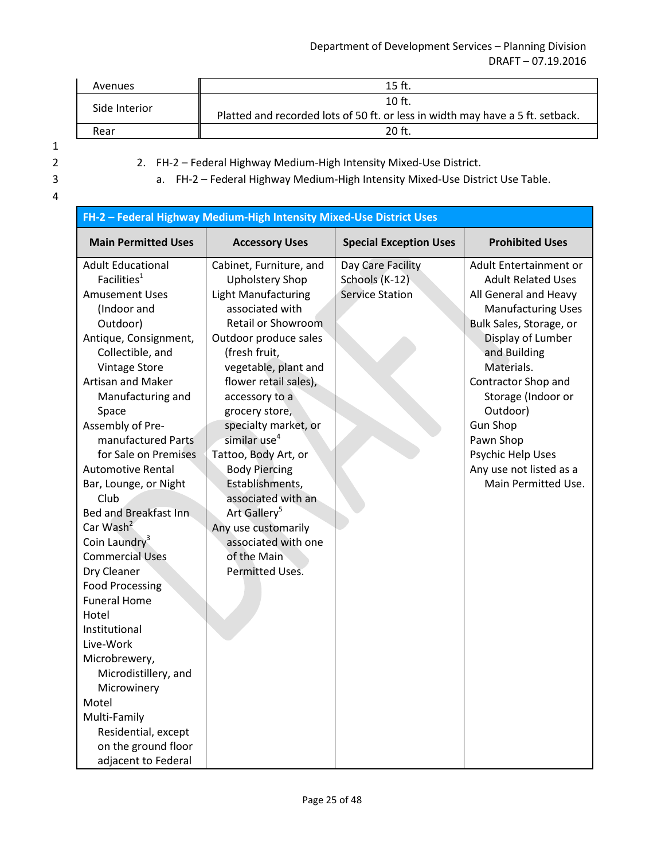#### Department of Development Services – Planning Division DRAFT – 07.19.2016

| Avenues       | $15$ ft.                                                                       |
|---------------|--------------------------------------------------------------------------------|
| Side Interior | $10$ ft.                                                                       |
|               | Platted and recorded lots of 50 ft. or less in width may have a 5 ft. setback. |
| Rear          | 20 <sub>ft</sub>                                                               |

1

| 2. FH-2 – Federal Highway Medium-High Intensity Mixed-Use District.           |
|-------------------------------------------------------------------------------|
| a. FH-2 – Federal Highway Medium-High Intensity Mixed-Use District Use Table. |

| FH-2 - Federal Highway Medium-High Intensity Mixed-Use District Uses                                                                                                                                                                                                                                                                                                                                                                                                                                                                                                                                                                                                                                                                 |                                                                                                                                                                                                                                                                                                                                                                                                                                                                                                                         |                                                               |                                                                                                                                                                                                                                                                                                                                                         |  |  |
|--------------------------------------------------------------------------------------------------------------------------------------------------------------------------------------------------------------------------------------------------------------------------------------------------------------------------------------------------------------------------------------------------------------------------------------------------------------------------------------------------------------------------------------------------------------------------------------------------------------------------------------------------------------------------------------------------------------------------------------|-------------------------------------------------------------------------------------------------------------------------------------------------------------------------------------------------------------------------------------------------------------------------------------------------------------------------------------------------------------------------------------------------------------------------------------------------------------------------------------------------------------------------|---------------------------------------------------------------|---------------------------------------------------------------------------------------------------------------------------------------------------------------------------------------------------------------------------------------------------------------------------------------------------------------------------------------------------------|--|--|
| <b>Main Permitted Uses</b>                                                                                                                                                                                                                                                                                                                                                                                                                                                                                                                                                                                                                                                                                                           | <b>Special Exception Uses</b><br><b>Prohibited Uses</b><br><b>Accessory Uses</b>                                                                                                                                                                                                                                                                                                                                                                                                                                        |                                                               |                                                                                                                                                                                                                                                                                                                                                         |  |  |
| <b>Adult Educational</b><br>Facilities <sup>1</sup><br><b>Amusement Uses</b><br>(Indoor and<br>Outdoor)<br>Antique, Consignment,<br>Collectible, and<br><b>Vintage Store</b><br>Artisan and Maker<br>Manufacturing and<br>Space<br>Assembly of Pre-<br>manufactured Parts<br>for Sale on Premises<br><b>Automotive Rental</b><br>Bar, Lounge, or Night<br>Club<br>Bed and Breakfast Inn<br>Car Wash <sup>2</sup><br>Coin Laundry <sup>3</sup><br><b>Commercial Uses</b><br>Dry Cleaner<br><b>Food Processing</b><br><b>Funeral Home</b><br>Hotel<br>Institutional<br>Live-Work<br>Microbrewery,<br>Microdistillery, and<br>Microwinery<br>Motel<br>Multi-Family<br>Residential, except<br>on the ground floor<br>adjacent to Federal | Cabinet, Furniture, and<br><b>Upholstery Shop</b><br><b>Light Manufacturing</b><br>associated with<br><b>Retail or Showroom</b><br>Outdoor produce sales<br>(fresh fruit,<br>vegetable, plant and<br>flower retail sales),<br>accessory to a<br>grocery store,<br>specialty market, or<br>similar use <sup>4</sup><br>Tattoo, Body Art, or<br><b>Body Piercing</b><br>Establishments,<br>associated with an<br>Art Gallery <sup>5</sup><br>Any use customarily<br>associated with one<br>of the Main<br>Permitted Uses. | Day Care Facility<br>Schools (K-12)<br><b>Service Station</b> | Adult Entertainment or<br><b>Adult Related Uses</b><br>All General and Heavy<br><b>Manufacturing Uses</b><br>Bulk Sales, Storage, or<br>Display of Lumber<br>and Building<br>Materials.<br>Contractor Shop and<br>Storage (Indoor or<br>Outdoor)<br><b>Gun Shop</b><br>Pawn Shop<br>Psychic Help Uses<br>Any use not listed as a<br>Main Permitted Use. |  |  |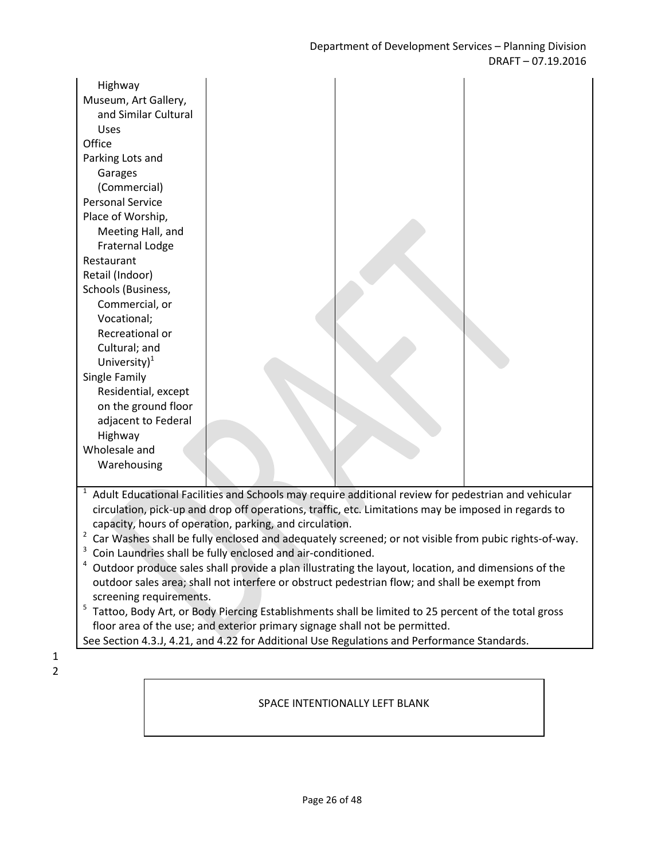| Highway<br>Museum, Art Gallery,<br>and Similar Cultural<br>Uses<br>Office<br>Parking Lots and<br>Garages<br>(Commercial)<br><b>Personal Service</b><br>Place of Worship,<br>Meeting Hall, and<br>Fraternal Lodge<br>Restaurant<br>Retail (Indoor)<br>Schools (Business,<br>Commercial, or<br>Vocational;<br>Recreational or<br>Cultural; and<br>University $)^{1}$<br>Single Family<br>Residential, except<br>on the ground floor<br>adjacent to Federal<br>Highway<br>Wholesale and |                                                                                                                                                                                                             |  |
|--------------------------------------------------------------------------------------------------------------------------------------------------------------------------------------------------------------------------------------------------------------------------------------------------------------------------------------------------------------------------------------------------------------------------------------------------------------------------------------|-------------------------------------------------------------------------------------------------------------------------------------------------------------------------------------------------------------|--|
| Warehousing                                                                                                                                                                                                                                                                                                                                                                                                                                                                          |                                                                                                                                                                                                             |  |
| $\mathbf{1}$                                                                                                                                                                                                                                                                                                                                                                                                                                                                         | Adult Educational Facilities and Schools may require additional review for pedestrian and vehicular<br>circulation, pick-up and drop off operations, traffic, etc. Limitations may be imposed in regards to |  |

capacity, hours of operation, parking, and circulation.

 $2$  Car Washes shall be fully enclosed and adequately screened; or not visible from pubic rights-of-way.

<sup>3</sup> Coin Laundries shall be fully enclosed and air-conditioned.

 $4$  Outdoor produce sales shall provide a plan illustrating the layout, location, and dimensions of the outdoor sales area; shall not interfere or obstruct pedestrian flow; and shall be exempt from screening requirements.

<sup>5</sup> Tattoo, Body Art, or Body Piercing Establishments shall be limited to 25 percent of the total gross floor area of the use; and exterior primary signage shall not be permitted.

See Section 4.3.J, 4.21, and 4.22 for Additional Use Regulations and Performance Standards.

1 2

#### SPACE INTENTIONALLY LEFT BLANK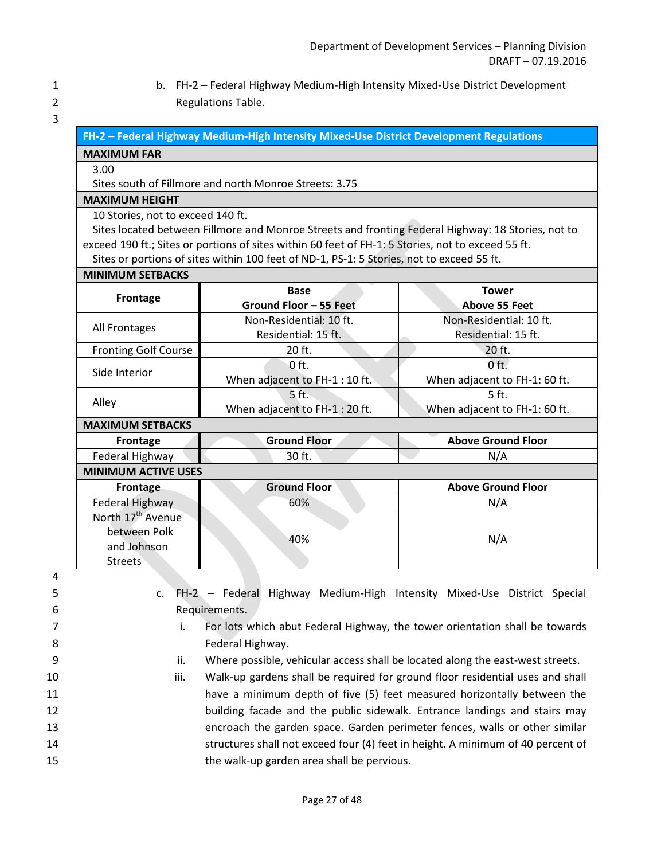- 1 b. FH-2 Federal Highway Medium-High Intensity Mixed-Use District Development 2 Regulations Table.
- 3

|  | FH-2 – Federal Highway Medium-High Intensity Mixed-Use District Development Regulations $^{\text{!}}$ |  |
|--|-------------------------------------------------------------------------------------------------------|--|
|  |                                                                                                       |  |

#### **MAXIMUM FAR**

#### 3.00

Sites south of Fillmore and north Monroe Streets: 3.75

#### **MAXIMUM HEIGHT**

10 Stories, not to exceed 140 ft.

Sites located between Fillmore and Monroe Streets and fronting Federal Highway: 18 Stories, not to exceed 190 ft.; Sites or portions of sites within 60 feet of FH-1: 5 Stories, not to exceed 55 ft. Sites or portions of sites within 100 feet of ND-1, PS-1: 5 Stories, not to exceed 55 ft.

#### **MINIMUM SETBACKS**

| Frontage                      | <b>Base</b>                    | <b>Tower</b>                  |  |  |
|-------------------------------|--------------------------------|-------------------------------|--|--|
|                               | Ground Floor - 55 Feet         | <b>Above 55 Feet</b>          |  |  |
|                               | Non-Residential: 10 ft.        | Non-Residential: 10 ft.       |  |  |
| All Frontages                 | Residential: 15 ft.            | Residential: 15 ft.           |  |  |
| <b>Fronting Golf Course</b>   | 20 ft.                         | 20 ft.                        |  |  |
| Side Interior                 | 0 ft.                          | $0$ ft.                       |  |  |
|                               | When adjacent to FH-1:10 ft.   | When adjacent to FH-1: 60 ft. |  |  |
|                               | 5 ft.                          | 5 ft.                         |  |  |
| Alley                         | When adjacent to FH-1 : 20 ft. | When adjacent to FH-1: 60 ft. |  |  |
| <b>MAXIMUM SETBACKS</b>       |                                |                               |  |  |
| Frontage                      | <b>Ground Floor</b>            | <b>Above Ground Floor</b>     |  |  |
| Federal Highway               | 30 ft.                         | N/A                           |  |  |
| <b>MINIMUM ACTIVE USES</b>    |                                |                               |  |  |
| Frontage                      | <b>Ground Floor</b>            | <b>Above Ground Floor</b>     |  |  |
| Federal Highway               | 60%                            | N/A                           |  |  |
| North 17 <sup>th</sup> Avenue |                                |                               |  |  |
| between Polk                  | 40%                            |                               |  |  |
| and Johnson                   |                                | N/A                           |  |  |
| <b>Streets</b>                |                                |                               |  |  |

4

5 c. FH-2 – Federal Highway Medium-High Intensity Mixed-Use District Special 6 Requirements.

7 **i.** For lots which abut Federal Highway, the tower orientation shall be towards 8 **B Example 2018** Federal Highway.

- 9 ii. Where possible, vehicular access shall be located along the east-west streets.
- 10 iii. Walk-up gardens shall be required for ground floor residential uses and shall 11 have a minimum depth of five (5) feet measured horizontally between the 12 building facade and the public sidewalk. Entrance landings and stairs may 13 encroach the garden space. Garden perimeter fences, walls or other similar 14 structures shall not exceed four (4) feet in height. A minimum of 40 percent of 15 the walk-up garden area shall be pervious.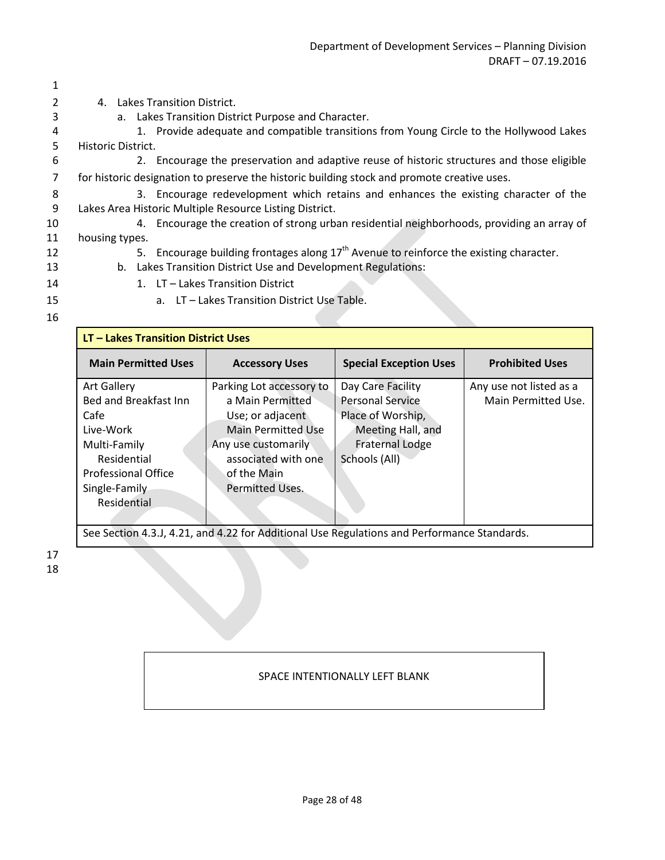|    | 4. Lakes Transition District.                                                               |
|----|---------------------------------------------------------------------------------------------|
| 3  | a. Lakes Transition District Purpose and Character.                                         |
| 4  | 1. Provide adequate and compatible transitions from Young Circle to the Hollywood Lakes     |
| 5. | Historic District.                                                                          |
| 6  | 2. Encourage the preservation and adaptive reuse of historic structures and those eligible  |
|    | for historic designation to preserve the historic building stock and promote creative uses. |
| 8  | 3. Encourage redevelopment which retains and enhances the existing character of the         |
| -9 | Lakes Area Historic Multiple Resource Listing District.                                     |
| 10 | 4. Encourage the creation of strong urban residential neighborhoods, providing an array of  |
| 11 | housing types.                                                                              |
| 12 | 5. Encourage building frontages along $17th$ Avenue to reinforce the existing character.    |
| 13 | Lakes Transition District Use and Development Regulations:<br>b.                            |
| 14 | 1. LT – Lakes Transition District                                                           |
| 15 | a. LT – Lakes Transition District Use Table.                                                |
|    |                                                                                             |

| LT - Lakes Transition District Uses |                          |                               |                         |  |  |
|-------------------------------------|--------------------------|-------------------------------|-------------------------|--|--|
| <b>Main Permitted Uses</b>          | <b>Accessory Uses</b>    | <b>Special Exception Uses</b> | <b>Prohibited Uses</b>  |  |  |
| <b>Art Gallery</b>                  | Parking Lot accessory to | Day Care Facility             | Any use not listed as a |  |  |
| Bed and Breakfast Inn               | a Main Permitted         | <b>Personal Service</b>       | Main Permitted Use.     |  |  |
| Cafe                                | Use; or adjacent         | Place of Worship,             |                         |  |  |
| Live-Work                           | Main Permitted Use       | Meeting Hall, and             |                         |  |  |
| Multi-Family                        | Any use customarily      | <b>Fraternal Lodge</b>        |                         |  |  |
| Residential                         | associated with one      | Schools (All)                 |                         |  |  |
| <b>Professional Office</b>          | of the Main              |                               |                         |  |  |
| Single-Family                       | <b>Permitted Uses.</b>   |                               |                         |  |  |
| Residential                         |                          |                               |                         |  |  |

See Section 4.3.J, 4.21, and 4.22 for Additional Use Regulations and Performance Standards.

### SPACE INTENTIONALLY LEFT BLANK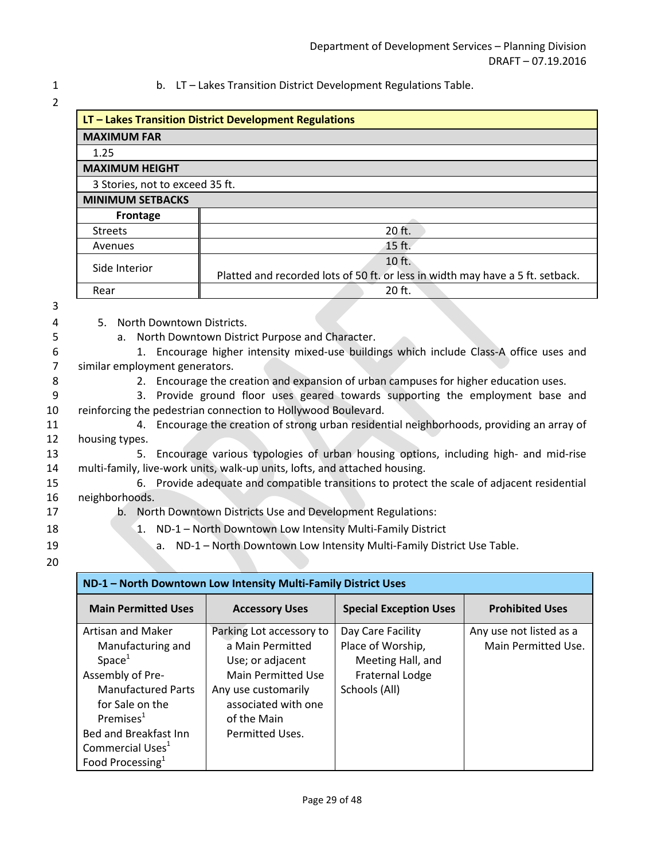#### 1 b. LT – Lakes Transition District Development Regulations Table.

| LT - Lakes Transition District Development Regulations |                                                                                |  |
|--------------------------------------------------------|--------------------------------------------------------------------------------|--|
| <b>MAXIMUM FAR</b>                                     |                                                                                |  |
| 1.25                                                   |                                                                                |  |
| <b>MAXIMUM HEIGHT</b>                                  |                                                                                |  |
| 3 Stories, not to exceed 35 ft.                        |                                                                                |  |
| <b>MINIMUM SETBACKS</b>                                |                                                                                |  |
| Frontage                                               |                                                                                |  |
| <b>Streets</b>                                         | $20$ ft.                                                                       |  |
| Avenues                                                | 15 ft.                                                                         |  |
| Side Interior                                          | 10 ft.                                                                         |  |
|                                                        | Platted and recorded lots of 50 ft. or less in width may have a 5 ft. setback. |  |
| Rear                                                   | 20 ft.                                                                         |  |

3

- 4 5. North Downtown Districts.
- 5 a. North Downtown District Purpose and Character.

6 1. Encourage higher intensity mixed-use buildings which include Class-A office uses and 7 similar employment generators.

- 
- 8 2. Encourage the creation and expansion of urban campuses for higher education uses.

9 3. Provide ground floor uses geared towards supporting the employment base and 10 reinforcing the pedestrian connection to Hollywood Boulevard.

- 11 4. Encourage the creation of strong urban residential neighborhoods, providing an array of 12 housing types.
- 13 5. Encourage various typologies of urban housing options, including high- and mid-rise 14 multi-family, live-work units, walk-up units, lofts, and attached housing.
- 15 6. Provide adequate and compatible transitions to protect the scale of adjacent residential 16 neighborhoods.
- 
- 17 b. North Downtown Districts Use and Development Regulations:
- 18 18 1. ND-1 North Downtown Low Intensity Multi-Family District
- 
- 19 **a.** ND-1 North Downtown Low Intensity Multi-Family District Use Table.
- 20

| ND-1 - North Downtown Low Intensity Multi-Family District Uses |                           |                               |                         |  |  |  |
|----------------------------------------------------------------|---------------------------|-------------------------------|-------------------------|--|--|--|
| <b>Main Permitted Uses</b>                                     | <b>Accessory Uses</b>     | <b>Special Exception Uses</b> | <b>Prohibited Uses</b>  |  |  |  |
| Artisan and Maker                                              | Parking Lot accessory to  | Day Care Facility             | Any use not listed as a |  |  |  |
| Manufacturing and                                              | a Main Permitted          | Place of Worship,             | Main Permitted Use.     |  |  |  |
| Space <sup>1</sup>                                             | Use; or adjacent          | Meeting Hall, and             |                         |  |  |  |
| Assembly of Pre-                                               | <b>Main Permitted Use</b> | Fraternal Lodge               |                         |  |  |  |
| <b>Manufactured Parts</b>                                      | Any use customarily       | Schools (All)                 |                         |  |  |  |
| for Sale on the                                                | associated with one       |                               |                         |  |  |  |
| Premises $1$                                                   | of the Main               |                               |                         |  |  |  |
| Bed and Breakfast Inn                                          | Permitted Uses.           |                               |                         |  |  |  |
| Commercial Uses <sup>1</sup>                                   |                           |                               |                         |  |  |  |
| Food Processing $1$                                            |                           |                               |                         |  |  |  |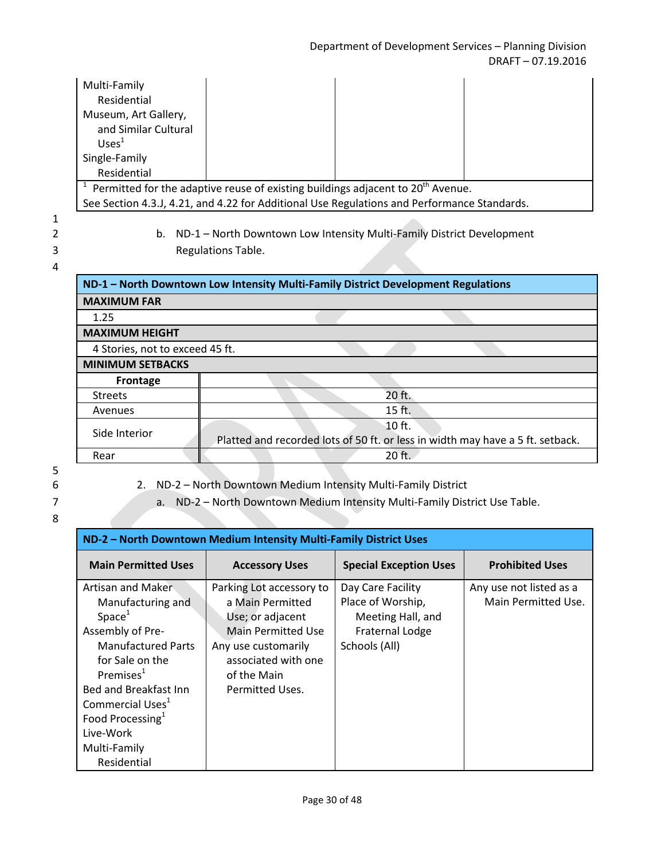| Multi-Family                                                                                    |  |  |  |  |  |
|-------------------------------------------------------------------------------------------------|--|--|--|--|--|
| Residential                                                                                     |  |  |  |  |  |
| Museum, Art Gallery,                                                                            |  |  |  |  |  |
| and Similar Cultural                                                                            |  |  |  |  |  |
| UseS <sup>1</sup>                                                                               |  |  |  |  |  |
| Single-Family                                                                                   |  |  |  |  |  |
| Residential                                                                                     |  |  |  |  |  |
| $1$ Permitted for the adaptive reuse of existing buildings adjacent to 20 <sup>th</sup> Avenue. |  |  |  |  |  |
| See Section 4.3.J, 4.21, and 4.22 for Additional Use Regulations and Performance Standards.     |  |  |  |  |  |
|                                                                                                 |  |  |  |  |  |

4

2 b. ND-1 – North Downtown Low Intensity Multi-Family District Development 3 Regulations Table.

# **ND-1 – North Downtown Low Intensity Multi-Family District Development Regulations MAXIMUM FAR** 1.25 **MAXIMUM HEIGHT** 4 Stories, not to exceed 45 ft. **MINIMUM SETBACKS Frontage** Streets and the streets of the streets of the streets of the streets of the streets of the streets of the streets Avenues and the set of the set of the set of the set of the set of the set of the set of the set of the set of the set of the set of the set of the set of the set of the set of the set of the set of the set of the set of t Side Interior<br>Platted and recorded lots of 50 ft. or less in width may have a 5 ft. setback. Rear 20 ft.

5

6 2. ND-2 – North Downtown Medium Intensity Multi-Family District

7 a. ND-2 – North Downtown Medium Intensity Multi-Family District Use Table.

| ND-2 - North Downtown Medium Intensity Multi-Family District Uses                                                                                                    |                                                                                                               |                                                                                                        |                                                |  |  |
|----------------------------------------------------------------------------------------------------------------------------------------------------------------------|---------------------------------------------------------------------------------------------------------------|--------------------------------------------------------------------------------------------------------|------------------------------------------------|--|--|
| <b>Main Permitted Uses</b>                                                                                                                                           | <b>Accessory Uses</b>                                                                                         | <b>Special Exception Uses</b>                                                                          | <b>Prohibited Uses</b>                         |  |  |
| Artisan and Maker<br>Manufacturing and<br>Space <sup>1</sup><br>Assembly of Pre-<br><b>Manufactured Parts</b>                                                        | Parking Lot accessory to<br>a Main Permitted<br>Use; or adjacent<br>Main Permitted Use<br>Any use customarily | Day Care Facility<br>Place of Worship,<br>Meeting Hall, and<br><b>Fraternal Lodge</b><br>Schools (All) | Any use not listed as a<br>Main Permitted Use. |  |  |
| for Sale on the<br>Premises $1$<br>Bed and Breakfast Inn<br>Commercial Uses <sup>1</sup><br>Food Processing <sup>1</sup><br>Live-Work<br>Multi-Family<br>Residential | associated with one<br>of the Main<br>Permitted Uses.                                                         |                                                                                                        |                                                |  |  |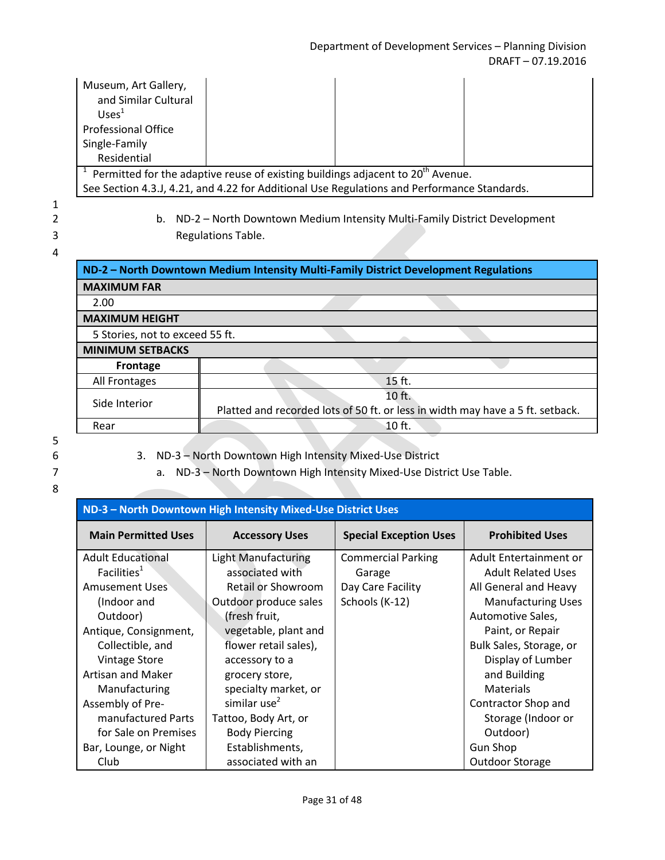| Museum, Art Gallery,<br>and Similar Cultural<br>Uses <sup>1</sup>                               |  |  |  |  |  |
|-------------------------------------------------------------------------------------------------|--|--|--|--|--|
| <b>Professional Office</b>                                                                      |  |  |  |  |  |
| Single-Family                                                                                   |  |  |  |  |  |
| Residential                                                                                     |  |  |  |  |  |
| $1$ Permitted for the adaptive reuse of existing buildings adjacent to 20 <sup>th</sup> Avenue. |  |  |  |  |  |
| See Section 4.3.J, 4.21, and 4.22 for Additional Use Regulations and Performance Standards.     |  |  |  |  |  |

2 b. ND-2 – North Downtown Medium Intensity Multi-Family District Development 3 Regulations Table.

#### 4

| ND-2 - North Downtown Medium Intensity Multi-Family District Development Regulations |          |  |  |  |
|--------------------------------------------------------------------------------------|----------|--|--|--|
| <b>MAXIMUM FAR</b>                                                                   |          |  |  |  |
| 2.00                                                                                 |          |  |  |  |
| <b>MAXIMUM HEIGHT</b>                                                                |          |  |  |  |
| 5 Stories, not to exceed 55 ft.                                                      |          |  |  |  |
| <b>MINIMUM SETBACKS</b>                                                              |          |  |  |  |
| Frontage                                                                             |          |  |  |  |
| All Frontages                                                                        | 15 ft.   |  |  |  |
| 10 ft.<br>Side Interior                                                              |          |  |  |  |
| Platted and recorded lots of 50 ft. or less in width may have a 5 ft. setback.       |          |  |  |  |
| Rear                                                                                 | $10$ ft. |  |  |  |

5

8

|  |  |  |  |  |  | 3. ND-3 - North Downtown High Intensity Mixed-Use District |
|--|--|--|--|--|--|------------------------------------------------------------|
|--|--|--|--|--|--|------------------------------------------------------------|

7 a. ND-3 – North Downtown High Intensity Mixed-Use District Use Table.

| ND-3 - North Downtown High Intensity Mixed-Use District Uses |                            |                               |                           |  |  |  |
|--------------------------------------------------------------|----------------------------|-------------------------------|---------------------------|--|--|--|
| <b>Main Permitted Uses</b>                                   | <b>Accessory Uses</b>      | <b>Special Exception Uses</b> | <b>Prohibited Uses</b>    |  |  |  |
| <b>Adult Educational</b>                                     | <b>Light Manufacturing</b> | <b>Commercial Parking</b>     | Adult Entertainment or    |  |  |  |
| Facilities <sup>T</sup>                                      | associated with            | Garage                        | <b>Adult Related Uses</b> |  |  |  |
| Amusement Uses                                               | Retail or Showroom         | Day Care Facility             | All General and Heavy     |  |  |  |
| (Indoor and                                                  | Outdoor produce sales      | Schools (K-12)                | <b>Manufacturing Uses</b> |  |  |  |
| Outdoor)                                                     | (fresh fruit,              |                               | Automotive Sales,         |  |  |  |
| Antique, Consignment,                                        | vegetable, plant and       |                               | Paint, or Repair          |  |  |  |
| Collectible, and                                             | flower retail sales),      |                               | Bulk Sales, Storage, or   |  |  |  |
| <b>Vintage Store</b>                                         | accessory to a             |                               | Display of Lumber         |  |  |  |
| <b>Artisan and Maker</b>                                     | grocery store,             |                               | and Building              |  |  |  |
| Manufacturing                                                | specialty market, or       |                               | <b>Materials</b>          |  |  |  |
| Assembly of Pre-                                             | similar use $2$            |                               | Contractor Shop and       |  |  |  |
| manufactured Parts                                           | Tattoo, Body Art, or       |                               | Storage (Indoor or        |  |  |  |
| for Sale on Premises                                         | <b>Body Piercing</b>       |                               | Outdoor)                  |  |  |  |
| Bar, Lounge, or Night                                        | Establishments,            |                               | <b>Gun Shop</b>           |  |  |  |
| Club                                                         | associated with an         |                               | Outdoor Storage           |  |  |  |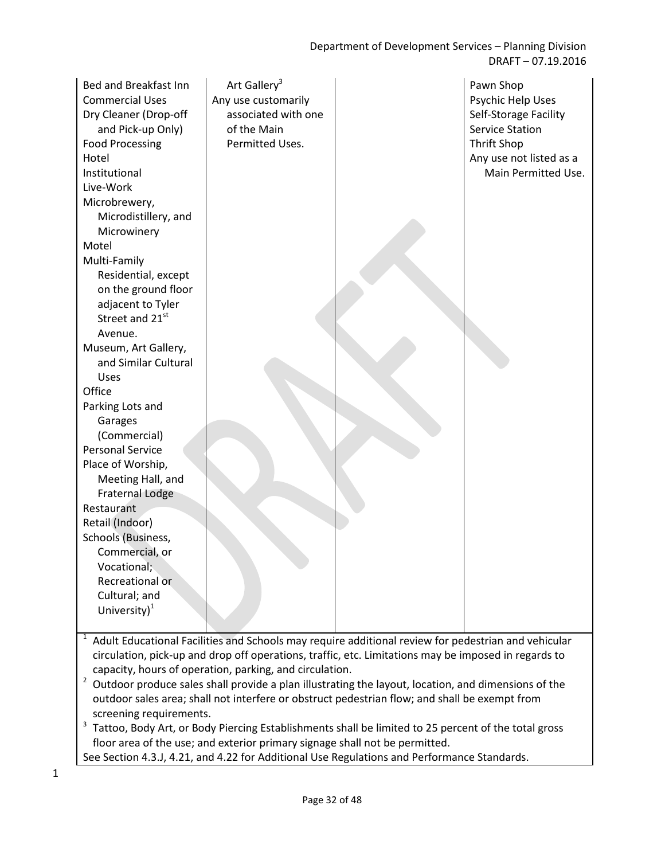Department of Development Services – Planning Division DRAFT – 07.19.2016

| Bed and Breakfast Inn<br><b>Commercial Uses</b><br>Dry Cleaner (Drop-off<br>and Pick-up Only)<br><b>Food Processing</b><br>Hotel<br>Institutional<br>Live-Work<br>Microbrewery, | Art Gallery <sup>3</sup><br>Any use customarily<br>associated with one<br>of the Main<br>Permitted Uses. | Pawn Shop<br>Psychic Help Uses<br>Self-Storage Facility<br><b>Service Station</b><br><b>Thrift Shop</b><br>Any use not listed as a<br>Main Permitted Use. |
|---------------------------------------------------------------------------------------------------------------------------------------------------------------------------------|----------------------------------------------------------------------------------------------------------|-----------------------------------------------------------------------------------------------------------------------------------------------------------|
| Microdistillery, and                                                                                                                                                            |                                                                                                          |                                                                                                                                                           |
| Microwinery                                                                                                                                                                     |                                                                                                          |                                                                                                                                                           |
| Motel                                                                                                                                                                           |                                                                                                          |                                                                                                                                                           |
| Multi-Family                                                                                                                                                                    |                                                                                                          |                                                                                                                                                           |
| Residential, except                                                                                                                                                             |                                                                                                          |                                                                                                                                                           |
| on the ground floor                                                                                                                                                             |                                                                                                          |                                                                                                                                                           |
| adjacent to Tyler                                                                                                                                                               |                                                                                                          |                                                                                                                                                           |
| Street and 21st                                                                                                                                                                 |                                                                                                          |                                                                                                                                                           |
| Avenue.                                                                                                                                                                         |                                                                                                          |                                                                                                                                                           |
| Museum, Art Gallery,                                                                                                                                                            |                                                                                                          |                                                                                                                                                           |
| and Similar Cultural                                                                                                                                                            |                                                                                                          |                                                                                                                                                           |
| <b>Uses</b>                                                                                                                                                                     |                                                                                                          |                                                                                                                                                           |
| Office                                                                                                                                                                          |                                                                                                          |                                                                                                                                                           |
| Parking Lots and                                                                                                                                                                |                                                                                                          |                                                                                                                                                           |
| Garages                                                                                                                                                                         |                                                                                                          |                                                                                                                                                           |
| (Commercial)<br><b>Personal Service</b>                                                                                                                                         |                                                                                                          |                                                                                                                                                           |
| Place of Worship,                                                                                                                                                               |                                                                                                          |                                                                                                                                                           |
| Meeting Hall, and                                                                                                                                                               |                                                                                                          |                                                                                                                                                           |
| <b>Fraternal Lodge</b>                                                                                                                                                          |                                                                                                          |                                                                                                                                                           |
| Restaurant                                                                                                                                                                      |                                                                                                          |                                                                                                                                                           |
| Retail (Indoor)                                                                                                                                                                 |                                                                                                          |                                                                                                                                                           |
| Schools (Business,                                                                                                                                                              |                                                                                                          |                                                                                                                                                           |
| Commercial, or                                                                                                                                                                  |                                                                                                          |                                                                                                                                                           |
| Vocational;                                                                                                                                                                     |                                                                                                          |                                                                                                                                                           |
| Recreational or                                                                                                                                                                 |                                                                                                          |                                                                                                                                                           |
| Cultural; and                                                                                                                                                                   |                                                                                                          |                                                                                                                                                           |
| University $)^1$                                                                                                                                                                |                                                                                                          |                                                                                                                                                           |
|                                                                                                                                                                                 |                                                                                                          |                                                                                                                                                           |
| $\mathbf{1}$                                                                                                                                                                    | Adult Educational Facilities and Schools may require additional review for pedestrian and vehicular      |                                                                                                                                                           |

- circulation, pick-up and drop off operations, traffic, etc. Limitations may be imposed in regards to capacity, hours of operation, parking, and circulation.
- $2$  Outdoor produce sales shall provide a plan illustrating the layout, location, and dimensions of the outdoor sales area; shall not interfere or obstruct pedestrian flow; and shall be exempt from screening requirements.
- <sup>3</sup> Tattoo, Body Art, or Body Piercing Establishments shall be limited to 25 percent of the total gross floor area of the use; and exterior primary signage shall not be permitted.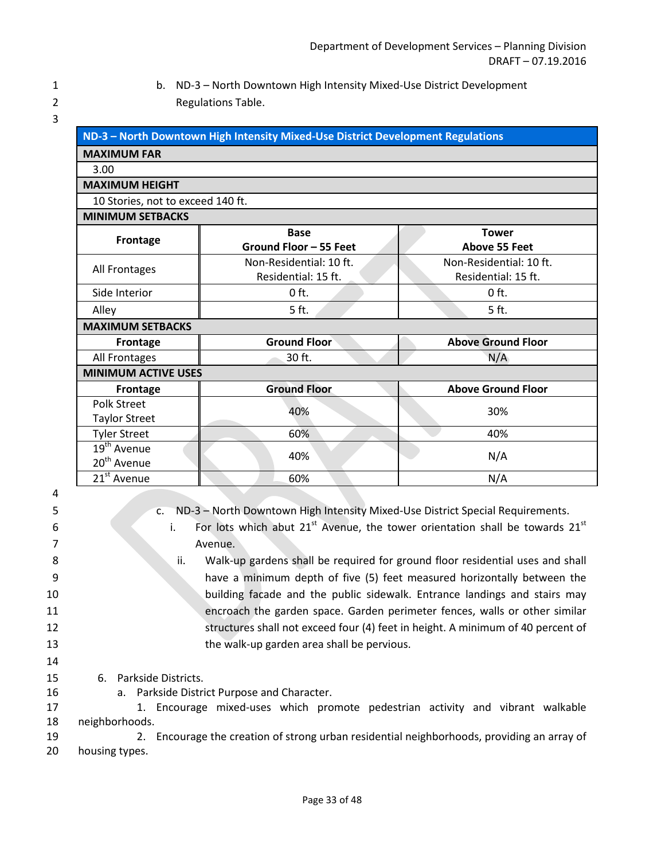1 b. ND-3 – North Downtown High Intensity Mixed-Use District Development 2 Regulations Table.

|                                            | ND-3 - North Downtown High Intensity Mixed-Use District Development Regulations |                                                |  |  |
|--------------------------------------------|---------------------------------------------------------------------------------|------------------------------------------------|--|--|
| <b>MAXIMUM FAR</b>                         |                                                                                 |                                                |  |  |
| 3.00                                       |                                                                                 |                                                |  |  |
| <b>MAXIMUM HEIGHT</b>                      |                                                                                 |                                                |  |  |
| 10 Stories, not to exceed 140 ft.          |                                                                                 |                                                |  |  |
| <b>MINIMUM SETBACKS</b>                    |                                                                                 |                                                |  |  |
| Frontage                                   | <b>Base</b><br>Ground Floor - 55 Feet                                           | <b>Tower</b><br><b>Above 55 Feet</b>           |  |  |
| All Frontages                              | Non-Residential: 10 ft.<br>Residential: 15 ft.                                  | Non-Residential: 10 ft.<br>Residential: 15 ft. |  |  |
| Side Interior                              | $0$ ft.                                                                         | $0$ ft.                                        |  |  |
| Alley                                      | 5 ft.                                                                           | 5 ft.                                          |  |  |
| <b>MAXIMUM SETBACKS</b>                    |                                                                                 |                                                |  |  |
| Frontage                                   | <b>Ground Floor</b>                                                             | <b>Above Ground Floor</b>                      |  |  |
| All Frontages                              | 30 ft.                                                                          | N/A                                            |  |  |
| <b>MINIMUM ACTIVE USES</b>                 |                                                                                 |                                                |  |  |
| Frontage                                   | <b>Ground Floor</b>                                                             | <b>Above Ground Floor</b>                      |  |  |
| <b>Polk Street</b><br><b>Taylor Street</b> | 40%                                                                             | 30%                                            |  |  |
| <b>Tyler Street</b>                        | 60%                                                                             | 40%                                            |  |  |
| $19th$ Avenue<br>20 <sup>th</sup> Avenue   | 40%                                                                             | N/A                                            |  |  |
| 21 <sup>st</sup> Avenue                    | 60%                                                                             | N/A                                            |  |  |

| 5  | c. ND-3 - North Downtown High Intensity Mixed-Use District Special Requirements.        |
|----|-----------------------------------------------------------------------------------------|
| 6  | For lots which abut $21st$ Avenue, the tower orientation shall be towards $21st$<br>i.  |
|    | Avenue.                                                                                 |
| 8  | ii.<br>Walk-up gardens shall be required for ground floor residential uses and shall    |
| 9  | have a minimum depth of five (5) feet measured horizontally between the                 |
| 10 | building facade and the public sidewalk. Entrance landings and stairs may               |
| 11 | encroach the garden space. Garden perimeter fences, walls or other similar              |
| 12 | structures shall not exceed four (4) feet in height. A minimum of 40 percent of         |
| 13 | the walk-up garden area shall be pervious.                                              |
| 14 |                                                                                         |
| 15 | 6. Parkside Districts.                                                                  |
| 16 | a. Parkside District Purpose and Character.                                             |
| 17 | 1. Encourage mixed-uses which promote pedestrian activity and vibrant walkable          |
| 18 | neighborhoods.                                                                          |
| 19 | Encourage the creation of strong urban residential neighborhoods, providing an array of |
| 20 | housing types.                                                                          |
|    |                                                                                         |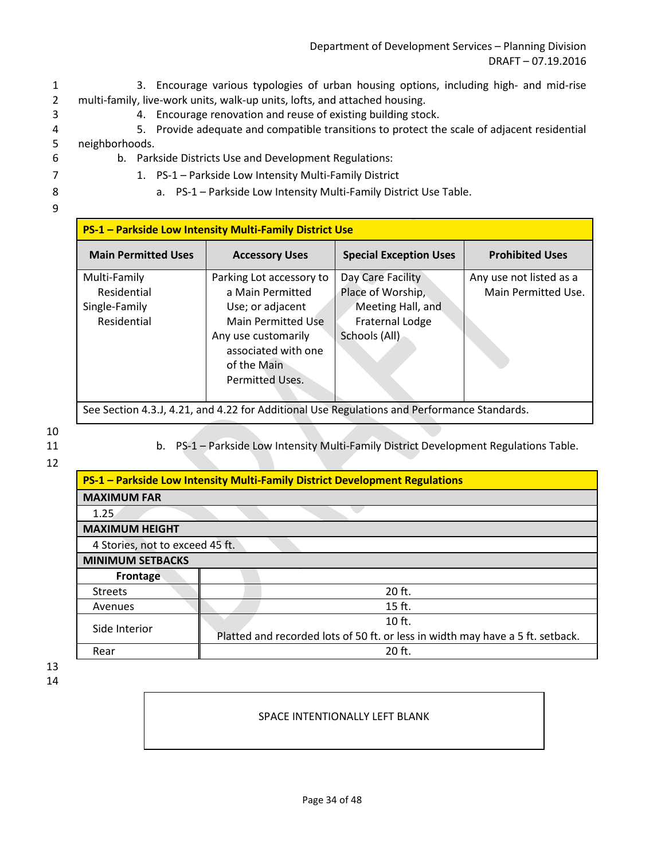Department of Development Services – Planning Division DRAFT – 07.19.2016

- 1 3. Encourage various typologies of urban housing options, including high- and mid-rise 2 multi-family, live-work units, walk-up units, lofts, and attached housing.
- 3 4. Encourage renovation and reuse of existing building stock.
- 4 5. Provide adequate and compatible transitions to protect the scale of adjacent residential 5 neighborhoods.
- 
- 6 b. Parkside Districts Use and Development Regulations:
- 7 1. PS-1 Parkside Low Intensity Multi-Family District
- 
- 8 a. PS-1 Parkside Low Intensity Multi-Family District Use Table.
- 9

| PS-1 – Parkside Low Intensity Multi-Family District Use                                     |                                              |                                        |                                                |
|---------------------------------------------------------------------------------------------|----------------------------------------------|----------------------------------------|------------------------------------------------|
| <b>Main Permitted Uses</b>                                                                  | <b>Accessory Uses</b>                        | <b>Special Exception Uses</b>          | <b>Prohibited Uses</b>                         |
| Multi-Family<br>Residential                                                                 | Parking Lot accessory to<br>a Main Permitted | Day Care Facility<br>Place of Worship, | Any use not listed as a<br>Main Permitted Use. |
| Single-Family                                                                               | Use; or adjacent                             | Meeting Hall, and                      |                                                |
| Residential                                                                                 | <b>Main Permitted Use</b>                    | <b>Fraternal Lodge</b>                 |                                                |
| Schools (All)<br>Any use customarily<br>associated with one                                 |                                              |                                        |                                                |
|                                                                                             | of the Main                                  |                                        |                                                |
|                                                                                             | <b>Permitted Uses.</b>                       |                                        |                                                |
| See Section 4.3.J, 4.21, and 4.22 for Additional Use Regulations and Performance Standards. |                                              |                                        |                                                |

10

12

11 b. PS-1 – Parkside Low Intensity Multi-Family District Development Regulations Table.

| PS-1 - Parkside Low Intensity Multi-Family District Development Regulations |                                                                                |  |
|-----------------------------------------------------------------------------|--------------------------------------------------------------------------------|--|
| <b>MAXIMUM FAR</b>                                                          |                                                                                |  |
| 1.25                                                                        |                                                                                |  |
| <b>MAXIMUM HEIGHT</b>                                                       |                                                                                |  |
| 4 Stories, not to exceed 45 ft.                                             |                                                                                |  |
| <b>MINIMUM SETBACKS</b>                                                     |                                                                                |  |
| Frontage                                                                    |                                                                                |  |
| <b>Streets</b>                                                              | 20 ft.                                                                         |  |
| Avenues                                                                     | $15$ ft.                                                                       |  |
| Side Interior                                                               | $10$ ft.                                                                       |  |
|                                                                             | Platted and recorded lots of 50 ft. or less in width may have a 5 ft. setback. |  |
| Rear                                                                        | 20 ft.                                                                         |  |

13 14

## SPACE INTENTIONALLY LEFT BLANK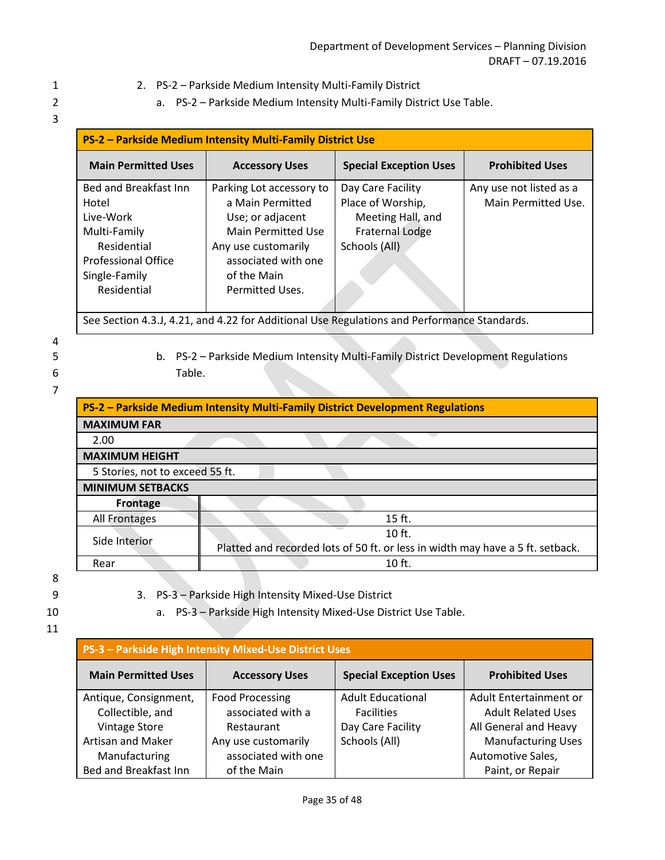- 1 2. PS-2 Parkside Medium Intensity Multi-Family District
- 2 a. PS-2 Parkside Medium Intensity Multi-Family District Use Table.
- 3

| PS-2 - Parkside Medium Intensity Multi-Family District Use                                                                                      |                                                                                                                                                                               |                                                                                                        |                                                |
|-------------------------------------------------------------------------------------------------------------------------------------------------|-------------------------------------------------------------------------------------------------------------------------------------------------------------------------------|--------------------------------------------------------------------------------------------------------|------------------------------------------------|
| <b>Main Permitted Uses</b>                                                                                                                      | <b>Accessory Uses</b>                                                                                                                                                         | <b>Special Exception Uses</b>                                                                          | <b>Prohibited Uses</b>                         |
| <b>Bed and Breakfast Inn</b><br>Hotel<br>Live-Work<br>Multi-Family<br>Residential<br><b>Professional Office</b><br>Single-Family<br>Residential | Parking Lot accessory to<br>a Main Permitted<br>Use; or adjacent<br><b>Main Permitted Use</b><br>Any use customarily<br>associated with one<br>of the Main<br>Permitted Uses. | Day Care Facility<br>Place of Worship,<br>Meeting Hall, and<br><b>Fraternal Lodge</b><br>Schools (All) | Any use not listed as a<br>Main Permitted Use. |
| See Section 4.3.J, 4.21, and 4.22 for Additional Use Regulations and Performance Standards.                                                     |                                                                                                                                                                               |                                                                                                        |                                                |

- 
- 

5 b. PS-2 – Parkside Medium Intensity Multi-Family District Development Regulations 6 Table.

#### 7

| <b>PS-2 - Parkside Medium Intensity Multi-Family District Development Regulations</b> |                                                                                |  |  |
|---------------------------------------------------------------------------------------|--------------------------------------------------------------------------------|--|--|
| <b>MAXIMUM FAR</b>                                                                    |                                                                                |  |  |
| 2.00                                                                                  |                                                                                |  |  |
| <b>MAXIMUM HEIGHT</b>                                                                 |                                                                                |  |  |
| 5 Stories, not to exceed 55 ft.                                                       |                                                                                |  |  |
| <b>MINIMUM SETBACKS</b>                                                               |                                                                                |  |  |
| Frontage                                                                              |                                                                                |  |  |
| All Frontages                                                                         | $15$ ft.                                                                       |  |  |
| Side Interior                                                                         | $10$ ft.                                                                       |  |  |
|                                                                                       | Platted and recorded lots of 50 ft. or less in width may have a 5 ft. setback. |  |  |
| Rear                                                                                  | $10$ ft.                                                                       |  |  |

- 
- 9 3. PS-3 Parkside High Intensity Mixed-Use District
- 10 a. PS-3 Parkside High Intensity Mixed-Use District Use Table.
- 11
- **PS-3 Parkside High Intensity Mixed-Use District Uses Main Permitted Uses | Accessory Uses | Special Exception Uses | Prohibited Uses** Antique, Consignment, Collectible, and Vintage Store Artisan and Maker Manufacturing Bed and Breakfast Inn Food Processing associated with a Restaurant Any use customarily associated with one of the Main Adult Educational Facilities Day Care Facility Schools (All) Adult Entertainment or Adult Related Uses All General and Heavy Manufacturing Uses Automotive Sales, Paint, or Repair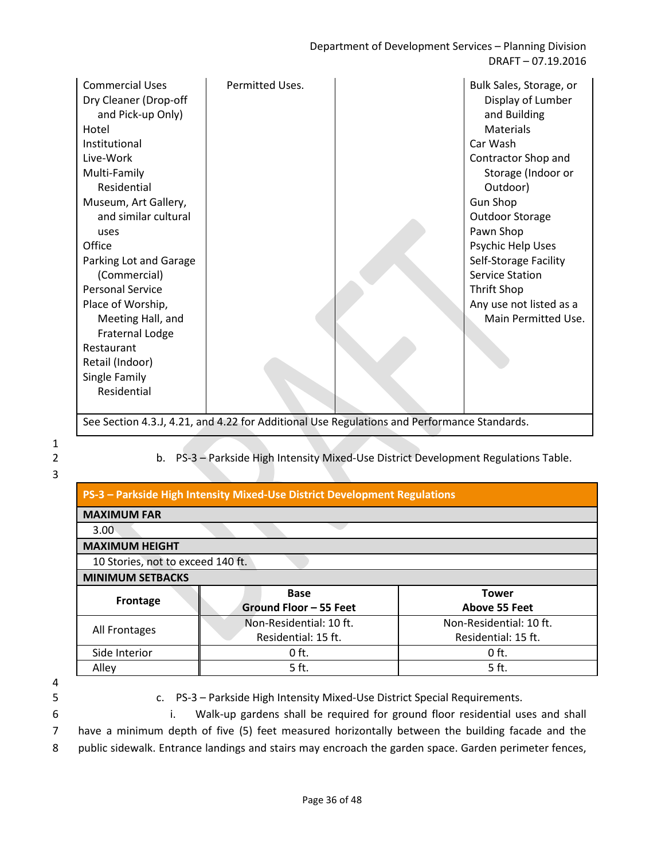Department of Development Services – Planning Division DRAFT – 07.19.2016

| Restaurant<br>Retail (Indoor)<br>Single Family<br>Residential | <b>Commercial Uses</b><br>Dry Cleaner (Drop-off<br>and Pick-up Only)<br>Hotel<br>Institutional<br>Live-Work<br>Multi-Family<br>Residential<br>Museum, Art Gallery,<br>and similar cultural<br>uses<br>Office<br>Parking Lot and Garage<br>(Commercial)<br><b>Personal Service</b><br>Place of Worship,<br>Meeting Hall, and<br>Fraternal Lodge | Permitted Uses. |  | Bulk Sales, Storage, or<br>Display of Lumber<br>and Building<br><b>Materials</b><br>Car Wash<br>Contractor Shop and<br>Storage (Indoor or<br>Outdoor)<br><b>Gun Shop</b><br><b>Outdoor Storage</b><br>Pawn Shop<br>Psychic Help Uses<br>Self-Storage Facility<br><b>Service Station</b><br>Thrift Shop<br>Any use not listed as a<br>Main Permitted Use. |
|---------------------------------------------------------------|------------------------------------------------------------------------------------------------------------------------------------------------------------------------------------------------------------------------------------------------------------------------------------------------------------------------------------------------|-----------------|--|----------------------------------------------------------------------------------------------------------------------------------------------------------------------------------------------------------------------------------------------------------------------------------------------------------------------------------------------------------|
|---------------------------------------------------------------|------------------------------------------------------------------------------------------------------------------------------------------------------------------------------------------------------------------------------------------------------------------------------------------------------------------------------------------------|-----------------|--|----------------------------------------------------------------------------------------------------------------------------------------------------------------------------------------------------------------------------------------------------------------------------------------------------------------------------------------------------------|

See Section 4.3.J, 4.21, and 4.22 for Additional Use Regulations and Performance Standards.

1

3

2 b. PS-3 – Parkside High Intensity Mixed-Use District Development Regulations Table.

| PS-3 - Parkside High Intensity Mixed-Use District Development Regulations |                                                |                                                |  |  |
|---------------------------------------------------------------------------|------------------------------------------------|------------------------------------------------|--|--|
| <b>MAXIMUM FAR</b>                                                        |                                                |                                                |  |  |
| 3.00                                                                      |                                                |                                                |  |  |
| <b>MAXIMUM HEIGHT</b>                                                     |                                                |                                                |  |  |
|                                                                           | 10 Stories, not to exceed 140 ft.              |                                                |  |  |
| <b>MINIMUM SETBACKS</b>                                                   |                                                |                                                |  |  |
| Frontage                                                                  | <b>Base</b><br>Ground Floor - 55 Feet          | <b>Tower</b><br><b>Above 55 Feet</b>           |  |  |
| All Frontages                                                             | Non-Residential: 10 ft.<br>Residential: 15 ft. | Non-Residential: 10 ft.<br>Residential: 15 ft. |  |  |
| Side Interior                                                             | $0$ ft.                                        | $0$ ft.                                        |  |  |
| Alley                                                                     | 5 ft.                                          | 5 ft.                                          |  |  |

4

5 c. PS-3 – Parkside High Intensity Mixed-Use District Special Requirements.

6 i. Walk-up gardens shall be required for ground floor residential uses and shall 7 have a minimum depth of five (5) feet measured horizontally between the building facade and the

8 public sidewalk. Entrance landings and stairs may encroach the garden space. Garden perimeter fences,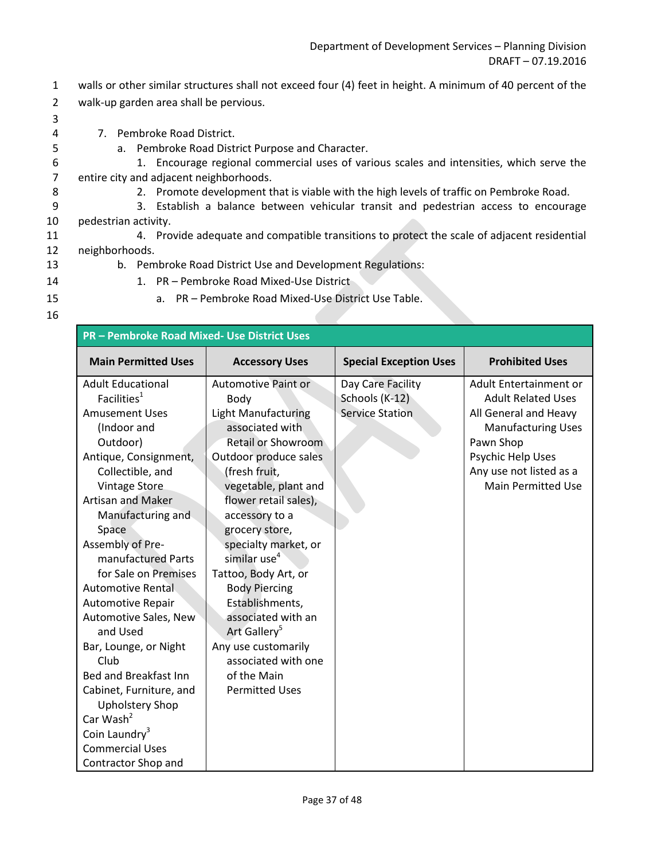- 1 walls or other similar structures shall not exceed four (4) feet in height. A minimum of 40 percent of the 2 walk-up garden area shall be pervious.
- 3

4 7. Pembroke Road District.

- 5 a. Pembroke Road District Purpose and Character.
- 6 1. Encourage regional commercial uses of various scales and intensities, which serve the 7 entire city and adjacent neighborhoods.
- 8 2. Promote development that is viable with the high levels of traffic on Pembroke Road.
- 9 3. Establish a balance between vehicular transit and pedestrian access to encourage 10 pedestrian activity.
- 11 4. Provide adequate and compatible transitions to protect the scale of adjacent residential 12 neighborhoods.
- 
- 13 b. Pembroke Road District Use and Development Regulations:
- 14 1. PR Pembroke Road Mixed-Use District
- 
- 15 a. PR Pembroke Road Mixed-Use District Use Table.
- 16

| <b>PR-Pembroke Road Mixed- Use District Uses</b> |                            |                               |                           |
|--------------------------------------------------|----------------------------|-------------------------------|---------------------------|
| <b>Main Permitted Uses</b>                       | <b>Accessory Uses</b>      | <b>Special Exception Uses</b> | <b>Prohibited Uses</b>    |
| <b>Adult Educational</b>                         | Automotive Paint or        | Day Care Facility             | Adult Entertainment or    |
| Facilities <sup>1</sup>                          | Body                       | Schools (K-12)                | <b>Adult Related Uses</b> |
| <b>Amusement Uses</b>                            | <b>Light Manufacturing</b> | <b>Service Station</b>        | All General and Heavy     |
| (Indoor and                                      | associated with            |                               | <b>Manufacturing Uses</b> |
| Outdoor)                                         | <b>Retail or Showroom</b>  |                               | Pawn Shop                 |
| Antique, Consignment,                            | Outdoor produce sales      |                               | Psychic Help Uses         |
| Collectible, and                                 | (fresh fruit,              |                               | Any use not listed as a   |
| <b>Vintage Store</b>                             | vegetable, plant and       |                               | <b>Main Permitted Use</b> |
| <b>Artisan and Maker</b>                         | flower retail sales),      |                               |                           |
| Manufacturing and                                | accessory to a             |                               |                           |
| Space                                            | grocery store,             |                               |                           |
| Assembly of Pre-                                 | specialty market, or       |                               |                           |
| manufactured Parts                               | similar use <sup>4</sup>   |                               |                           |
| for Sale on Premises                             | Tattoo, Body Art, or       |                               |                           |
| <b>Automotive Rental</b>                         | <b>Body Piercing</b>       |                               |                           |
| Automotive Repair                                | Establishments,            |                               |                           |
| Automotive Sales, New                            | associated with an         |                               |                           |
| and Used                                         | Art Gallery <sup>5</sup>   |                               |                           |
| Bar, Lounge, or Night                            | Any use customarily        |                               |                           |
| Club                                             | associated with one        |                               |                           |
| Bed and Breakfast Inn                            | of the Main                |                               |                           |
| Cabinet, Furniture, and                          | <b>Permitted Uses</b>      |                               |                           |
| <b>Upholstery Shop</b>                           |                            |                               |                           |
| Car Wash $2$                                     |                            |                               |                           |
| Coin Laundry <sup>3</sup>                        |                            |                               |                           |
| <b>Commercial Uses</b>                           |                            |                               |                           |
| Contractor Shop and                              |                            |                               |                           |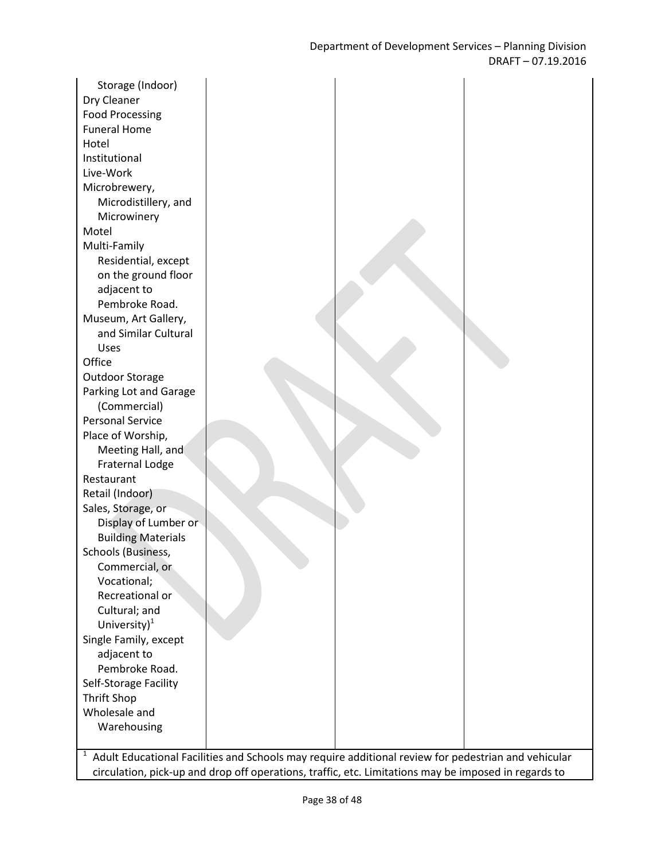| Storage (Indoor)          |  |
|---------------------------|--|
| Dry Cleaner               |  |
| <b>Food Processing</b>    |  |
| <b>Funeral Home</b>       |  |
| Hotel                     |  |
| Institutional             |  |
| Live-Work                 |  |
| Microbrewery,             |  |
| Microdistillery, and      |  |
| Microwinery               |  |
| Motel                     |  |
| Multi-Family              |  |
| Residential, except       |  |
| on the ground floor       |  |
| adjacent to               |  |
| Pembroke Road.            |  |
| Museum, Art Gallery,      |  |
| and Similar Cultural      |  |
| Uses                      |  |
| Office                    |  |
| Outdoor Storage           |  |
| Parking Lot and Garage    |  |
| (Commercial)              |  |
| <b>Personal Service</b>   |  |
| Place of Worship,         |  |
| Meeting Hall, and         |  |
| <b>Fraternal Lodge</b>    |  |
| Restaurant                |  |
| Retail (Indoor)           |  |
| Sales, Storage, or        |  |
| Display of Lumber or      |  |
| <b>Building Materials</b> |  |
| Schools (Business,        |  |
| Commercial, or            |  |
| Vocational;               |  |
| Recreational or           |  |
| Cultural; and             |  |
| University) $^1$          |  |
| Single Family, except     |  |
| adjacent to               |  |
| Pembroke Road.            |  |
| Self-Storage Facility     |  |
| Thrift Shop               |  |
| Wholesale and             |  |
| Warehousing               |  |
|                           |  |

1 Adult Educational Facilities and Schools may require additional review for pedestrian and vehicular circulation, pick-up and drop off operations, traffic, etc. Limitations may be imposed in regards to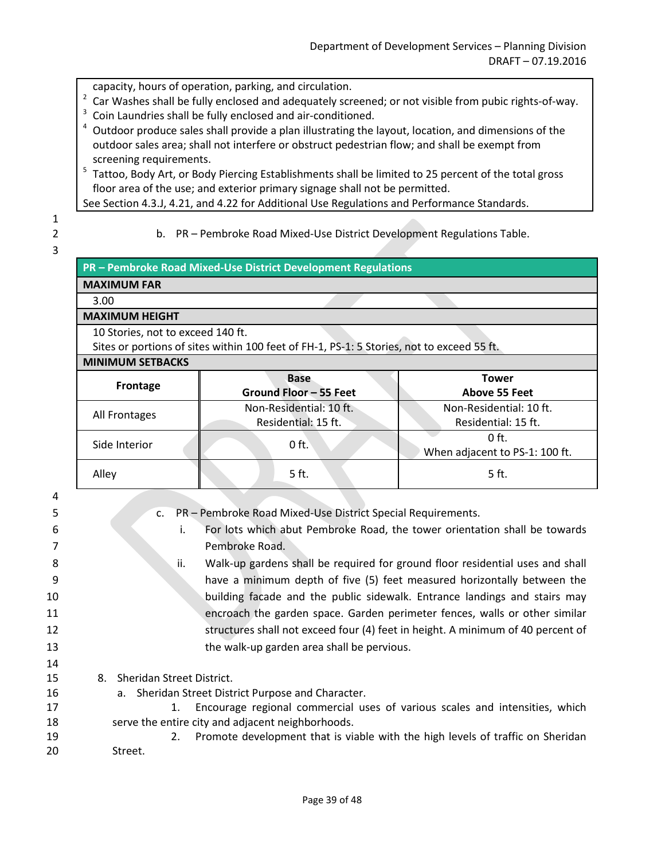capacity, hours of operation, parking, and circulation.

- $2$  Car Washes shall be fully enclosed and adequately screened; or not visible from pubic rights-of-way.
- <sup>3</sup> Coin Laundries shall be fully enclosed and air-conditioned.
- $4$  Outdoor produce sales shall provide a plan illustrating the layout, location, and dimensions of the outdoor sales area; shall not interfere or obstruct pedestrian flow; and shall be exempt from screening requirements.

<sup>5</sup> Tattoo, Body Art, or Body Piercing Establishments shall be limited to 25 percent of the total gross floor area of the use; and exterior primary signage shall not be permitted.

See Section 4.3.J, 4.21, and 4.22 for Additional Use Regulations and Performance Standards.

1 3

2 b. PR – Pembroke Road Mixed-Use District Development Regulations Table.

|                                   | PR - Pembroke Road Mixed-Use District Development Regulations                             |                                |  |  |
|-----------------------------------|-------------------------------------------------------------------------------------------|--------------------------------|--|--|
| <b>MAXIMUM FAR</b>                |                                                                                           |                                |  |  |
| 3.00                              |                                                                                           |                                |  |  |
| <b>MAXIMUM HEIGHT</b>             |                                                                                           |                                |  |  |
| 10 Stories, not to exceed 140 ft. |                                                                                           |                                |  |  |
|                                   | Sites or portions of sites within 100 feet of FH-1, PS-1: 5 Stories, not to exceed 55 ft. |                                |  |  |
| <b>MINIMUM SETBACKS</b>           |                                                                                           |                                |  |  |
| Frontage                          | <b>Base</b>                                                                               | <b>Tower</b>                   |  |  |
|                                   | Ground Floor - 55 Feet                                                                    | Above 55 Feet                  |  |  |
| All Frontages                     | Non-Residential: 10 ft.                                                                   | Non-Residential: 10 ft.        |  |  |
|                                   | Residential: 15 ft.                                                                       | Residential: 15 ft.            |  |  |
| Side Interior                     | $0$ ft.                                                                                   | $0$ ft.                        |  |  |
|                                   |                                                                                           | When adjacent to PS-1: 100 ft. |  |  |
| Alley                             | 5 ft.                                                                                     | 5 ft.                          |  |  |
|                                   |                                                                                           |                                |  |  |
|                                   |                                                                                           |                                |  |  |

4 5 c. PR – Pembroke Road Mixed-Use District Special Requirements. 6 i. For lots which abut Pembroke Road, the tower orientation shall be towards 7 Pembroke Road.

- 8 ii. Walk-up gardens shall be required for ground floor residential uses and shall 9 have a minimum depth of five (5) feet measured horizontally between the 10 building facade and the public sidewalk. Entrance landings and stairs may 11 encroach the garden space. Garden perimeter fences, walls or other similar
- 12 structures shall not exceed four (4) feet in height. A minimum of 40 percent of 13 the walk-up garden area shall be pervious. 14
- 15 8. Sheridan Street District.
- 16 a. Sheridan Street District Purpose and Character.
- 17 1. Encourage regional commercial uses of various scales and intensities, which 18 serve the entire city and adjacent neighborhoods.
- 19 2. Promote development that is viable with the high levels of traffic on Sheridan 20 Street.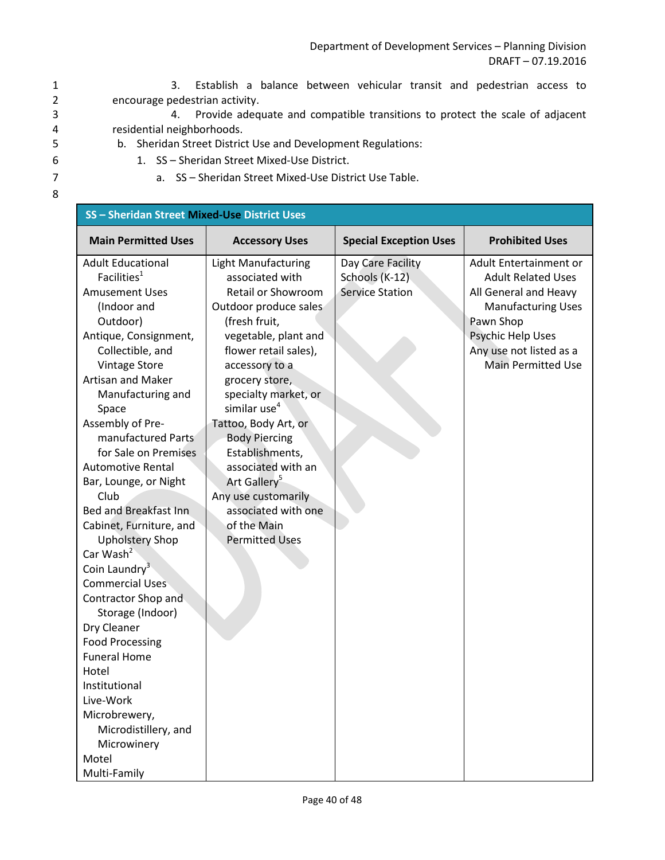Department of Development Services – Planning Division DRAFT – 07.19.2016

1 3. Establish a balance between vehicular transit and pedestrian access to 2 encourage pedestrian activity.

3 4. Provide adequate and compatible transitions to protect the scale of adjacent 4 residential neighborhoods.

- 5 b. Sheridan Street District Use and Development Regulations:
- 6 1. SS Sheridan Street Mixed-Use District.
- 7 a. SS Sheridan Street Mixed-Use District Use Table.
- 8

| SS - Sheridan Street Mixed-Use District Uses |                            |                               |                           |
|----------------------------------------------|----------------------------|-------------------------------|---------------------------|
| <b>Main Permitted Uses</b>                   | <b>Accessory Uses</b>      | <b>Special Exception Uses</b> | <b>Prohibited Uses</b>    |
| <b>Adult Educational</b>                     | <b>Light Manufacturing</b> | Day Care Facility             | Adult Entertainment or    |
| Facilities <sup>1</sup>                      | associated with            | Schools (K-12)                | <b>Adult Related Uses</b> |
| <b>Amusement Uses</b>                        | Retail or Showroom         | <b>Service Station</b>        | All General and Heavy     |
| (Indoor and                                  | Outdoor produce sales      |                               | <b>Manufacturing Uses</b> |
| Outdoor)                                     | (fresh fruit,              |                               | Pawn Shop                 |
| Antique, Consignment,                        | vegetable, plant and       |                               | Psychic Help Uses         |
| Collectible, and                             | flower retail sales),      |                               | Any use not listed as a   |
| <b>Vintage Store</b>                         | accessory to a             |                               | <b>Main Permitted Use</b> |
| <b>Artisan and Maker</b>                     | grocery store,             |                               |                           |
| Manufacturing and                            | specialty market, or       |                               |                           |
| Space                                        | similar use <sup>4</sup>   |                               |                           |
| Assembly of Pre-                             | Tattoo, Body Art, or       |                               |                           |
| manufactured Parts                           | <b>Body Piercing</b>       |                               |                           |
| for Sale on Premises                         | Establishments,            |                               |                           |
| <b>Automotive Rental</b>                     | associated with an         |                               |                           |
| Bar, Lounge, or Night                        | Art Gallery <sup>5</sup>   |                               |                           |
| Club                                         | Any use customarily        |                               |                           |
| Bed and Breakfast Inn                        | associated with one        |                               |                           |
| Cabinet, Furniture, and                      | of the Main                |                               |                           |
| <b>Upholstery Shop</b>                       | <b>Permitted Uses</b>      |                               |                           |
| Car Wash <sup>2</sup>                        |                            |                               |                           |
| Coin Laundry $3$                             |                            |                               |                           |
| <b>Commercial Uses</b>                       |                            |                               |                           |
| Contractor Shop and                          |                            |                               |                           |
| Storage (Indoor)                             |                            |                               |                           |
| Dry Cleaner                                  |                            |                               |                           |
| <b>Food Processing</b>                       |                            |                               |                           |
| <b>Funeral Home</b>                          |                            |                               |                           |
| Hotel                                        |                            |                               |                           |
| Institutional                                |                            |                               |                           |
| Live-Work                                    |                            |                               |                           |
| Microbrewery,                                |                            |                               |                           |
| Microdistillery, and                         |                            |                               |                           |
| Microwinery                                  |                            |                               |                           |
| Motel                                        |                            |                               |                           |
| Multi-Family                                 |                            |                               |                           |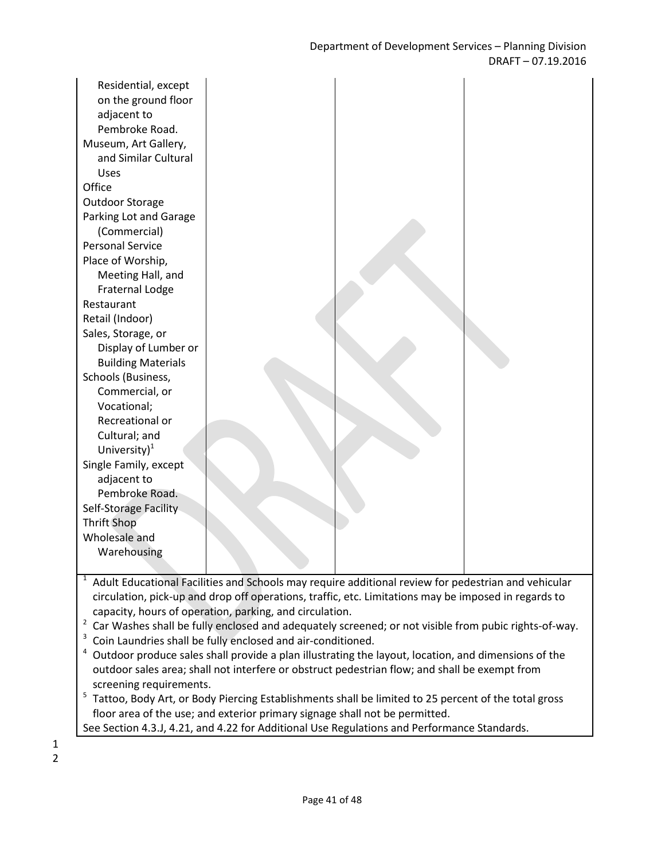| Residential, except<br>on the ground floor<br>adjacent to<br>Pembroke Road.<br>Museum, Art Gallery,<br>and Similar Cultural<br>Uses<br>Office<br><b>Outdoor Storage</b><br>Parking Lot and Garage<br>(Commercial)<br><b>Personal Service</b><br>Place of Worship,<br>Meeting Hall, and<br>Fraternal Lodge<br>Restaurant<br>Retail (Indoor)<br>Sales, Storage, or<br>Display of Lumber or<br><b>Building Materials</b><br>Schools (Business,<br>Commercial, or<br>Vocational;<br>Recreational or<br>Cultural; and<br>University) <sup>1</sup><br>Single Family, except<br>adjacent to<br>Pembroke Road.<br>Self-Storage Facility |  |  |
|---------------------------------------------------------------------------------------------------------------------------------------------------------------------------------------------------------------------------------------------------------------------------------------------------------------------------------------------------------------------------------------------------------------------------------------------------------------------------------------------------------------------------------------------------------------------------------------------------------------------------------|--|--|
|                                                                                                                                                                                                                                                                                                                                                                                                                                                                                                                                                                                                                                 |  |  |
| <b>Thrift Shop</b>                                                                                                                                                                                                                                                                                                                                                                                                                                                                                                                                                                                                              |  |  |
| Wholesale and                                                                                                                                                                                                                                                                                                                                                                                                                                                                                                                                                                                                                   |  |  |
| Warehousing                                                                                                                                                                                                                                                                                                                                                                                                                                                                                                                                                                                                                     |  |  |
|                                                                                                                                                                                                                                                                                                                                                                                                                                                                                                                                                                                                                                 |  |  |

 $1$  Adult Educational Facilities and Schools may require additional review for pedestrian and vehicular circulation, pick-up and drop off operations, traffic, etc. Limitations may be imposed in regards to capacity, hours of operation, parking, and circulation.

 $2$  Car Washes shall be fully enclosed and adequately screened; or not visible from pubic rights-of-way.

<sup>3</sup> Coin Laundries shall be fully enclosed and air-conditioned.

 $4$  Outdoor produce sales shall provide a plan illustrating the layout, location, and dimensions of the outdoor sales area; shall not interfere or obstruct pedestrian flow; and shall be exempt from screening requirements.

<sup>5</sup> Tattoo, Body Art, or Body Piercing Establishments shall be limited to 25 percent of the total gross floor area of the use; and exterior primary signage shall not be permitted.

See Section 4.3.J, 4.21, and 4.22 for Additional Use Regulations and Performance Standards.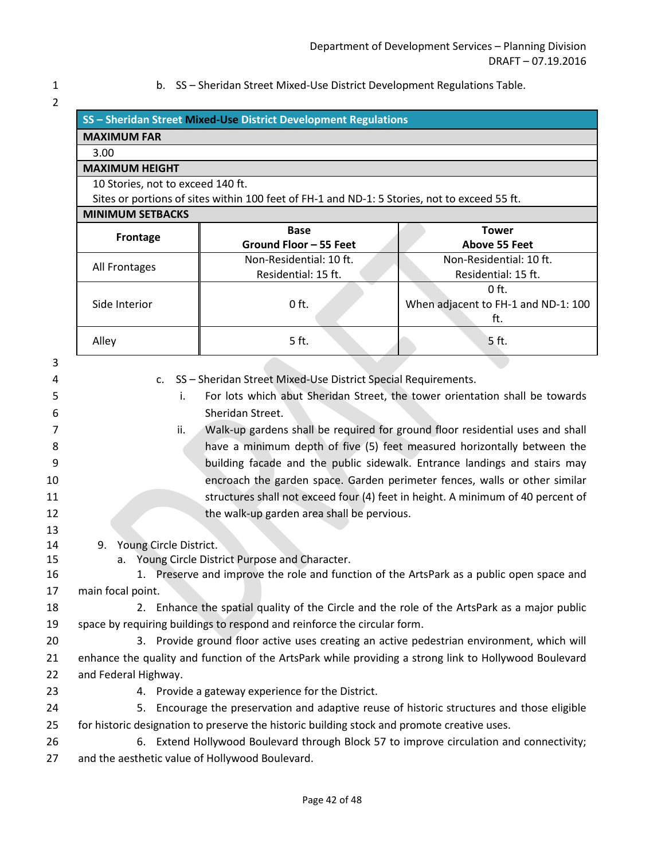$\overline{2}$ 

1 b. SS – Sheridan Street Mixed-Use District Development Regulations Table.

| $\overline{L}$ |                                                                                                       |                                                                                              |                                                                             |  |
|----------------|-------------------------------------------------------------------------------------------------------|----------------------------------------------------------------------------------------------|-----------------------------------------------------------------------------|--|
|                |                                                                                                       | SS - Sheridan Street Mixed-Use District Development Regulations                              |                                                                             |  |
|                | <b>MAXIMUM FAR</b>                                                                                    |                                                                                              |                                                                             |  |
|                | 3.00                                                                                                  |                                                                                              |                                                                             |  |
|                | <b>MAXIMUM HEIGHT</b>                                                                                 |                                                                                              |                                                                             |  |
|                | 10 Stories, not to exceed 140 ft.                                                                     |                                                                                              |                                                                             |  |
|                |                                                                                                       | Sites or portions of sites within 100 feet of FH-1 and ND-1: 5 Stories, not to exceed 55 ft. |                                                                             |  |
|                | <b>MINIMUM SETBACKS</b>                                                                               |                                                                                              |                                                                             |  |
|                | Frontage                                                                                              | <b>Base</b>                                                                                  | <b>Tower</b>                                                                |  |
|                |                                                                                                       | Ground Floor - 55 Feet                                                                       | <b>Above 55 Feet</b>                                                        |  |
|                | All Frontages                                                                                         | Non-Residential: 10 ft.<br>Residential: 15 ft.                                               | Non-Residential: 10 ft.<br>Residential: 15 ft.                              |  |
|                |                                                                                                       |                                                                                              | $0$ ft.                                                                     |  |
|                | Side Interior                                                                                         | $0$ ft.                                                                                      | When adjacent to FH-1 and ND-1: 100                                         |  |
|                |                                                                                                       |                                                                                              | ft.                                                                         |  |
|                | Alley                                                                                                 | 5 ft.                                                                                        | 5 ft.                                                                       |  |
| 3              |                                                                                                       |                                                                                              |                                                                             |  |
| 4              | $C_{\star}$                                                                                           | SS - Sheridan Street Mixed-Use District Special Requirements.                                |                                                                             |  |
| 5              | i.                                                                                                    |                                                                                              | For lots which abut Sheridan Street, the tower orientation shall be towards |  |
| 6              | Sheridan Street.                                                                                      |                                                                                              |                                                                             |  |
| 7              | Walk-up gardens shall be required for ground floor residential uses and shall<br>ii.                  |                                                                                              |                                                                             |  |
| 8              | have a minimum depth of five (5) feet measured horizontally between the                               |                                                                                              |                                                                             |  |
| 9              | building facade and the public sidewalk. Entrance landings and stairs may                             |                                                                                              |                                                                             |  |
| 10             | encroach the garden space. Garden perimeter fences, walls or other similar                            |                                                                                              |                                                                             |  |
| 11             | structures shall not exceed four (4) feet in height. A minimum of 40 percent of                       |                                                                                              |                                                                             |  |
| 12             |                                                                                                       | the walk-up garden area shall be pervious.                                                   |                                                                             |  |
| 13             |                                                                                                       |                                                                                              |                                                                             |  |
| 14             | 9. Young Circle District.                                                                             |                                                                                              |                                                                             |  |
| 15             | a.                                                                                                    | Young Circle District Purpose and Character.                                                 |                                                                             |  |
| 16             |                                                                                                       | 1. Preserve and improve the role and function of the ArtsPark as a public open space and     |                                                                             |  |
| 17             | main focal point.                                                                                     |                                                                                              |                                                                             |  |
| 18             |                                                                                                       | 2. Enhance the spatial quality of the Circle and the role of the ArtsPark as a major public  |                                                                             |  |
| 19             |                                                                                                       | space by requiring buildings to respond and reinforce the circular form.                     |                                                                             |  |
| 20             |                                                                                                       | 3. Provide ground floor active uses creating an active pedestrian environment, which will    |                                                                             |  |
| 21             | enhance the quality and function of the ArtsPark while providing a strong link to Hollywood Boulevard |                                                                                              |                                                                             |  |
| 22             | and Federal Highway.                                                                                  |                                                                                              |                                                                             |  |
| 23             |                                                                                                       | 4. Provide a gateway experience for the District.                                            |                                                                             |  |
| 24             |                                                                                                       | 5. Encourage the preservation and adaptive reuse of historic structures and those eligible   |                                                                             |  |
| 25             |                                                                                                       | for historic designation to preserve the historic building stock and promote creative uses.  |                                                                             |  |
| 26             |                                                                                                       | 6. Extend Hollywood Boulevard through Block 57 to improve circulation and connectivity;      |                                                                             |  |
| 27             | and the aesthetic value of Hollywood Boulevard.                                                       |                                                                                              |                                                                             |  |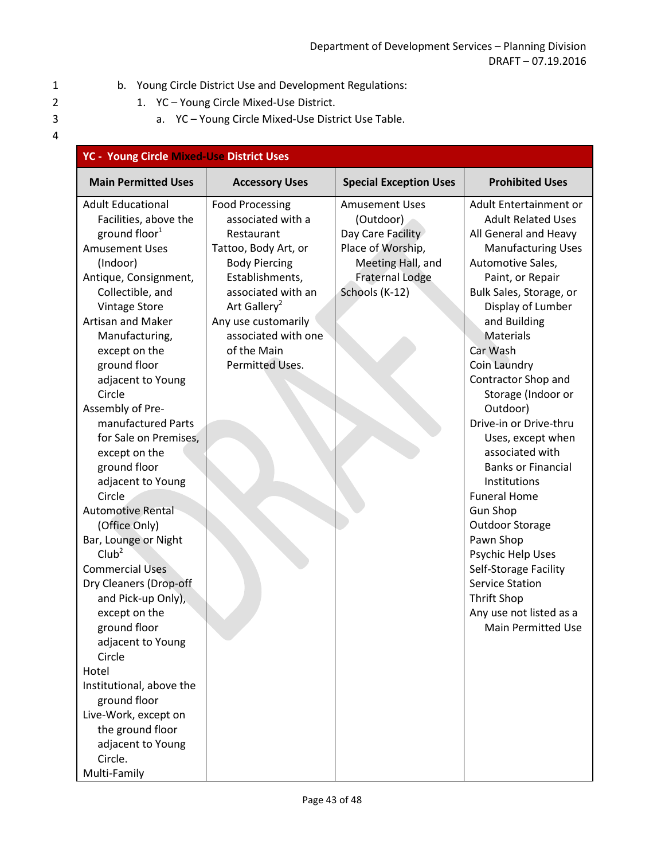# 1 b. Young Circle District Use and Development Regulations:

- 2 1. YC Young Circle Mixed-Use District.
- 3 a. YC Young Circle Mixed-Use District Use Table.

| <b>YC - Young Circle Mixed-Use District Uses</b>                                                                                                                                                                                                                                                                                                                                                                                                                                                                                                                                                                                                                                                                                                                                                                        |                                                                                                                                                                                                                                                                |                                                                                                                                               |                                                                                                                                                                                                                                                                                                                                                                                                                                                                                                                                                                                                                                                                            |
|-------------------------------------------------------------------------------------------------------------------------------------------------------------------------------------------------------------------------------------------------------------------------------------------------------------------------------------------------------------------------------------------------------------------------------------------------------------------------------------------------------------------------------------------------------------------------------------------------------------------------------------------------------------------------------------------------------------------------------------------------------------------------------------------------------------------------|----------------------------------------------------------------------------------------------------------------------------------------------------------------------------------------------------------------------------------------------------------------|-----------------------------------------------------------------------------------------------------------------------------------------------|----------------------------------------------------------------------------------------------------------------------------------------------------------------------------------------------------------------------------------------------------------------------------------------------------------------------------------------------------------------------------------------------------------------------------------------------------------------------------------------------------------------------------------------------------------------------------------------------------------------------------------------------------------------------------|
| <b>Main Permitted Uses</b>                                                                                                                                                                                                                                                                                                                                                                                                                                                                                                                                                                                                                                                                                                                                                                                              | <b>Accessory Uses</b>                                                                                                                                                                                                                                          | <b>Special Exception Uses</b>                                                                                                                 | <b>Prohibited Uses</b>                                                                                                                                                                                                                                                                                                                                                                                                                                                                                                                                                                                                                                                     |
| <b>Adult Educational</b><br>Facilities, above the<br>ground floor <sup>1</sup><br><b>Amusement Uses</b><br>(Indoor)<br>Antique, Consignment,<br>Collectible, and<br><b>Vintage Store</b><br>Artisan and Maker<br>Manufacturing,<br>except on the<br>ground floor<br>adjacent to Young<br>Circle<br>Assembly of Pre-<br>manufactured Parts<br>for Sale on Premises,<br>except on the<br>ground floor<br>adjacent to Young<br>Circle<br><b>Automotive Rental</b><br>(Office Only)<br>Bar, Lounge or Night<br>Club <sup>2</sup><br><b>Commercial Uses</b><br>Dry Cleaners (Drop-off<br>and Pick-up Only),<br>except on the<br>ground floor<br>adjacent to Young<br>Circle<br>Hotel<br>Institutional, above the<br>ground floor<br>Live-Work, except on<br>the ground floor<br>adjacent to Young<br>Circle.<br>Multi-Family | <b>Food Processing</b><br>associated with a<br>Restaurant<br>Tattoo, Body Art, or<br><b>Body Piercing</b><br>Establishments,<br>associated with an<br>Art Gallery <sup>2</sup><br>Any use customarily<br>associated with one<br>of the Main<br>Permitted Uses. | <b>Amusement Uses</b><br>(Outdoor)<br>Day Care Facility<br>Place of Worship,<br>Meeting Hall, and<br><b>Fraternal Lodge</b><br>Schools (K-12) | Adult Entertainment or<br><b>Adult Related Uses</b><br>All General and Heavy<br><b>Manufacturing Uses</b><br>Automotive Sales,<br>Paint, or Repair<br>Bulk Sales, Storage, or<br>Display of Lumber<br>and Building<br>Materials<br>Car Wash<br>Coin Laundry<br>Contractor Shop and<br>Storage (Indoor or<br>Outdoor)<br>Drive-in or Drive-thru<br>Uses, except when<br>associated with<br><b>Banks or Financial</b><br>Institutions<br><b>Funeral Home</b><br><b>Gun Shop</b><br><b>Outdoor Storage</b><br>Pawn Shop<br>Psychic Help Uses<br>Self-Storage Facility<br><b>Service Station</b><br><b>Thrift Shop</b><br>Any use not listed as a<br><b>Main Permitted Use</b> |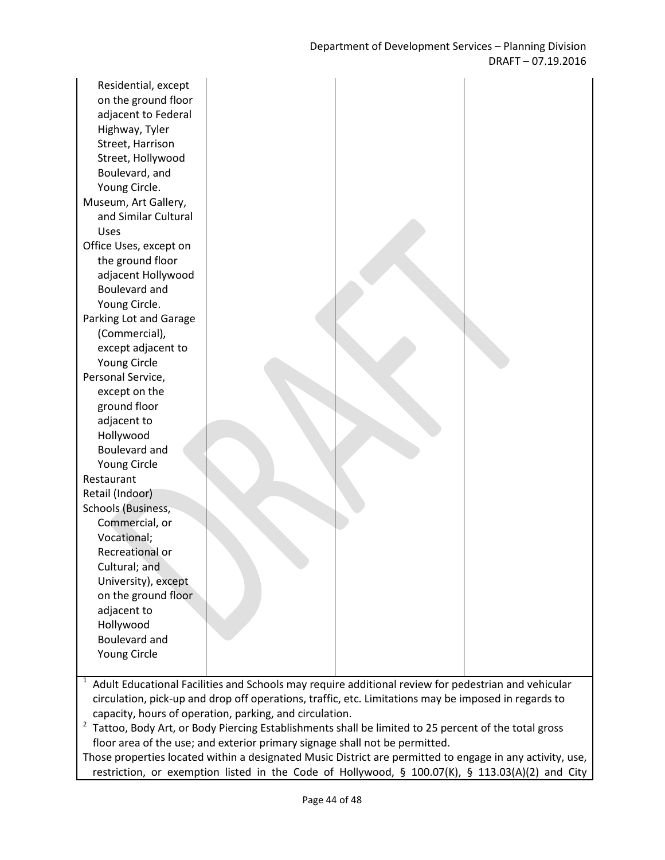Residential, except on the ground floor adjacent to Federal Highway, Tyler Street, Harrison Street, Hollywood Boulevard, and Young Circle. Museum, Art Gallery, and Similar Cultural Uses Office Uses, except on the ground floor adjacent Hollywood Boulevard and Young Circle. Parking Lot and Garage (Commercial), except adjacent to Young Circle Personal Service, except on the ground floor adjacent to Hollywood Boulevard and Young Circle Restaurant Retail (Indoor) Schools (Business, Commercial, or Vocational; Recreational or Cultural; and University), except on the ground floor adjacent to Hollywood Boulevard and Young Circle

1 Adult Educational Facilities and Schools may require additional review for pedestrian and vehicular circulation, pick-up and drop off operations, traffic, etc. Limitations may be imposed in regards to capacity, hours of operation, parking, and circulation.

 $2$  Tattoo, Body Art, or Body Piercing Establishments shall be limited to 25 percent of the total gross floor area of the use; and exterior primary signage shall not be permitted.

Those properties located within a designated Music District are permitted to engage in any activity, use, restriction, or exemption listed in the Code of Hollywood, § 100.07(K), § 113.03(A)(2) and City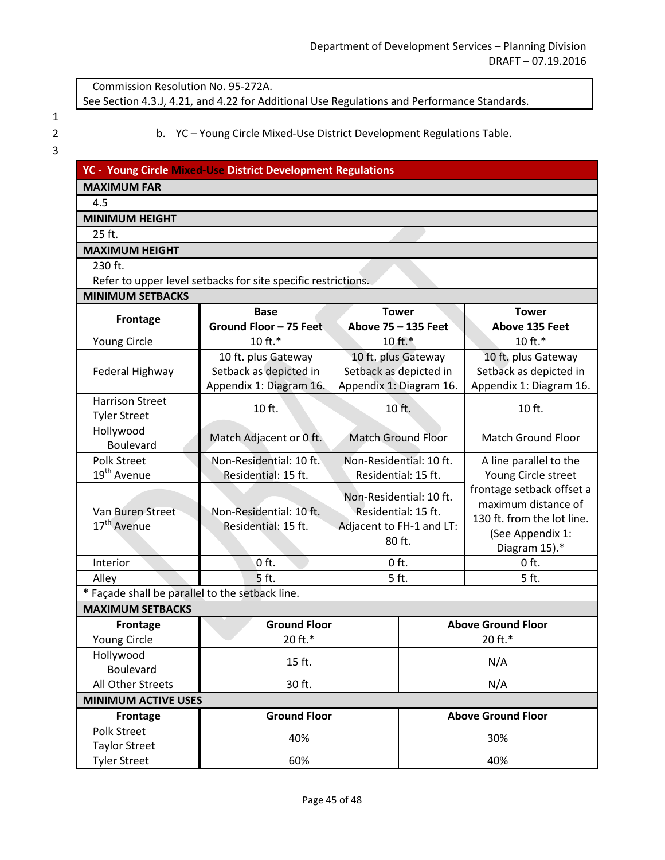Commission Resolution No. 95-272A.

See Section 4.3.J, 4.21, and 4.22 for Additional Use Regulations and Performance Standards.

1

2 b. YC – Young Circle Mixed-Use District Development Regulations Table.

| ۰. |  |  |
|----|--|--|

|  | YC - Young Circle Mixed-Use District Development Regulations |  |
|--|--------------------------------------------------------------|--|
|  |                                                              |  |

### **MAXIMUM FAR**

#### 4.5

## **MINIMUM HEIGHT**

25 ft.

#### **MAXIMUM HEIGHT**

230 ft.

Refer to upper level setbacks for site specific restrictions.

| <b>MINIMUM SETBACKS</b> |  |
|-------------------------|--|
|                         |  |

| MINIMUM SETBACKS                                |                         |                                     |                           |                            |  |
|-------------------------------------------------|-------------------------|-------------------------------------|---------------------------|----------------------------|--|
| Frontage                                        | <b>Base</b>             | <b>Tower</b><br>Above 75 - 135 Feet |                           | <b>Tower</b>               |  |
|                                                 | Ground Floor - 75 Feet  |                                     |                           | Above 135 Feet             |  |
| Young Circle                                    | 10 ft.*                 | $10ft.*$                            |                           | 10 ft.*                    |  |
|                                                 | 10 ft. plus Gateway     |                                     | 10 ft. plus Gateway       | 10 ft. plus Gateway        |  |
| Federal Highway                                 | Setback as depicted in  |                                     | Setback as depicted in    | Setback as depicted in     |  |
|                                                 | Appendix 1: Diagram 16. |                                     | Appendix 1: Diagram 16.   | Appendix 1: Diagram 16.    |  |
| <b>Harrison Street</b>                          | 10 ft.                  | 10 ft.                              |                           | 10 ft.                     |  |
| <b>Tyler Street</b>                             |                         |                                     |                           |                            |  |
| Hollywood<br>Boulevard                          | Match Adjacent or 0 ft. | <b>Match Ground Floor</b>           |                           | <b>Match Ground Floor</b>  |  |
| <b>Polk Street</b>                              | Non-Residential: 10 ft. | Non-Residential: 10 ft.             |                           | A line parallel to the     |  |
| 19 <sup>th</sup> Avenue                         | Residential: 15 ft.     | Residential: 15 ft.                 |                           | Young Circle street        |  |
|                                                 |                         |                                     |                           | frontage setback offset a  |  |
|                                                 |                         | Non-Residential: 10 ft.             |                           | maximum distance of        |  |
| Van Buren Street                                | Non-Residential: 10 ft. | Residential: 15 ft.                 |                           | 130 ft. from the lot line. |  |
| 17 <sup>th</sup> Avenue                         | Residential: 15 ft.     | Adjacent to FH-1 and LT:            |                           |                            |  |
|                                                 |                         | 80 ft.                              |                           | (See Appendix 1:           |  |
|                                                 |                         |                                     |                           | Diagram 15).*              |  |
| Interior                                        | $0$ ft.                 | $0$ ft.                             |                           | $0$ ft.                    |  |
| Alley                                           | 5 ft.                   | 5 ft.                               |                           | 5 ft.                      |  |
| * Façade shall be parallel to the setback line. |                         |                                     |                           |                            |  |
| <b>MAXIMUM SETBACKS</b>                         |                         |                                     |                           |                            |  |
| <b>Frontage</b>                                 | <b>Ground Floor</b>     |                                     | <b>Above Ground Floor</b> |                            |  |
| Young Circle                                    | 20 ft.*                 |                                     | 20 ft.*                   |                            |  |
| Hollywood                                       | 15 ft.                  |                                     | N/A                       |                            |  |
| <b>Boulevard</b>                                |                         |                                     |                           |                            |  |
| All Other Streets                               | 30 ft.                  |                                     |                           | N/A                        |  |
| <b>MINIMUM ACTIVE USES</b>                      |                         |                                     |                           |                            |  |
| Frontage                                        | <b>Ground Floor</b>     |                                     | <b>Above Ground Floor</b> |                            |  |
| <b>Polk Street</b>                              | 40%                     |                                     | 30%                       |                            |  |
| <b>Taylor Street</b>                            |                         |                                     |                           |                            |  |
| <b>Tyler Street</b>                             | 60%                     |                                     |                           | 40%                        |  |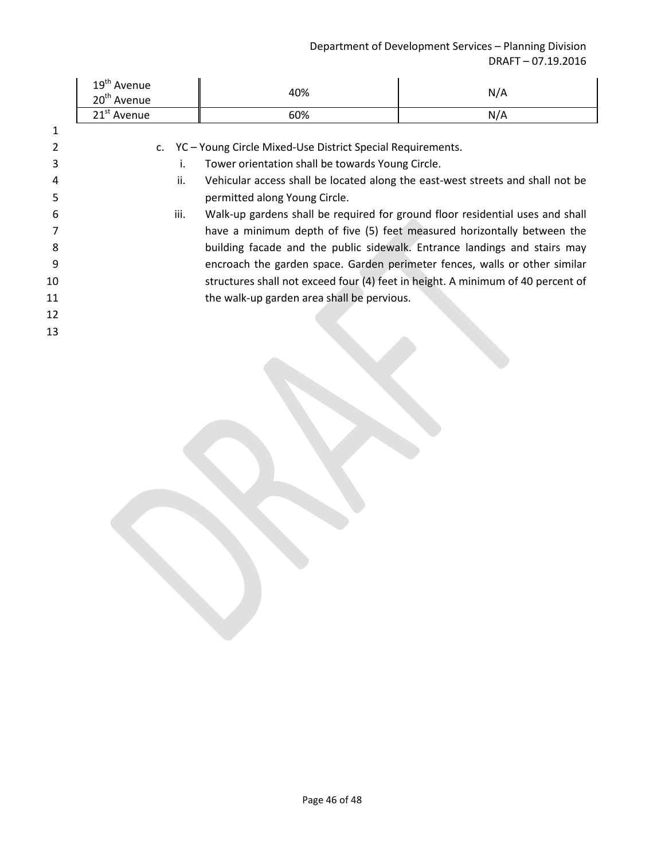|    | 19 <sup>th</sup> Avenue<br>20 <sup>th</sup> Avenue | 40%                                                                             | N/A |
|----|----------------------------------------------------|---------------------------------------------------------------------------------|-----|
|    | 21 <sup>st</sup> Avenue                            | 60%                                                                             | N/A |
|    |                                                    |                                                                                 |     |
|    |                                                    | c. YC - Young Circle Mixed-Use District Special Requirements.                   |     |
| 3  | i.                                                 | Tower orientation shall be towards Young Circle.                                |     |
|    | ii.                                                | Vehicular access shall be located along the east-west streets and shall not be  |     |
| 5  |                                                    | permitted along Young Circle.                                                   |     |
| 6  | iii.                                               | Walk-up gardens shall be required for ground floor residential uses and shall   |     |
|    |                                                    | have a minimum depth of five (5) feet measured horizontally between the         |     |
| 8  |                                                    | building facade and the public sidewalk. Entrance landings and stairs may       |     |
| 9  |                                                    | encroach the garden space. Garden perimeter fences, walls or other similar      |     |
| 10 |                                                    | structures shall not exceed four (4) feet in height. A minimum of 40 percent of |     |
| 11 |                                                    | the walk-up garden area shall be pervious.                                      |     |
| 12 |                                                    |                                                                                 |     |
| 13 |                                                    |                                                                                 |     |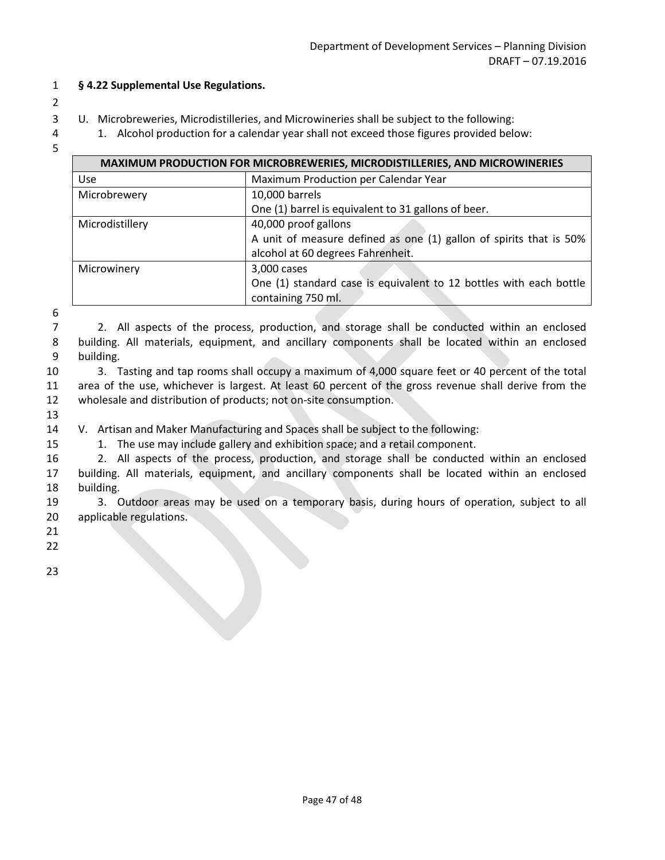- 1 **§ 4.22 Supplemental Use Regulations.**
- 2
- 3 U. Microbreweries, Microdistilleries, and Microwineries shall be subject to the following:
- 4 1. Alcohol production for a calendar year shall not exceed those figures provided below:
- 5

| <b>MAXIMUM PRODUCTION FOR MICROBREWERIES, MICRODISTILLERIES, AND MICROWINERIES</b> |                                                                    |  |
|------------------------------------------------------------------------------------|--------------------------------------------------------------------|--|
| <b>Use</b>                                                                         | Maximum Production per Calendar Year                               |  |
| Microbrewery                                                                       | 10,000 barrels                                                     |  |
|                                                                                    | One (1) barrel is equivalent to 31 gallons of beer.                |  |
| Microdistillery                                                                    | 40,000 proof gallons                                               |  |
|                                                                                    | A unit of measure defined as one (1) gallon of spirits that is 50% |  |
|                                                                                    | alcohol at 60 degrees Fahrenheit.                                  |  |
| Microwinery                                                                        | 3,000 cases                                                        |  |
|                                                                                    | One (1) standard case is equivalent to 12 bottles with each bottle |  |
|                                                                                    | containing 750 ml.                                                 |  |

- 7 2. All aspects of the process, production, and storage shall be conducted within an enclosed 8 building. All materials, equipment, and ancillary components shall be located within an enclosed 9 building.
- 10 3. Tasting and tap rooms shall occupy a maximum of 4,000 square feet or 40 percent of the total 11 area of the use, whichever is largest. At least 60 percent of the gross revenue shall derive from the 12 wholesale and distribution of products; not on-site consumption.
- 13

14 V. Artisan and Maker Manufacturing and Spaces shall be subject to the following:

- 15 1. The use may include gallery and exhibition space; and a retail component.
- 16 2. All aspects of the process, production, and storage shall be conducted within an enclosed 17 building. All materials, equipment, and ancillary components shall be located within an enclosed 18 building.
- 19 3. Outdoor areas may be used on a temporary basis, during hours of operation, subject to all 20 applicable regulations.
- 21
- 22 23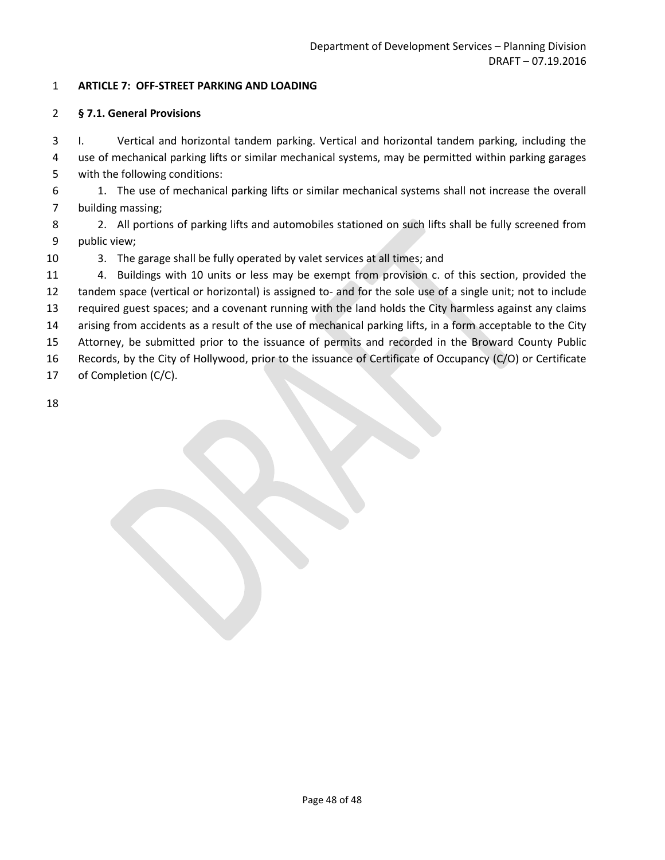#### 1 **ARTICLE 7: OFF-STREET PARKING AND LOADING**

#### 2 **§ 7.1. General Provisions**

3 I. Vertical and horizontal tandem parking. Vertical and horizontal tandem parking, including the 4 use of mechanical parking lifts or similar mechanical systems, may be permitted within parking garages 5 with the following conditions:

6 1. The use of mechanical parking lifts or similar mechanical systems shall not increase the overall 7 building massing;

8 2. All portions of parking lifts and automobiles stationed on such lifts shall be fully screened from 9 public view;

10 3. The garage shall be fully operated by valet services at all times; and

 4. Buildings with 10 units or less may be exempt from provision c. of this section, provided the tandem space (vertical or horizontal) is assigned to- and for the sole use of a single unit; not to include required guest spaces; and a covenant running with the land holds the City harmless against any claims arising from accidents as a result of the use of mechanical parking lifts, in a form acceptable to the City

15 Attorney, be submitted prior to the issuance of permits and recorded in the Broward County Public

16 Records, by the City of Hollywood, prior to the issuance of Certificate of Occupancy (C/O) or Certificate

17 of Completion (C/C).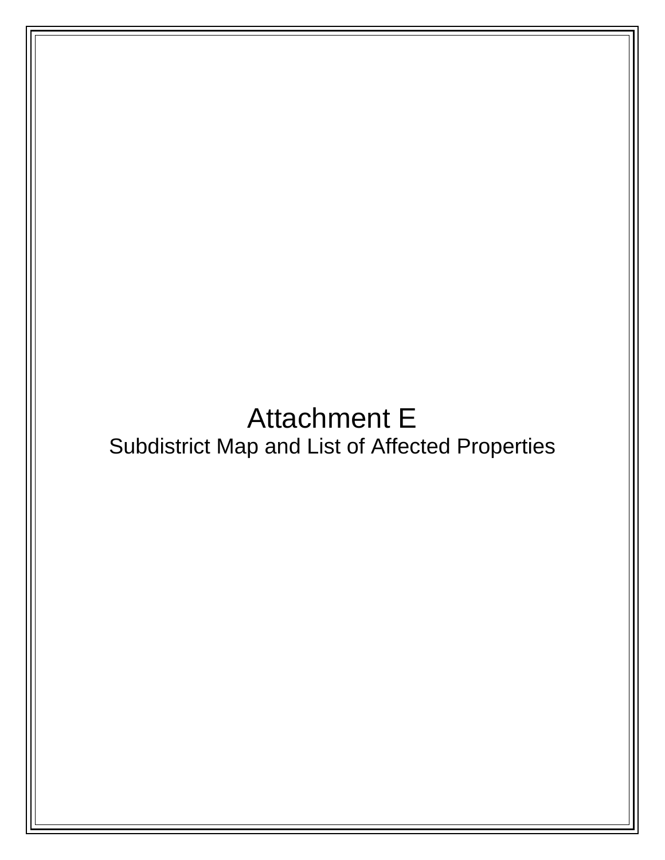# Attachment E Subdistrict Map and List of Affected Properties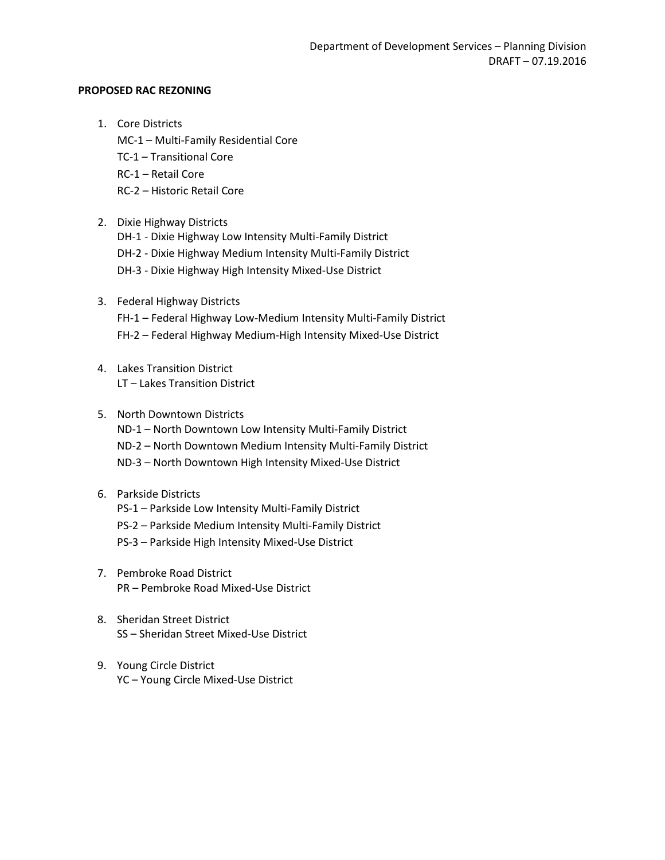#### **PROPOSED RAC REZONING**

- 1. Core Districts
	- MC-1 Multi-Family Residential Core
	- TC-1 Transitional Core
	- RC-1 Retail Core
	- RC-2 Historic Retail Core
- 2. Dixie Highway Districts
	- DH-1 Dixie Highway Low Intensity Multi-Family District DH-2 - Dixie Highway Medium Intensity Multi-Family District
	- DH-3 Dixie Highway High Intensity Mixed-Use District
- 3. Federal Highway Districts FH-1 – Federal Highway Low-Medium Intensity Multi-Family District FH-2 – Federal Highway Medium-High Intensity Mixed-Use District
- 4. Lakes Transition District LT – Lakes Transition District
- 5. North Downtown Districts ND-1 – North Downtown Low Intensity Multi-Family District ND-2 – North Downtown Medium Intensity Multi-Family District ND-3 – North Downtown High Intensity Mixed-Use District
- 6. Parkside Districts PS-1 – Parkside Low Intensity Multi-Family District PS-2 – Parkside Medium Intensity Multi-Family District PS-3 – Parkside High Intensity Mixed-Use District
- 7. Pembroke Road District PR – Pembroke Road Mixed-Use District
- 8. Sheridan Street District SS – Sheridan Street Mixed-Use District
- 9. Young Circle District YC – Young Circle Mixed-Use District